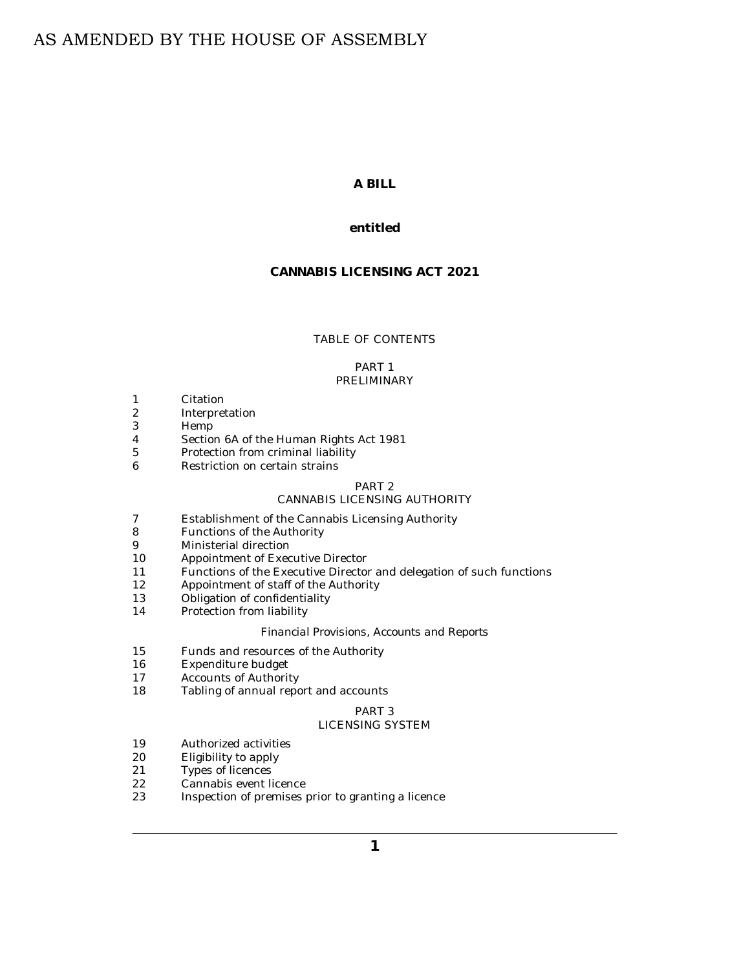# AS AMENDED BY THE HOUSE OF ASSEMBLY

## **A BILL**

## **entitled**

## **CANNABIS LICENSING ACT 2021**

## TABLE OF CONTENTS

#### PART 1 [PRELIMINARY](#page-2-0)

- [Citation](#page-2-0) 1
- [Interpretation](#page-2-0) 2
- [Hemp](#page-4-0) 3
- [Section 6A of the Human Rights Act 1981](#page-4-0) 4
- [Protection from criminal liability](#page-4-0) 5
- [Restriction on certain strains](#page-4-0) 6

# PART 2

## [CANNABIS LICENSING AUTHORITY](#page-5-0)

- [Establishment of the Cannabis Licensing Authority](#page-5-0) 7
- [Functions of the Authority](#page-5-0) 8
- [Ministerial direction](#page-5-0) 9
- [Appointment of Executive Director](#page-5-0) 10
- [Functions of the Executive Director and delegation of such functions](#page-6-0) 11
- [Appointment of staff of the Authority](#page-7-0) 12
- [Obligation of confidentiality](#page-7-0) 13
- [Protection from liability](#page-7-0) 14

## *[Financial Provisions, Accounts and Reports](#page-8-0)*

- [Funds and resources of the Authority](#page-8-0) 15
- [Expenditure budget](#page-8-0) 16
- [Accounts of Authority](#page-9-0) 17
- [Tabling of annual report and accounts](#page-10-0) 18

#### PART 3 [LICENSING SYSTEM](#page-10-0)

- [Authorized activities](#page-10-0) 19
- [Eligibility to apply](#page-10-0) 20
- [Types of licences](#page-10-0) 21
- [Cannabis event licence](#page-12-0) 22
- [Inspection of premises prior to granting a licence](#page-12-0) 23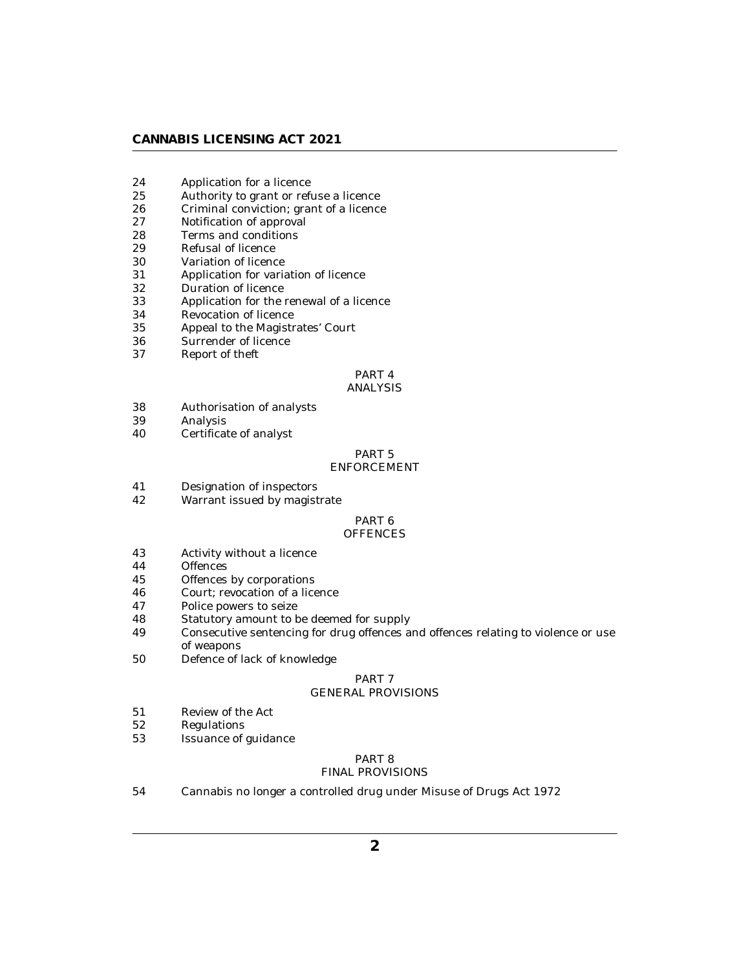## **CANNABIS LICENSING ACT 2021**

- [Application for a licence](#page-12-0) 24
- [Authority to grant or refuse a licence](#page-14-0) 25
- [Criminal conviction; grant of a licence](#page-15-0) 26
- [Notification of approval](#page-15-0) 27
- [Terms and conditions](#page-15-0) 28
- [Refusal of licence](#page-16-0) 29
- [Variation of licence](#page-16-0) 30
- [Application for variation of licence](#page-17-0) 31
- [Duration of licence](#page-17-0) 32
- [Application for the renewal of a licence](#page-17-0) 33
- [Revocation of licence](#page-18-0) 34
- [Appeal to the Magistrates' Court](#page-18-0) 35
- [Surrender of licence](#page-18-0) 36
- [Report of theft](#page-19-0) 37

#### PART 4 [ANALYSIS](#page-19-0)

- [Authorisation of analysts](#page-19-0) 38
- [Analysis](#page-19-0) 39
- [Certificate of analyst](#page-19-0) 40

## PART 5

## [ENFORCEMENT](#page-20-0)

- [Designation of inspectors](#page-20-0) 41
- [Warrant issued by magistrate](#page-21-0) 42

## PART 6

## **[OFFENCES](#page-21-0)**

- [Activity without a licence](#page-21-0) 43
- **[Offences](#page-22-0)** 44
- [Offences by corporations](#page-23-0) 45
- [Court; revocation of a licence](#page-24-0) 46
- [Police powers to seize](#page-24-0) 47
- [Statutory amount to be deemed for supply](#page-24-0) 48
- [Consecutive sentencing for drug offences and offences relating to violence or use](#page-24-0) of weapons 49
- [Defence of lack of knowledge](#page-24-0) 50

## PART 7

## [GENERAL PROVISIONS](#page-25-0)

- [Review of the Act](#page-25-0) 51
- [Regulations](#page-25-0) 52
- [Issuance of guidance](#page-27-0) 53

## PART 8

## [FINAL PROVISIONS](#page-27-0)

[Cannabis no longer a controlled drug under Misuse of Drugs Act 1972](#page-27-0) 54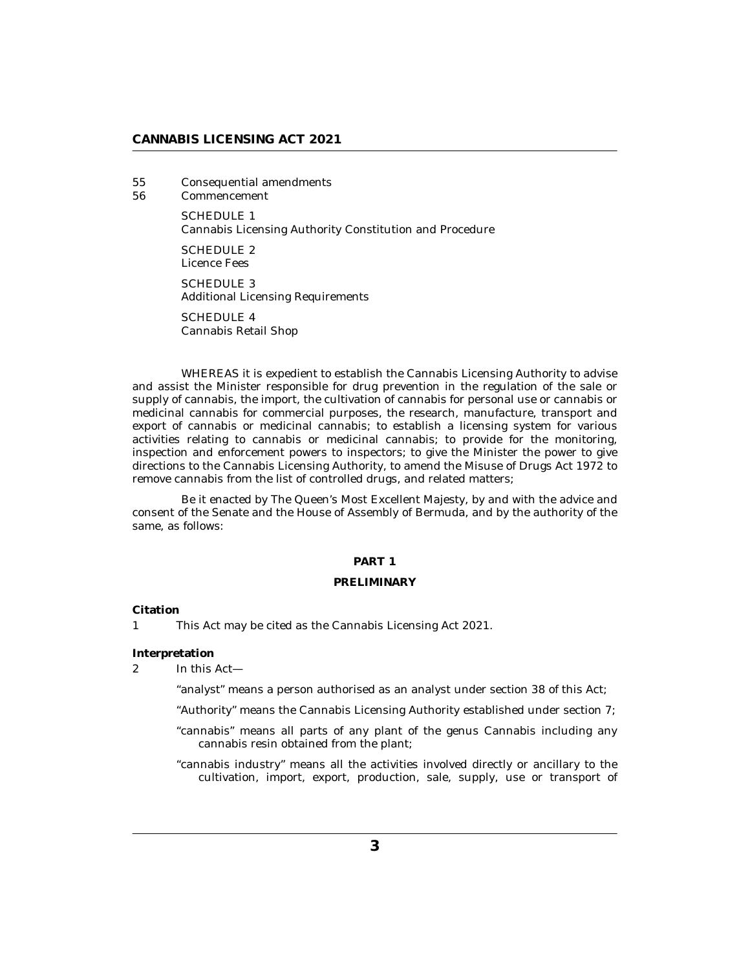## <span id="page-2-0"></span>**CANNABIS LICENSING ACT 2021**

[Consequential amendments](#page-27-0) 55

[Commencement](#page-28-0) 56

> SCHEDULE 1 [Cannabis Licensing Authority Constitution and Procedure](#page-29-0)

[SCHEDULE 2](#page-33-0) Licence Fees

SCHEDULE 3 [Additional Licensing Requirements](#page-34-0)

SCHEDULE 4 [Cannabis Retail Shop](#page-45-0)

WHEREAS it is expedient to establish the Cannabis Licensing Authority to advise and assist the Minister responsible for drug prevention in the regulation of the sale or supply of cannabis, the import, the cultivation of cannabis for personal use or cannabis or medicinal cannabis for commercial purposes, the research, manufacture, transport and export of cannabis or medicinal cannabis; to establish a licensing system for various activities relating to cannabis or medicinal cannabis; to provide for the monitoring, inspection and enforcement powers to inspectors; to give the Minister the power to give directions to the Cannabis Licensing Authority, to amend the Misuse of Drugs Act 1972 to remove cannabis from the list of controlled drugs, and related matters;

Be it enacted by The Queen's Most Excellent Majesty, by and with the advice and consent of the Senate and the House of Assembly of Bermuda, and by the authority of the same, as follows:

## **PART 1**

## **PRELIMINARY**

**Citation**

This Act may be cited as the Cannabis Licensing Act 2021. 1

**Interpretation**

In this Act— 2

"analyst" means a person authorised as an analyst under section 38 of this Act;

"Authority" means the Cannabis Licensing Authority established under section 7;

"cannabis" means all parts of any plant of the genus Cannabis including any cannabis resin obtained from the plant;

"cannabis industry" means all the activities involved directly or ancillary to the cultivation, import, export, production, sale, supply, use or transport of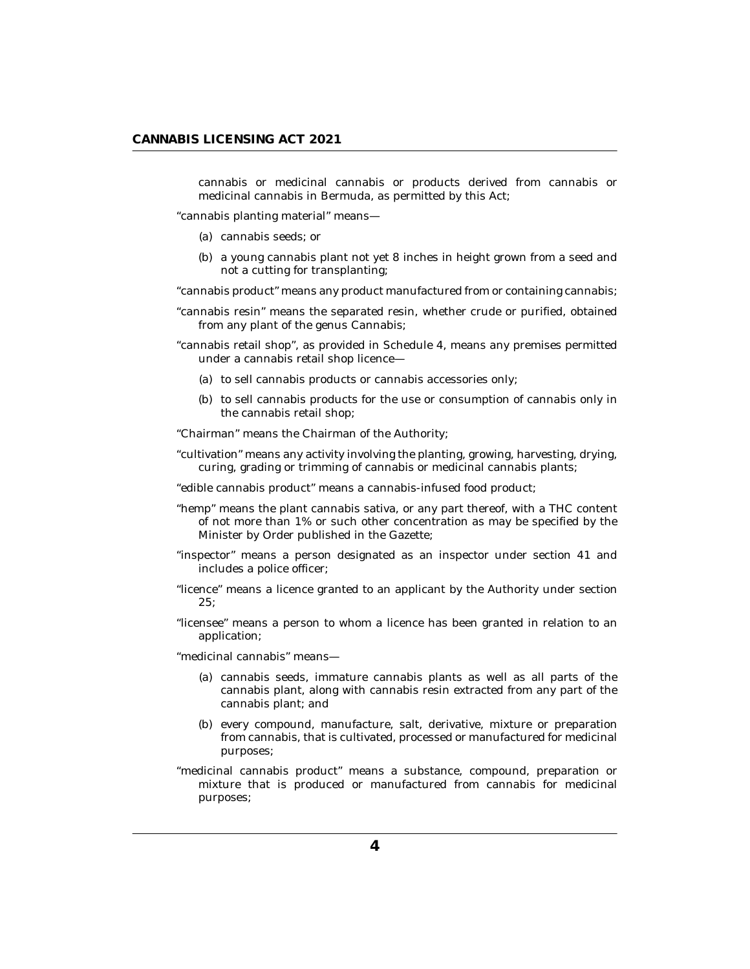cannabis or medicinal cannabis or products derived from cannabis or medicinal cannabis in Bermuda, as permitted by this Act;

"cannabis planting material" means—

- cannabis seeds; or (a)
- (b) a young cannabis plant not yet 8 inches in height grown from a seed and not a cutting for transplanting;

"cannabis product" means any product manufactured from or containing cannabis;

- "cannabis resin" means the separated resin, whether crude or purified, obtained from any plant of the genus Cannabis;
- "cannabis retail shop", as provided in Schedule 4, means any premises permitted under a cannabis retail shop licence—
	- (a) to sell cannabis products or cannabis accessories only;
	- (b) to sell cannabis products for the use or consumption of cannabis only in the cannabis retail shop;

"Chairman" means the Chairman of the Authority;

- "cultivation" means any activity involving the planting, growing, harvesting, drying, curing, grading or trimming of cannabis or medicinal cannabis plants;
- "edible cannabis product" means a cannabis-infused food product;
- "hemp" means the plant cannabis sativa, or any part thereof, with a THC content of not more than 1% or such other concentration as may be specified by the Minister by Order published in the Gazette;
- "inspector" means a person designated as an inspector under section 41 and includes a police officer;
- "licence" means a licence granted to an applicant by the Authority under section 25;
- "licensee" means a person to whom a licence has been granted in relation to an application;

"medicinal cannabis" means—

- cannabis seeds, immature cannabis plants as well as all parts of the (a) cannabis plant, along with cannabis resin extracted from any part of the cannabis plant; and
- (b) every compound, manufacture, salt, derivative, mixture or preparation from cannabis, that is cultivated, processed or manufactured for medicinal purposes;
- "medicinal cannabis product" means a substance, compound, preparation or mixture that is produced or manufactured from cannabis for medicinal purposes;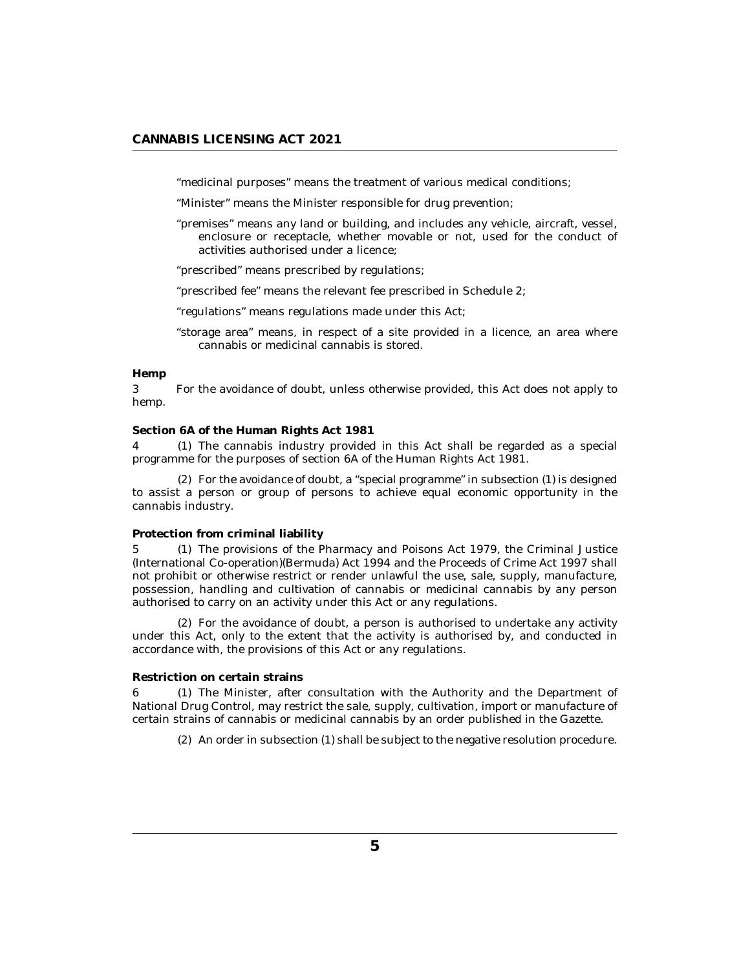<span id="page-4-0"></span>"medicinal purposes" means the treatment of various medical conditions;

"Minister" means the Minister responsible for drug prevention;

- "premises" means any land or building, and includes any vehicle, aircraft, vessel, enclosure or receptacle, whether movable or not, used for the conduct of activities authorised under a licence;
- "prescribed" means prescribed by regulations;
- "prescribed fee" means the relevant fee prescribed in Schedule 2;
- "regulations" means regulations made under this Act;
- "storage area" means, in respect of a site provided in a licence, an area where cannabis or medicinal cannabis is stored.

## **Hemp**

For the avoidance of doubt, unless otherwise provided, this Act does not apply to hemp. 3

**Section 6A of the Human Rights Act 1981**

The cannabis industry provided in this Act shall be regarded as a special 4 (1) programme for the purposes of section 6A of the Human Rights Act 1981.

For the avoidance of doubt, a "special programme" in subsection (1) is designed (2) to assist a person or group of persons to achieve equal economic opportunity in the cannabis industry.

#### **Protection from criminal liability**

5 (1) The provisions of the Pharmacy and Poisons Act 1979, the Criminal Justice (International Co-operation)(Bermuda) Act 1994 and the Proceeds of Crime Act 1997 shall not prohibit or otherwise restrict or render unlawful the use, sale, supply, manufacture, possession, handling and cultivation of cannabis or medicinal cannabis by any person authorised to carry on an activity under this Act or any regulations.

For the avoidance of doubt, a person is authorised to undertake any activity (2) under this Act, only to the extent that the activity is authorised by, and conducted in accordance with, the provisions of this Act or any regulations.

### **Restriction on certain strains**

6 (1) The Minister, after consultation with the Authority and the Department of National Drug Control, may restrict the sale, supply, cultivation, import or manufacture of certain strains of cannabis or medicinal cannabis by an order published in the Gazette.

An order in subsection (1) shall be subject to the negative resolution procedure. (2)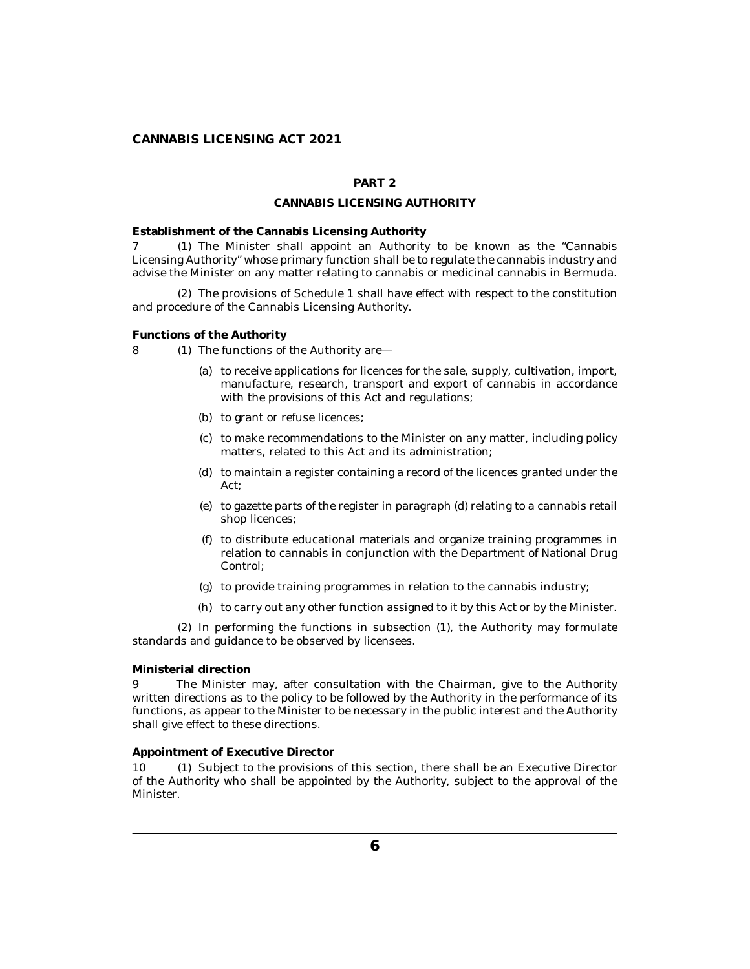## **PART 2**

## **CANNABIS LICENSING AUTHORITY**

<span id="page-5-0"></span>**Establishment of the Cannabis Licensing Authority**

7 (1) The Minister shall appoint an Authority to be known as the "Cannabis Licensing Authority" whose primary function shall be to regulate the cannabis industry and advise the Minister on any matter relating to cannabis or medicinal cannabis in Bermuda.

The provisions of Schedule 1 shall have effect with respect to the constitution (2) and procedure of the Cannabis Licensing Authority.

**Functions of the Authority**

- 8 (1) The functions of the Authority are—
	- (a) to receive applications for licences for the sale, supply, cultivation, import, manufacture, research, transport and export of cannabis in accordance with the provisions of this Act and regulations;
	- (b) to grant or refuse licences;
	- (c) to make recommendations to the Minister on any matter, including policy matters, related to this Act and its administration;
	- (d) to maintain a register containing a record of the licences granted under the Act;
	- $(e)$  to gazette parts of the register in paragraph  $(d)$  relating to a cannabis retail shop licences;
	- to distribute educational materials and organize training programmes in (f) relation to cannabis in conjunction with the Department of National Drug Control;
	- (g) to provide training programmes in relation to the cannabis industry;
	- (h) to carry out any other function assigned to it by this Act or by the Minister.

 $(2)$  In performing the functions in subsection  $(1)$ , the Authority may formulate standards and guidance to be observed by licensees.

## **Ministerial direction**

The Minister may, after consultation with the Chairman, give to the Authority written directions as to the policy to be followed by the Authority in the performance of its functions, as appear to the Minister to be necessary in the public interest and the Authority shall give effect to these directions.  $\mathbf Q$ 

### **Appointment of Executive Director**

10 (1) Subject to the provisions of this section, there shall be an Executive Director of the Authority who shall be appointed by the Authority, subject to the approval of the Minister.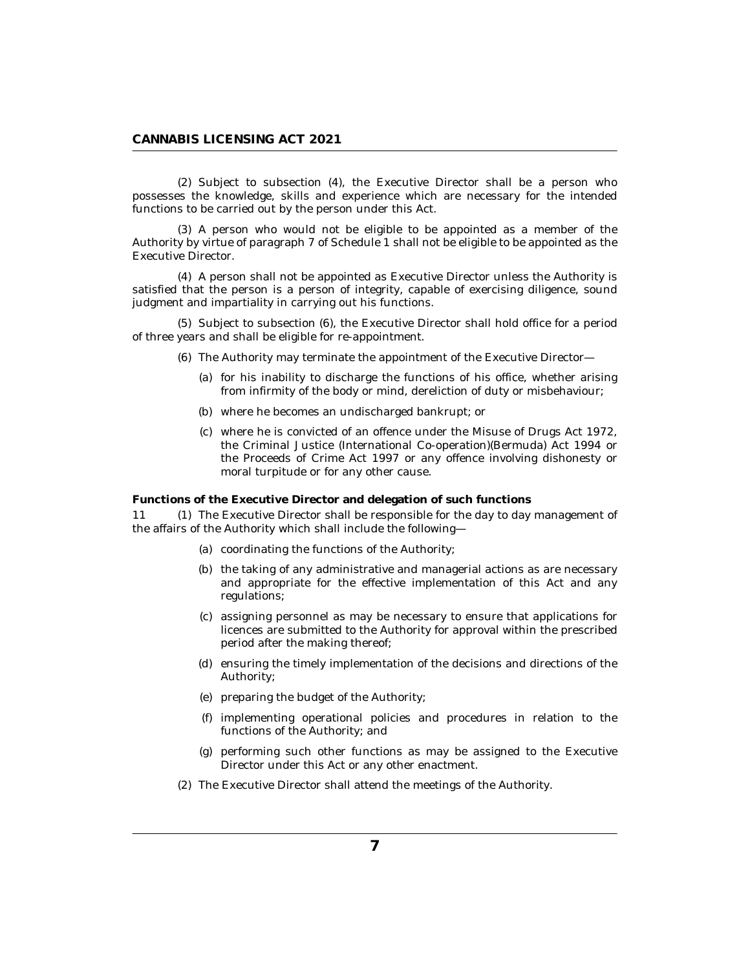<span id="page-6-0"></span>(2) Subject to subsection (4), the Executive Director shall be a person who possesses the knowledge, skills and experience which are necessary for the intended functions to be carried out by the person under this Act.

(3) A person who would not be eligible to be appointed as a member of the Authority by virtue of paragraph 7 of Schedule 1 shall not be eligible to be appointed as the Executive Director.

A person shall not be appointed as Executive Director unless the Authority is (4) satisfied that the person is a person of integrity, capable of exercising diligence, sound judgment and impartiality in carrying out his functions.

(5) Subject to subsection (6), the Executive Director shall hold office for a period of three years and shall be eligible for re-appointment.

- The Authority may terminate the appointment of the Executive Director— (6)
	- for his inability to discharge the functions of his office, whether arising (a) from infirmity of the body or mind, dereliction of duty or misbehaviour;
	- (b) where he becomes an undischarged bankrupt; or
	- where he is convicted of an offence under the Misuse of Drugs Act 1972, (c) the Criminal Justice (International Co-operation)(Bermuda) Act 1994 or the Proceeds of Crime Act 1997 or any offence involving dishonesty or moral turpitude or for any other cause.

**Functions of the Executive Director and delegation of such functions**

11 (1) The Executive Director shall be responsible for the day to day management of the affairs of the Authority which shall include the following—

- (a) coordinating the functions of the Authority;
- (b) the taking of any administrative and managerial actions as are necessary and appropriate for the effective implementation of this Act and any regulations;
- assigning personnel as may be necessary to ensure that applications for (c) licences are submitted to the Authority for approval within the prescribed period after the making thereof;
- (d) ensuring the timely implementation of the decisions and directions of the Authority;
- (e) preparing the budget of the Authority;
- (f) implementing operational policies and procedures in relation to the functions of the Authority; and
- $(g)$  performing such other functions as may be assigned to the Executive Director under this Act or any other enactment.
- (2) The Executive Director shall attend the meetings of the Authority.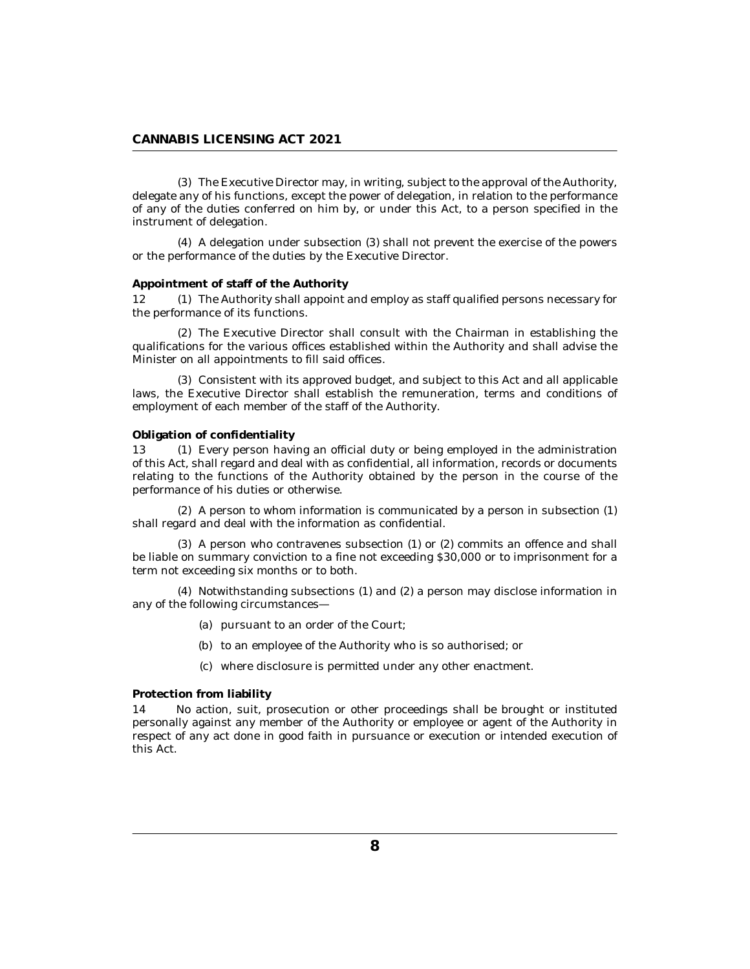<span id="page-7-0"></span>The Executive Director may, in writing, subject to the approval of the Authority, (3) delegate any of his functions, except the power of delegation, in relation to the performance of any of the duties conferred on him by, or under this Act, to a person specified in the instrument of delegation.

A delegation under subsection (3) shall not prevent the exercise of the powers (4) or the performance of the duties by the Executive Director.

## **Appointment of staff of the Authority**

The Authority shall appoint and employ as staff qualified persons necessary for the performance of its functions.  $12<sub>2</sub>$ 

(2) The Executive Director shall consult with the Chairman in establishing the qualifications for the various offices established within the Authority and shall advise the Minister on all appointments to fill said offices.

Consistent with its approved budget, and subject to this Act and all applicable (3) laws, the Executive Director shall establish the remuneration, terms and conditions of employment of each member of the staff of the Authority.

#### **Obligation of confidentiality**

13 (1) Every person having an official duty or being employed in the administration of this Act, shall regard and deal with as confidential, all information, records or documents relating to the functions of the Authority obtained by the person in the course of the performance of his duties or otherwise.

 $(2)$  A person to whom information is communicated by a person in subsection  $(1)$ shall regard and deal with the information as confidential.

 $(3)$  A person who contravenes subsection  $(1)$  or  $(2)$  commits an offence and shall be liable on summary conviction to a fine not exceeding \$30,000 or to imprisonment for a term not exceeding six months or to both.

 $(4)$  Notwithstanding subsections  $(1)$  and  $(2)$  a person may disclose information in any of the following circumstances—

- (a) pursuant to an order of the Court;
- (b) to an employee of the Authority who is so authorised; or
- where disclosure is permitted under any other enactment. (c)

### **Protection from liability**

No action, suit, prosecution or other proceedings shall be brought or instituted personally against any member of the Authority or employee or agent of the Authority in respect of any act done in good faith in pursuance or execution or intended execution of this Act. 14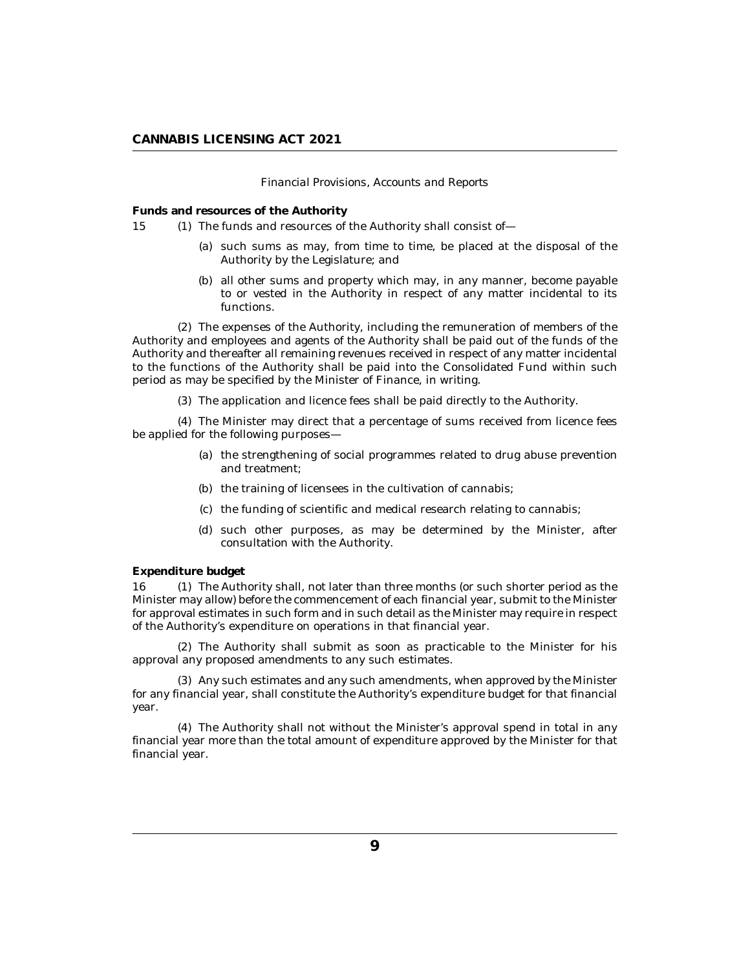### *Financial Provisions, Accounts and Reports*

<span id="page-8-0"></span>**Funds and resources of the Authority**

- 15 (1) The funds and resources of the Authority shall consist of
	- (a) such sums as may, from time to time, be placed at the disposal of the Authority by the Legislature; and
	- (b) all other sums and property which may, in any manner, become payable to or vested in the Authority in respect of any matter incidental to its functions.

The expenses of the Authority, including the remuneration of members of the (2) Authority and employees and agents of the Authority shall be paid out of the funds of the Authority and thereafter all remaining revenues received in respect of any matter incidental to the functions of the Authority shall be paid into the Consolidated Fund within such period as may be specified by the Minister of Finance, in writing.

(3) The application and licence fees shall be paid directly to the Authority.

The Minister may direct that a percentage of sums received from licence fees (4) be applied for the following purposes—

- (a) the strengthening of social programmes related to drug abuse prevention and treatment;
- (b) the training of licensees in the cultivation of cannabis;
- (c) the funding of scientific and medical research relating to cannabis;
- (d) such other purposes, as may be determined by the Minister, after consultation with the Authority.

## **Expenditure budget**

16 (1) The Authority shall, not later than three months (or such shorter period as the Minister may allow) before the commencement of each financial year, submit to the Minister for approval estimates in such form and in such detail as the Minister may require in respect of the Authority's expenditure on operations in that financial year.

(2) The Authority shall submit as soon as practicable to the Minister for his approval any proposed amendments to any such estimates.

Any such estimates and any such amendments, when approved by the Minister (3) for any financial year, shall constitute the Authority's expenditure budget for that financial year.

The Authority shall not without the Minister's approval spend in total in any (4) financial year more than the total amount of expenditure approved by the Minister for that financial year.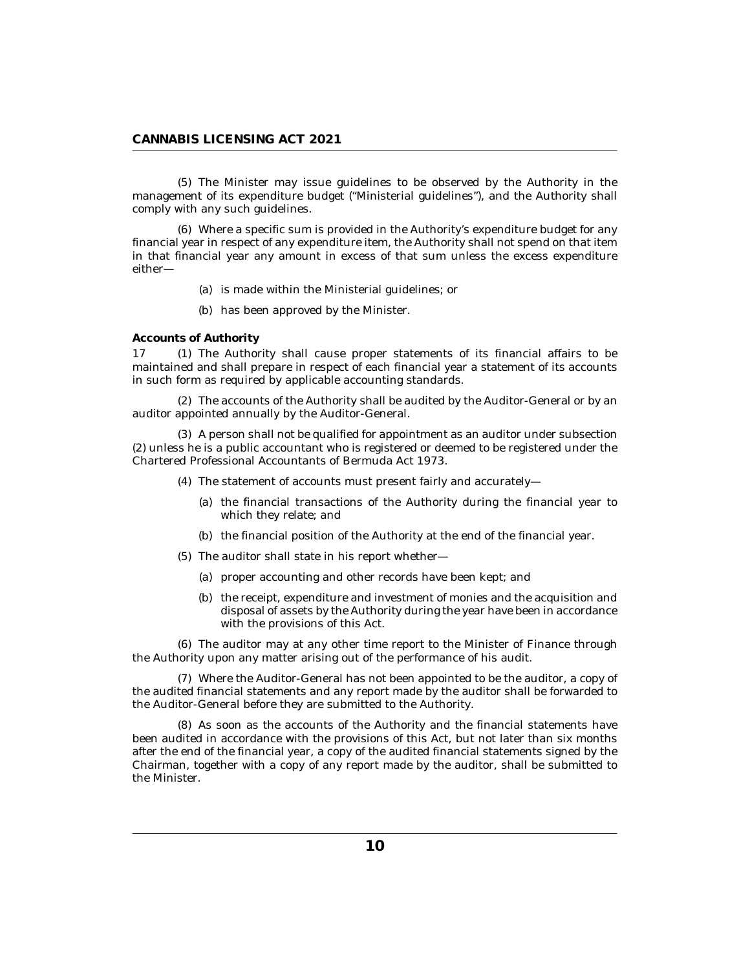<span id="page-9-0"></span>(5) The Minister may issue guidelines to be observed by the Authority in the management of its expenditure budget ("Ministerial guidelines"), and the Authority shall comply with any such guidelines.

Where a specific sum is provided in the Authority's expenditure budget for any (6) financial year in respect of any expenditure item, the Authority shall not spend on that item in that financial year any amount in excess of that sum unless the excess expenditure either—

- (a) is made within the Ministerial guidelines; or
- (b) has been approved by the Minister.

**Accounts of Authority**

17 (1) The Authority shall cause proper statements of its financial affairs to be maintained and shall prepare in respect of each financial year a statement of its accounts in such form as required by applicable accounting standards.

The accounts of the Authority shall be audited by the Auditor-General or by an (2) auditor appointed annually by the Auditor-General.

(3) A person shall not be qualified for appointment as an auditor under subsection (2) unless he is a public accountant who is registered or deemed to be registered under the Chartered Professional Accountants of Bermuda Act 1973.

- The statement of accounts must present fairly and accurately— (4)
	- (a) the financial transactions of the Authority during the financial year to which they relate; and
	- (b) the financial position of the Authority at the end of the financial year.
- (5) The auditor shall state in his report whether-
	- (a) proper accounting and other records have been kept; and
	- (b) the receipt, expenditure and investment of monies and the acquisition and disposal of assets by the Authority during the year have been in accordance with the provisions of this Act.

The auditor may at any other time report to the Minister of Finance through (6) the Authority upon any matter arising out of the performance of his audit.

Where the Auditor-General has not been appointed to be the auditor, a copy of (7) the audited financial statements and any report made by the auditor shall be forwarded to the Auditor-General before they are submitted to the Authority.

As soon as the accounts of the Authority and the financial statements have (8) been audited in accordance with the provisions of this Act, but not later than six months after the end of the financial year, a copy of the audited financial statements signed by the Chairman, together with a copy of any report made by the auditor, shall be submitted to the Minister.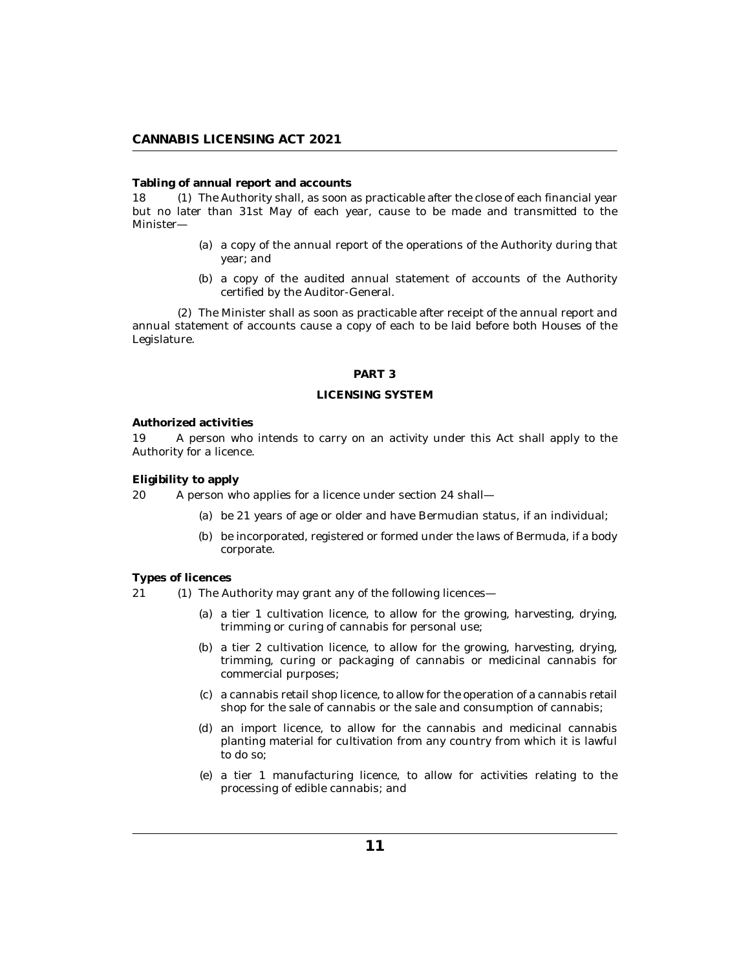<span id="page-10-0"></span>**Tabling of annual report and accounts**

18 (1) The Authority shall, as soon as practicable after the close of each financial year but no later than 31st May of each year, cause to be made and transmitted to the Minister—

- (a) a copy of the annual report of the operations of the Authority during that year; and
- (b) a copy of the audited annual statement of accounts of the Authority certified by the Auditor-General.

The Minister shall as soon as practicable after receipt of the annual report and (2) annual statement of accounts cause a copy of each to be laid before both Houses of the Legislature.

#### **PART 3**

### **LICENSING SYSTEM**

#### **Authorized activities**

A person who intends to carry on an activity under this Act shall apply to the Authority for a licence. 19

**Eligibility to apply**

A person who applies for a licence under section 24 shall— 20

- be 21 years of age or older and have Bermudian status, if an individual; (a)
- (b) be incorporated, registered or formed under the laws of Bermuda, if a body corporate.

## **Types of licences**

- $(1)$  The Authority may grant any of the following licences—  $21$ 
	- a tier 1 cultivation licence, to allow for the growing, harvesting, drying, (a) trimming or curing of cannabis for personal use;
	- (b) a tier 2 cultivation licence, to allow for the growing, harvesting, drying, trimming, curing or packaging of cannabis or medicinal cannabis for commercial purposes;
	- a cannabis retail shop licence, to allow for the operation of a cannabis retail (c) shop for the sale of cannabis or the sale and consumption of cannabis;
	- an import licence, to allow for the cannabis and medicinal cannabis (d) planting material for cultivation from any country from which it is lawful to do so;
	- a tier 1 manufacturing licence, to allow for activities relating to the (e) processing of edible cannabis; and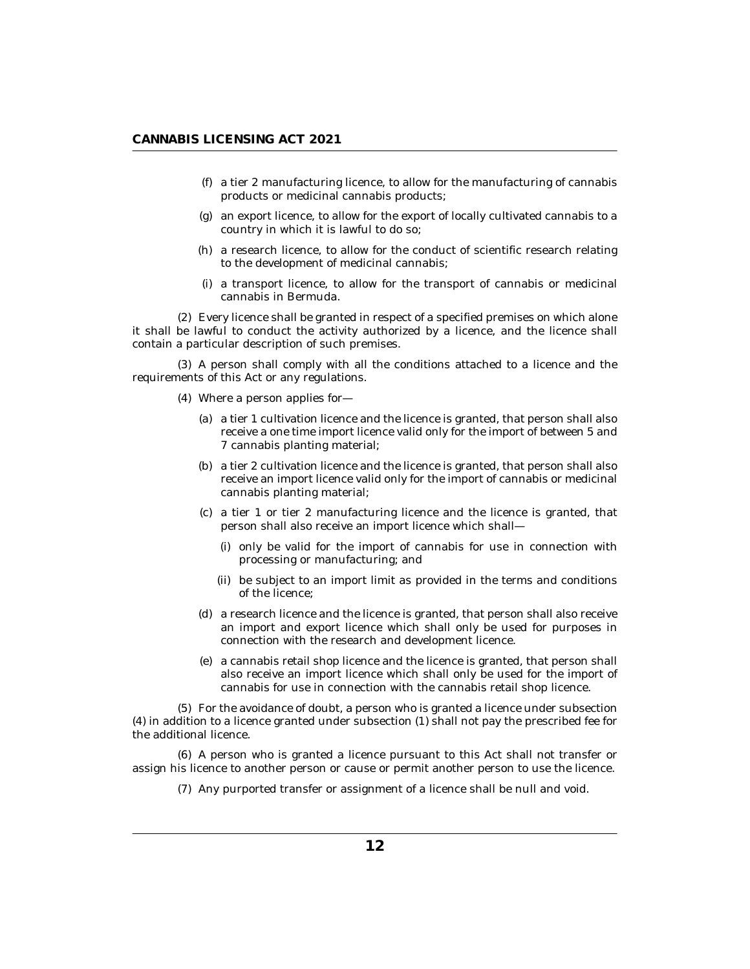- a tier 2 manufacturing licence, to allow for the manufacturing of cannabis (f) products or medicinal cannabis products;
- an export licence, to allow for the export of locally cultivated cannabis to a (g) country in which it is lawful to do so;
- (h) a research licence, to allow for the conduct of scientific research relating to the development of medicinal cannabis;
- a transport licence, to allow for the transport of cannabis or medicinal (i) cannabis in Bermuda.

Every licence shall be granted in respect of a specified premises on which alone (2) it shall be lawful to conduct the activity authorized by a licence, and the licence shall contain a particular description of such premises.

(3) A person shall comply with all the conditions attached to a licence and the requirements of this Act or any regulations.

- Where a person applies for— (4)
	- a tier 1 cultivation licence and the licence is granted, that person shall also (a) receive a one time import licence valid only for the import of between 5 and 7 cannabis planting material;
	- a tier 2 cultivation licence and the licence is granted, that person shall also (b) receive an import licence valid only for the import of cannabis or medicinal cannabis planting material;
	- a tier 1 or tier 2 manufacturing licence and the licence is granted, that (c) person shall also receive an import licence which shall—
		- (i) only be valid for the import of cannabis for use in connection with processing or manufacturing; and
		- (ii) be subject to an import limit as provided in the terms and conditions of the licence;
	- a research licence and the licence is granted, that person shall also receive (d) an import and export licence which shall only be used for purposes in connection with the research and development licence.
	- a cannabis retail shop licence and the licence is granted, that person shall (e) also receive an import licence which shall only be used for the import of cannabis for use in connection with the cannabis retail shop licence.

For the avoidance of doubt, a person who is granted a licence under subsection (5) (4) in addition to a licence granted under subsection (1) shall not pay the prescribed fee for the additional licence.

(6) A person who is granted a licence pursuant to this Act shall not transfer or assign his licence to another person or cause or permit another person to use the licence.

(7) Any purported transfer or assignment of a licence shall be null and void.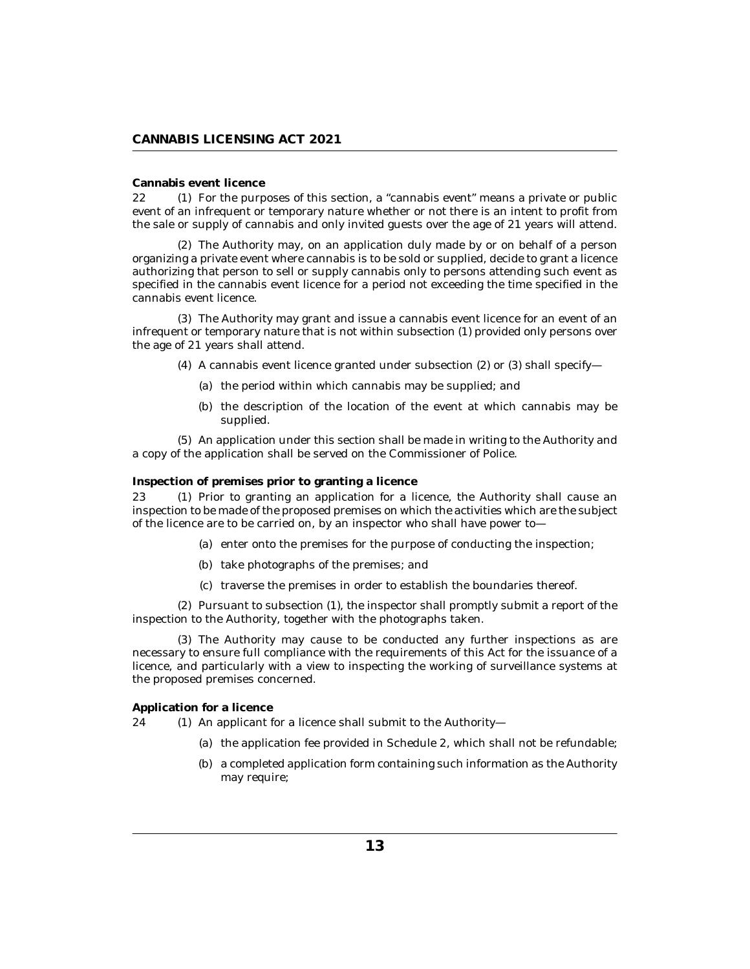## <span id="page-12-0"></span>**Cannabis event licence**

22 (1) For the purposes of this section, a "cannabis event" means a private or public event of an infrequent or temporary nature whether or not there is an intent to profit from the sale or supply of cannabis and only invited guests over the age of 21 years will attend.

The Authority may, on an application duly made by or on behalf of a person (2) organizing a private event where cannabis is to be sold or supplied, decide to grant a licence authorizing that person to sell or supply cannabis only to persons attending such event as specified in the cannabis event licence for a period not exceeding the time specified in the cannabis event licence.

The Authority may grant and issue a cannabis event licence for an event of an (3) infrequent or temporary nature that is not within subsection (1) provided only persons over the age of 21 years shall attend.

- $(4)$  A cannabis event licence granted under subsection  $(2)$  or  $(3)$  shall specify—
	- (a) the period within which cannabis may be supplied; and
	- (b) the description of the location of the event at which cannabis may be supplied.

An application under this section shall be made in writing to the Authority and (5) a copy of the application shall be served on the Commissioner of Police.

**Inspection of premises prior to granting a licence**

Prior to granting an application for a licence, the Authority shall cause an inspection to be made of the proposed premises on which the activities which are the subject of the licence are to be carried on, by an inspector who shall have power to— 23

- (a) enter onto the premises for the purpose of conducting the inspection;
- (b) take photographs of the premises; and
- (c) traverse the premises in order to establish the boundaries thereof.

 $(2)$  Pursuant to subsection  $(1)$ , the inspector shall promptly submit a report of the inspection to the Authority, together with the photographs taken.

The Authority may cause to be conducted any further inspections as are (3) necessary to ensure full compliance with the requirements of this Act for the issuance of a licence, and particularly with a view to inspecting the working of surveillance systems at the proposed premises concerned.

**Application for a licence**

 $(1)$  An applicant for a licence shall submit to the Authority- $24$ 

- (a) the application fee provided in Schedule 2, which shall not be refundable;
- (b) a completed application form containing such information as the Authority may require;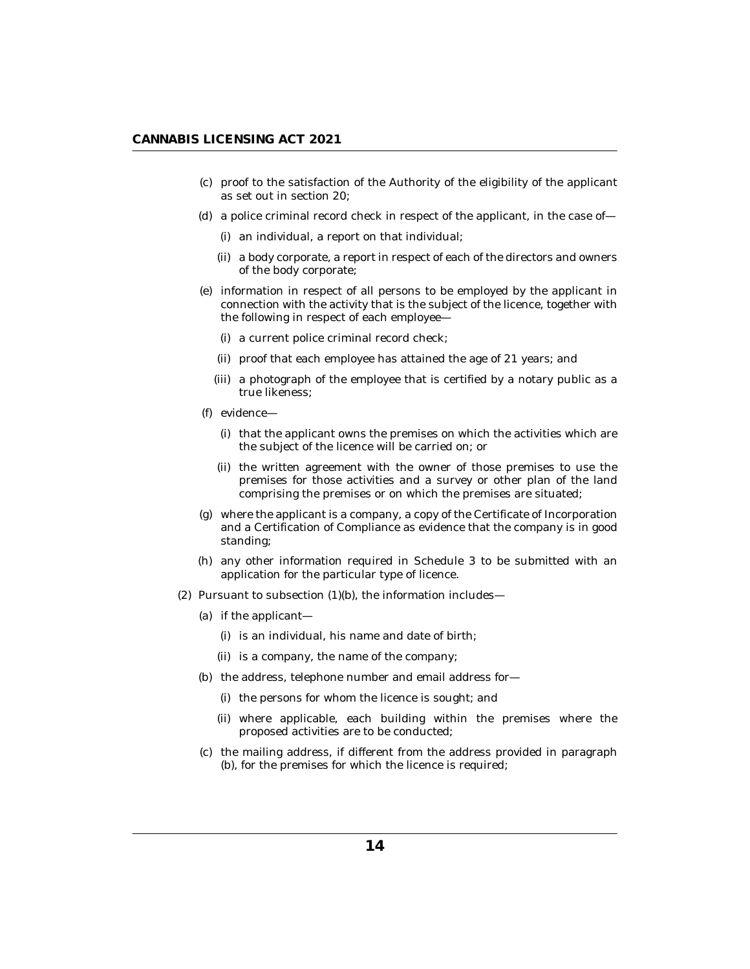- (c) proof to the satisfaction of the Authority of the eligibility of the applicant as set out in section 20;
- (d) a police criminal record check in respect of the applicant, in the case of
	- (i) an individual, a report on that individual;
	- (ii) a body corporate, a report in respect of each of the directors and owners of the body corporate;
- (e) information in respect of all persons to be employed by the applicant in connection with the activity that is the subject of the licence, together with the following in respect of each employee—
	- (i) a current police criminal record check;
	- (ii) proof that each employee has attained the age of 21 years; and
	- (iii) a photograph of the employee that is certified by a notary public as a true likeness;
- (f) evidence—
	- (i) that the applicant owns the premises on which the activities which are the subject of the licence will be carried on; or
	- (ii) the written agreement with the owner of those premises to use the premises for those activities and a survey or other plan of the land comprising the premises or on which the premises are situated;
- where the applicant is a company, a copy of the Certificate of Incorporation (g) and a Certification of Compliance as evidence that the company is in good standing;
- any other information required in Schedule 3 to be submitted with an (h) application for the particular type of licence.
- $(2)$  Pursuant to subsection  $(1)(b)$ , the information includes—
	- (a) if the applicant—
		- (i) is an individual, his name and date of birth;
		- (ii) is a company, the name of the company;
	- (b) the address, telephone number and email address for-
		- (i) the persons for whom the licence is sought; and
		- (ii) where applicable, each building within the premises where the proposed activities are to be conducted;
	- (c) the mailing address, if different from the address provided in paragraph (b), for the premises for which the licence is required;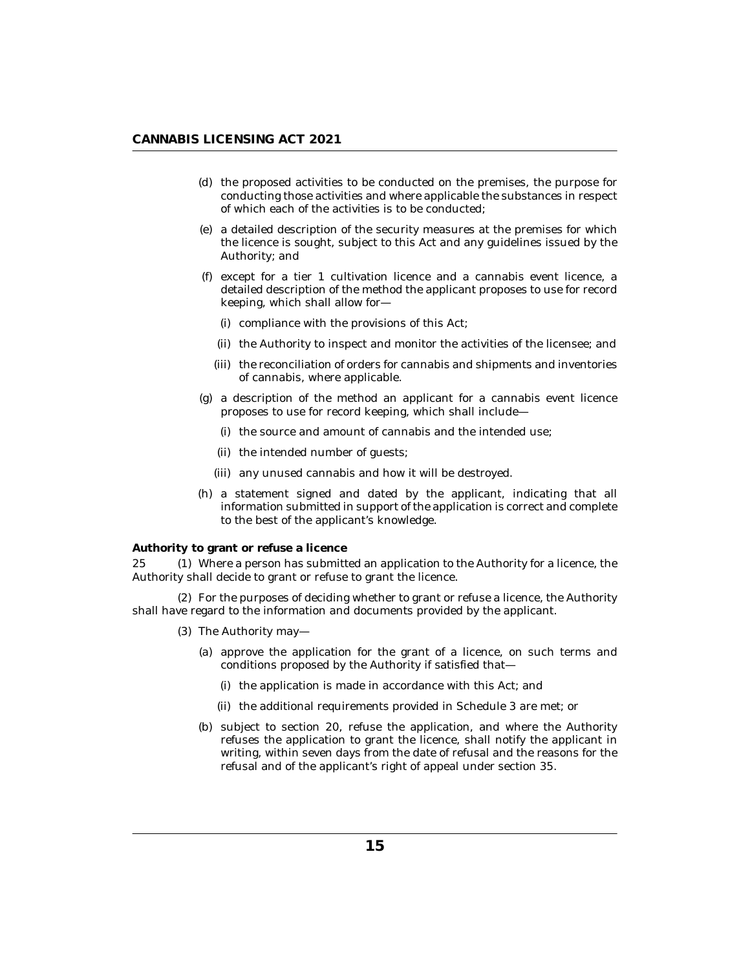- <span id="page-14-0"></span>(d) the proposed activities to be conducted on the premises, the purpose for conducting those activities and where applicable the substances in respect of which each of the activities is to be conducted;
- a detailed description of the security measures at the premises for which (e) the licence is sought, subject to this Act and any guidelines issued by the Authority; and
- except for a tier 1 cultivation licence and a cannabis event licence, a (f) detailed description of the method the applicant proposes to use for record keeping, which shall allow for—
	- (i) compliance with the provisions of this Act;
	- (ii) the Authority to inspect and monitor the activities of the licensee; and
	- (iii) the reconciliation of orders for cannabis and shipments and inventories of cannabis, where applicable.
- $(g)$  a description of the method an applicant for a cannabis event licence proposes to use for record keeping, which shall include—
	- (i) the source and amount of cannabis and the intended use;
	- (ii) the intended number of guests;
	- (iii) any unused cannabis and how it will be destroyed.
- (h) a statement signed and dated by the applicant, indicating that all information submitted in support of the application is correct and complete to the best of the applicant's knowledge.

**Authority to grant or refuse a licence**

25 (1) Where a person has submitted an application to the Authority for a licence, the Authority shall decide to grant or refuse to grant the licence.

For the purposes of deciding whether to grant or refuse a licence, the Authority (2) shall have regard to the information and documents provided by the applicant.

- (3) The Authority may-
	- (a) approve the application for the grant of a licence, on such terms and conditions proposed by the Authority if satisfied that—
		- (i) the application is made in accordance with this Act; and
		- (ii) the additional requirements provided in Schedule 3 are met; or
	- (b) subject to section 20, refuse the application, and where the Authority refuses the application to grant the licence, shall notify the applicant in writing, within seven days from the date of refusal and the reasons for the refusal and of the applicant's right of appeal under section 35.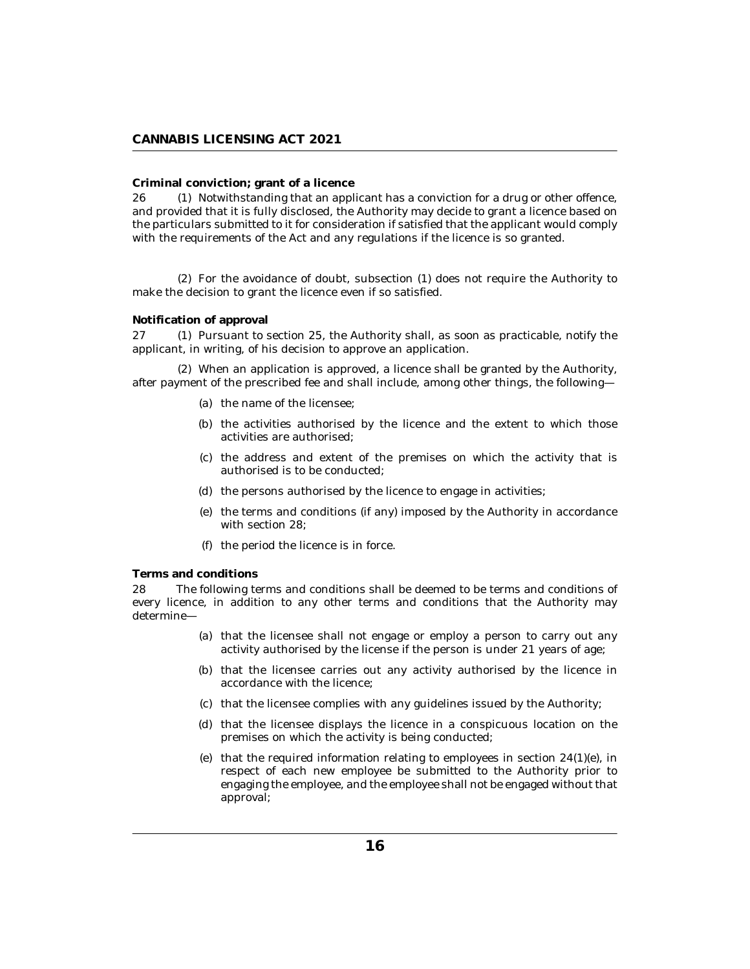## <span id="page-15-0"></span>**Criminal conviction; grant of a licence**

26 (1) Notwithstanding that an applicant has a conviction for a drug or other offence, and provided that it is fully disclosed, the Authority may decide to grant a licence based on the particulars submitted to it for consideration if satisfied that the applicant would comply with the requirements of the Act and any regulations if the licence is so granted.

For the avoidance of doubt, subsection (1) does not require the Authority to (2) make the decision to grant the licence even if so satisfied.

#### **Notification of approval**

27 (1) Pursuant to section 25, the Authority shall, as soon as practicable, notify the applicant, in writing, of his decision to approve an application.

When an application is approved, a licence shall be granted by the Authority, (2) after payment of the prescribed fee and shall include, among other things, the following—

- (a) the name of the licensee;
- (b) the activities authorised by the licence and the extent to which those activities are authorised;
- (c) the address and extent of the premises on which the activity that is authorised is to be conducted;
- (d) the persons authorised by the licence to engage in activities;
- (e) the terms and conditions (if any) imposed by the Authority in accordance with section 28;
- (f) the period the licence is in force.

**Terms and conditions**

The following terms and conditions shall be deemed to be terms and conditions of every licence, in addition to any other terms and conditions that the Authority may determine— 28

- (a) that the licensee shall not engage or employ a person to carry out any activity authorised by the license if the person is under 21 years of age;
- (b) that the licensee carries out any activity authorised by the licence in accordance with the licence;
- (c) that the licensee complies with any guidelines issued by the Authority;
- (d) that the licensee displays the licence in a conspicuous location on the premises on which the activity is being conducted;
- (e) that the required information relating to employees in section  $24(1)(e)$ , in respect of each new employee be submitted to the Authority prior to engaging the employee, and the employee shall not be engaged without that approval;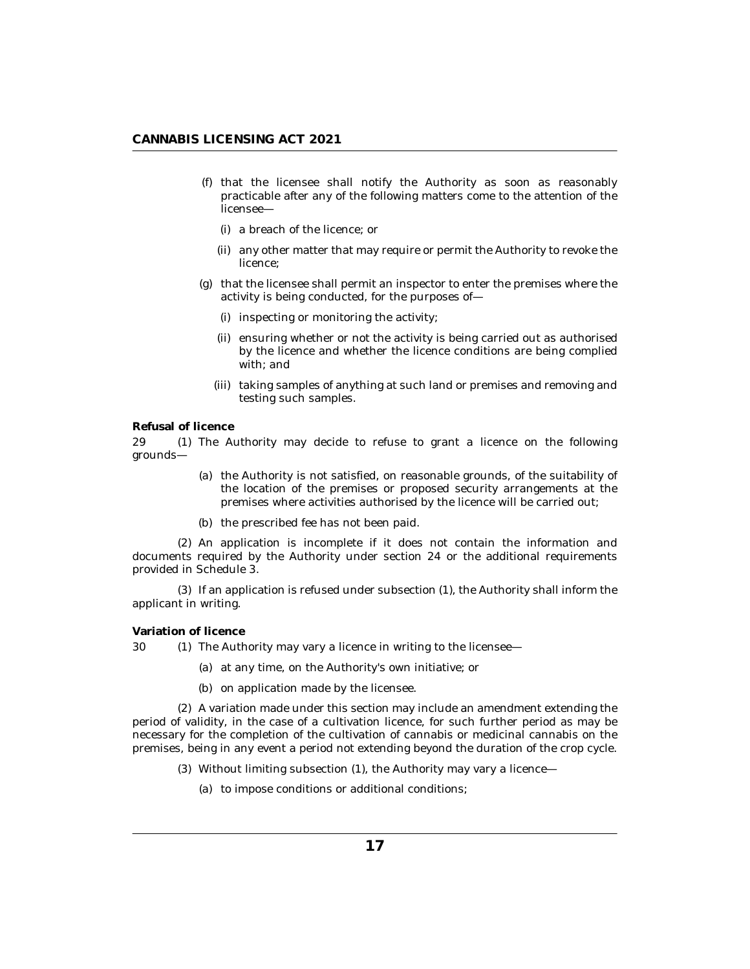- <span id="page-16-0"></span>(f) that the licensee shall notify the Authority as soon as reasonably practicable after any of the following matters come to the attention of the licensee
	- a breach of the licence; or (i)
	- (ii) any other matter that may require or permit the Authority to revoke the licence;
- (g) that the licensee shall permit an inspector to enter the premises where the activity is being conducted, for the purposes of—
	- (i) inspecting or monitoring the activity;
	- (ii) ensuring whether or not the activity is being carried out as authorised by the licence and whether the licence conditions are being complied with; and
	- (iii) taking samples of anything at such land or premises and removing and testing such samples.

## **Refusal of licence**

29 (1) The Authority may decide to refuse to grant a licence on the following grounds—

- (a) the Authority is not satisfied, on reasonable grounds, of the suitability of the location of the premises or proposed security arrangements at the premises where activities authorised by the licence will be carried out;
- (b) the prescribed fee has not been paid.

An application is incomplete if it does not contain the information and (2) documents required by the Authority under section 24 or the additional requirements provided in Schedule 3.

 $(3)$  If an application is refused under subsection  $(1)$ , the Authority shall inform the applicant in writing.

**Variation of licence**

30 (1) The Authority may vary a licence in writing to the licensee—

- at any time, on the Authority's own initiative; or (a)
- (b) on application made by the licensee.

A variation made under this section may include an amendment extending the (2) period of validity, in the case of a cultivation licence, for such further period as may be necessary for the completion of the cultivation of cannabis or medicinal cannabis on the premises, being in any event a period not extending beyond the duration of the crop cycle.

- (3) Without limiting subsection (1), the Authority may vary a licence—
	- (a) to impose conditions or additional conditions;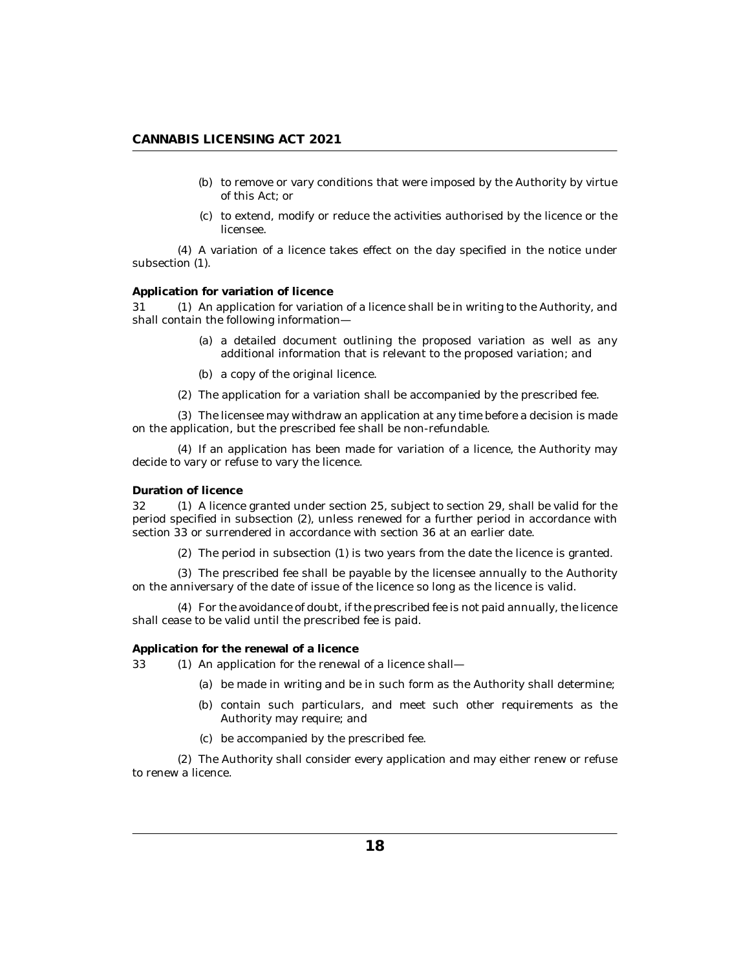- <span id="page-17-0"></span>(b) to remove or vary conditions that were imposed by the Authority by virtue of this Act; or
- (c) to extend, modify or reduce the activities authorised by the licence or the licensee.

A variation of a licence takes effect on the day specified in the notice under (4) subsection (1).

### **Application for variation of licence**

31 (1) An application for variation of a licence shall be in writing to the Authority, and shall contain the following information—

- (a) a detailed document outlining the proposed variation as well as any additional information that is relevant to the proposed variation; and
- (b) a copy of the original licence.
- The application for a variation shall be accompanied by the prescribed fee. (2)

The licensee may withdraw an application at any time before a decision is made (3) on the application, but the prescribed fee shall be non-refundable.

If an application has been made for variation of a licence, the Authority may (4) decide to vary or refuse to vary the licence.

### **Duration of licence**

32 (1) A licence granted under section 25, subject to section 29, shall be valid for the period specified in subsection (2), unless renewed for a further period in accordance with section 33 or surrendered in accordance with section 36 at an earlier date.

 $(2)$  The period in subsection  $(1)$  is two years from the date the licence is granted.

The prescribed fee shall be payable by the licensee annually to the Authority (3) on the anniversary of the date of issue of the licence so long as the licence is valid.

For the avoidance of doubt, if the prescribed fee is not paid annually, the licence (4) shall cease to be valid until the prescribed fee is paid.

**Application for the renewal of a licence**

33 (1) An application for the renewal of a licence shall—

- be made in writing and be in such form as the Authority shall determine; (a)
- (b) contain such particulars, and meet such other requirements as the Authority may require; and
- be accompanied by the prescribed fee. (c)

The Authority shall consider every application and may either renew or refuse (2) to renew a licence.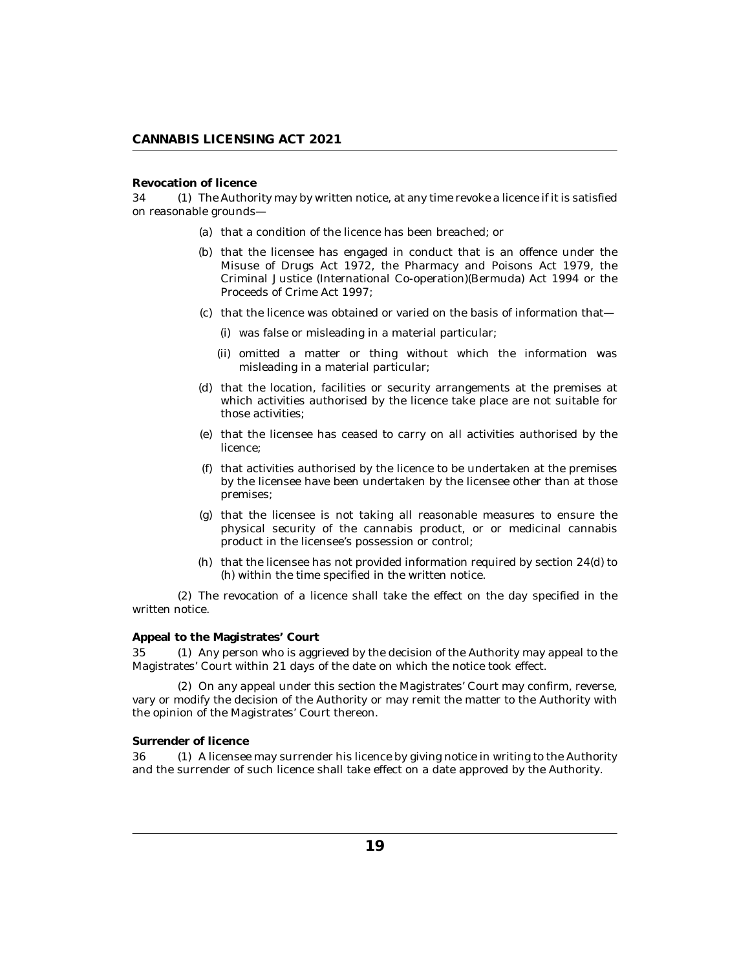## <span id="page-18-0"></span>**Revocation of licence**

34 (1) The Authority may by written notice, at any time revoke a licence if it is satisfied on reasonable grounds—

- (a) that a condition of the licence has been breached; or
- (b) that the licensee has engaged in conduct that is an offence under the Misuse of Drugs Act 1972, the Pharmacy and Poisons Act 1979, the Criminal Justice (International Co-operation)(Bermuda) Act 1994 or the Proceeds of Crime Act 1997;
- (c) that the licence was obtained or varied on the basis of information that
	- was false or misleading in a material particular; (i)
	- (ii) omitted a matter or thing without which the information was misleading in a material particular;
- (d) that the location, facilities or security arrangements at the premises at which activities authorised by the licence take place are not suitable for those activities;
- (e) that the licensee has ceased to carry on all activities authorised by the licence;
- that activities authorised by the licence to be undertaken at the premises (f) by the licensee have been undertaken by the licensee other than at those premises;
- $(g)$  that the licensee is not taking all reasonable measures to ensure the physical security of the cannabis product, or or medicinal cannabis product in the licensee's possession or control;
- (h) that the licensee has not provided information required by section  $24(d)$  to (h) within the time specified in the written notice.

 $(2)$  The revocation of a licence shall take the effect on the day specified in the written notice.

## **Appeal to the Magistrates' Court**

35 (1) Any person who is aggrieved by the decision of the Authority may appeal to the Magistrates' Court within 21 days of the date on which the notice took effect.

(2) On any appeal under this section the Magistrates' Court may confirm, reverse, vary or modify the decision of the Authority or may remit the matter to the Authority with the opinion of the Magistrates' Court thereon.

### **Surrender of licence**

36 (1) A licensee may surrender his licence by giving notice in writing to the Authority and the surrender of such licence shall take effect on a date approved by the Authority.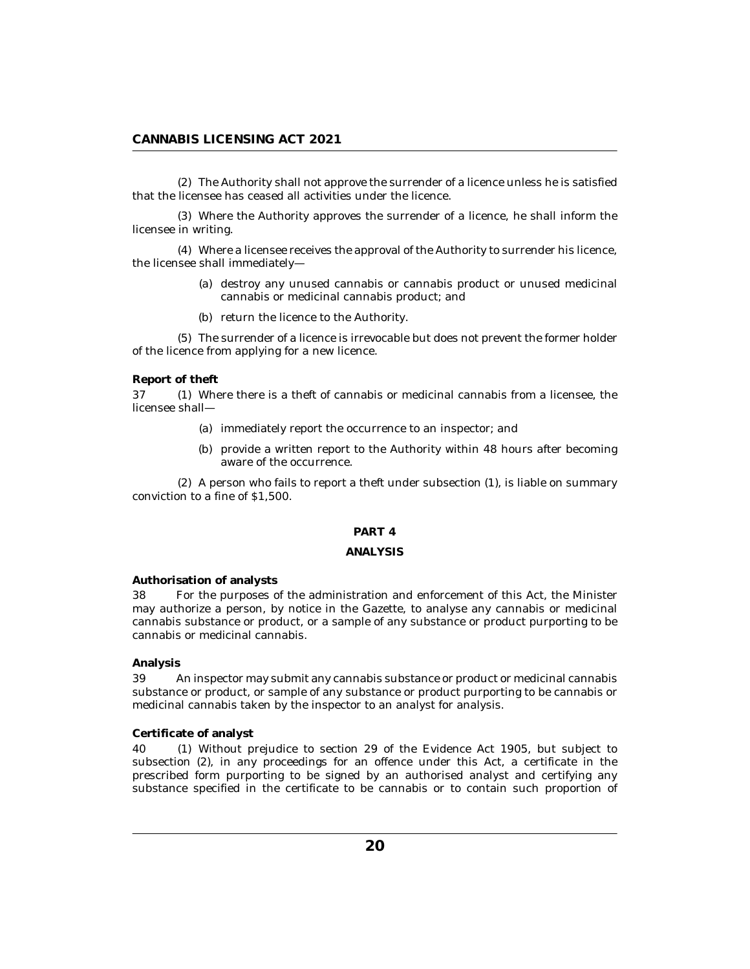<span id="page-19-0"></span>The Authority shall not approve the surrender of a licence unless he is satisfied (2) that the licensee has ceased all activities under the licence.

Where the Authority approves the surrender of a licence, he shall inform the (3) licensee in writing.

Where a licensee receives the approval of the Authority to surrender his licence, (4) the licensee shall immediately—

- (a) destroy any unused cannabis or cannabis product or unused medicinal cannabis or medicinal cannabis product; and
- (b) return the licence to the Authority.

The surrender of a licence is irrevocable but does not prevent the former holder (5) of the licence from applying for a new licence.

#### **Report of theft**

37 (1) Where there is a theft of cannabis or medicinal cannabis from a licensee, the licensee shall—

- (a) immediately report the occurrence to an inspector; and
- (b) provide a written report to the Authority within 48 hours after becoming aware of the occurrence.

 $(2)$  A person who fails to report a theft under subsection  $(1)$ , is liable on summary conviction to a fine of \$1,500.

## **PART 4**

### **ANALYSIS**

#### **Authorisation of analysts**

For the purposes of the administration and enforcement of this Act, the Minister may authorize a person, by notice in the Gazette, to analyse any cannabis or medicinal cannabis substance or product, or a sample of any substance or product purporting to be cannabis or medicinal cannabis. 38

## **Analysis**

An inspector may submit any cannabis substance or product or medicinal cannabis substance or product, or sample of any substance or product purporting to be cannabis or medicinal cannabis taken by the inspector to an analyst for analysis. 39

## **Certificate of analyst**

Without prejudice to section 29 of the Evidence Act 1905, but subject to subsection (2), in any proceedings for an offence under this Act, a certificate in the prescribed form purporting to be signed by an authorised analyst and certifying any substance specified in the certificate to be cannabis or to contain such proportion of 40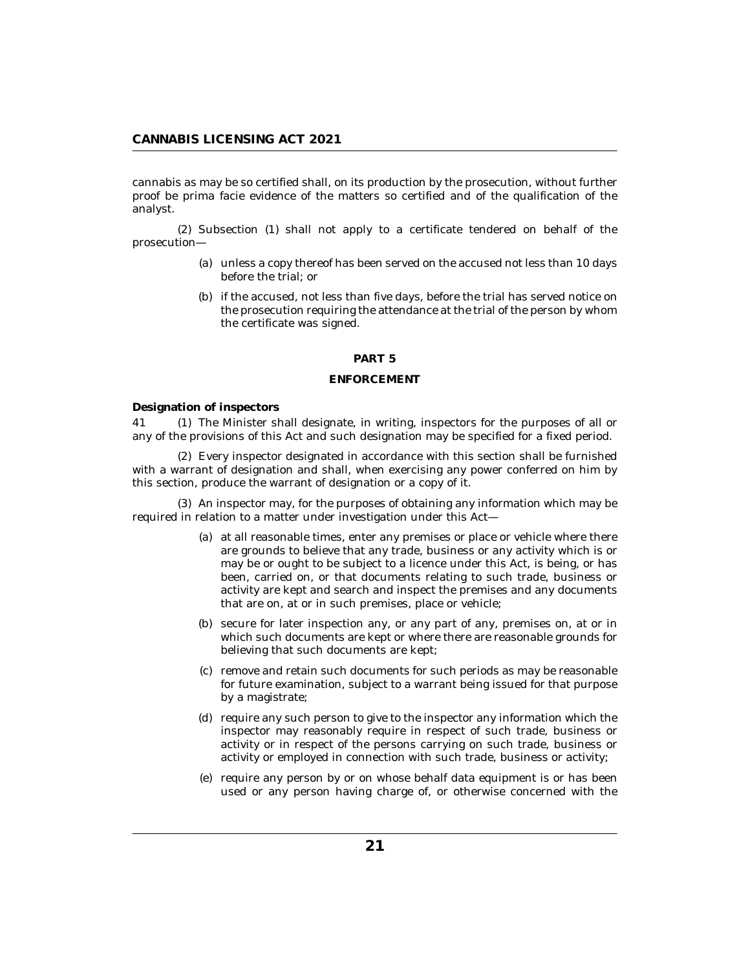<span id="page-20-0"></span>cannabis as may be so certified shall, on its production by the prosecution, without further proof be prima facie evidence of the matters so certified and of the qualification of the analyst.

 $(2)$  Subsection  $(1)$  shall not apply to a certificate tendered on behalf of the prosecution—

- (a) unless a copy thereof has been served on the accused not less than 10 days before the trial; or
- (b) if the accused, not less than five days, before the trial has served notice on the prosecution requiring the attendance at the trial of the person by whom the certificate was signed.

#### **PART 5**

### **ENFORCEMENT**

**Designation of inspectors**

41 (1) The Minister shall designate, in writing, inspectors for the purposes of all or any of the provisions of this Act and such designation may be specified for a fixed period.

Every inspector designated in accordance with this section shall be furnished (2) with a warrant of designation and shall, when exercising any power conferred on him by this section, produce the warrant of designation or a copy of it.

(3) An inspector may, for the purposes of obtaining any information which may be required in relation to a matter under investigation under this Act—

- at all reasonable times, enter any premises or place or vehicle where there (a) are grounds to believe that any trade, business or any activity which is or may be or ought to be subject to a licence under this Act, is being, or has been, carried on, or that documents relating to such trade, business or activity are kept and search and inspect the premises and any documents that are on, at or in such premises, place or vehicle;
- (b) secure for later inspection any, or any part of any, premises on, at or in which such documents are kept or where there are reasonable grounds for believing that such documents are kept;
- (c) remove and retain such documents for such periods as may be reasonable for future examination, subject to a warrant being issued for that purpose by a magistrate;
- (d) require any such person to give to the inspector any information which the inspector may reasonably require in respect of such trade, business or activity or in respect of the persons carrying on such trade, business or activity or employed in connection with such trade, business or activity;
- (e) require any person by or on whose behalf data equipment is or has been used or any person having charge of, or otherwise concerned with the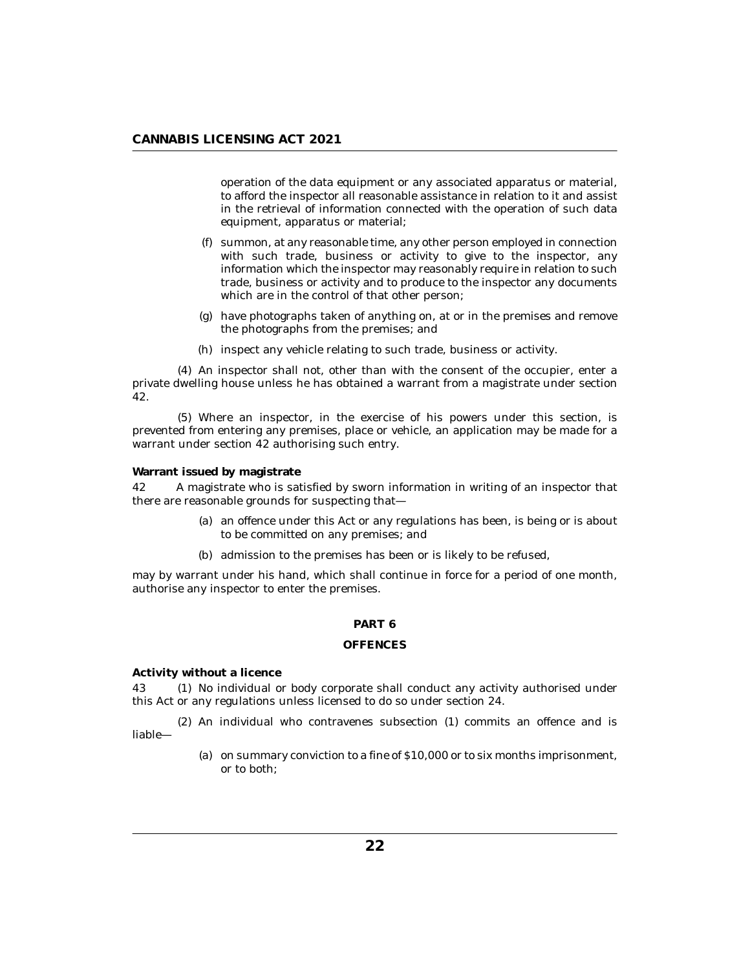<span id="page-21-0"></span>operation of the data equipment or any associated apparatus or material, to afford the inspector all reasonable assistance in relation to it and assist in the retrieval of information connected with the operation of such data equipment, apparatus or material;

- summon, at any reasonable time, any other person employed in connection (f) with such trade, business or activity to give to the inspector, any information which the inspector may reasonably require in relation to such trade, business or activity and to produce to the inspector any documents which are in the control of that other person;
- have photographs taken of anything on, at or in the premises and remove (g) the photographs from the premises; and
- (h) inspect any vehicle relating to such trade, business or activity.

An inspector shall not, other than with the consent of the occupier, enter a (4) private dwelling house unless he has obtained a warrant from a magistrate under section 42.

Where an inspector, in the exercise of his powers under this section, is (5) prevented from entering any premises, place or vehicle, an application may be made for a warrant under section 42 authorising such entry.

**Warrant issued by magistrate**

A magistrate who is satisfied by sworn information in writing of an inspector that there are reasonable grounds for suspecting that— 42

- (a) an offence under this Act or any regulations has been, is being or is about to be committed on any premises; and
- (b) admission to the premises has been or is likely to be refused,

may by warrant under his hand, which shall continue in force for a period of one month, authorise any inspector to enter the premises.

## **PART 6**

## **OFFENCES**

**Activity without a licence**

43 (1) No individual or body corporate shall conduct any activity authorised under this Act or any regulations unless licensed to do so under section 24.

(2) An individual who contravenes subsection (1) commits an offence and is liable—

> (a) on summary conviction to a fine of  $$10,000$  or to six months imprisonment, or to both;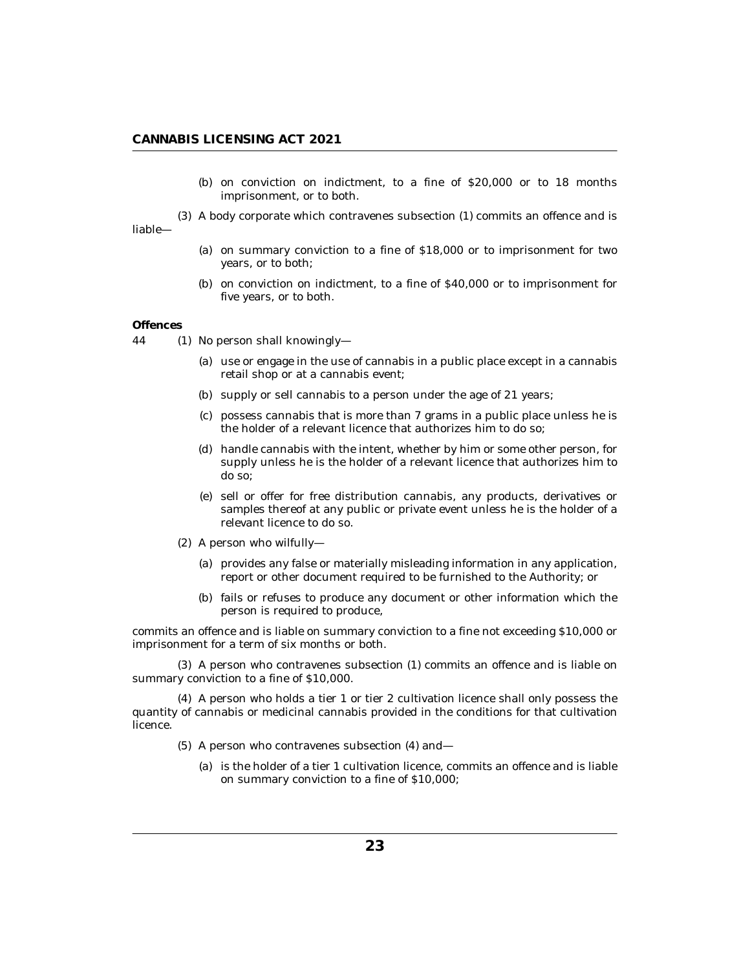(b) on conviction on indictment, to a fine of  $$20,000$  or to 18 months imprisonment, or to both.

<span id="page-22-0"></span>A body corporate which contravenes subsection (1) commits an offence and is (3) liable—

- (a) on summary conviction to a fine of  $$18,000$  or to imprisonment for two years, or to both;
- $(b)$  on conviction on indictment, to a fine of \$40,000 or to imprisonment for five years, or to both.

### **Offences**

- 44 (1) No person shall knowingly
	- use or engage in the use of cannabis in a public place except in a cannabis (a) retail shop or at a cannabis event;
	- (b) supply or sell cannabis to a person under the age of 21 years;
	- $(c)$  possess cannabis that is more than  $7$  grams in a public place unless he is the holder of a relevant licence that authorizes him to do so;
	- (d) handle cannabis with the intent, whether by him or some other person, for supply unless he is the holder of a relevant licence that authorizes him to do so;
	- (e) sell or offer for free distribution cannabis, any products, derivatives or samples thereof at any public or private event unless he is the holder of a relevant licence to do so.
	- (2) A person who wilfully—
		- (a) provides any false or materially misleading information in any application, report or other document required to be furnished to the Authority; or
		- (b) fails or refuses to produce any document or other information which the person is required to produce,

commits an offence and is liable on summary conviction to a fine not exceeding \$10,000 or imprisonment for a term of six months or both.

A person who contravenes subsection (1) commits an offence and is liable on (3) summary conviction to a fine of \$10,000.

A person who holds a tier 1 or tier 2 cultivation licence shall only possess the (4) quantity of cannabis or medicinal cannabis provided in the conditions for that cultivation licence.

- (5) A person who contravenes subsection (4) and
	- is the holder of a tier 1 cultivation licence, commits an offence and is liable (a) on summary conviction to a fine of \$10,000;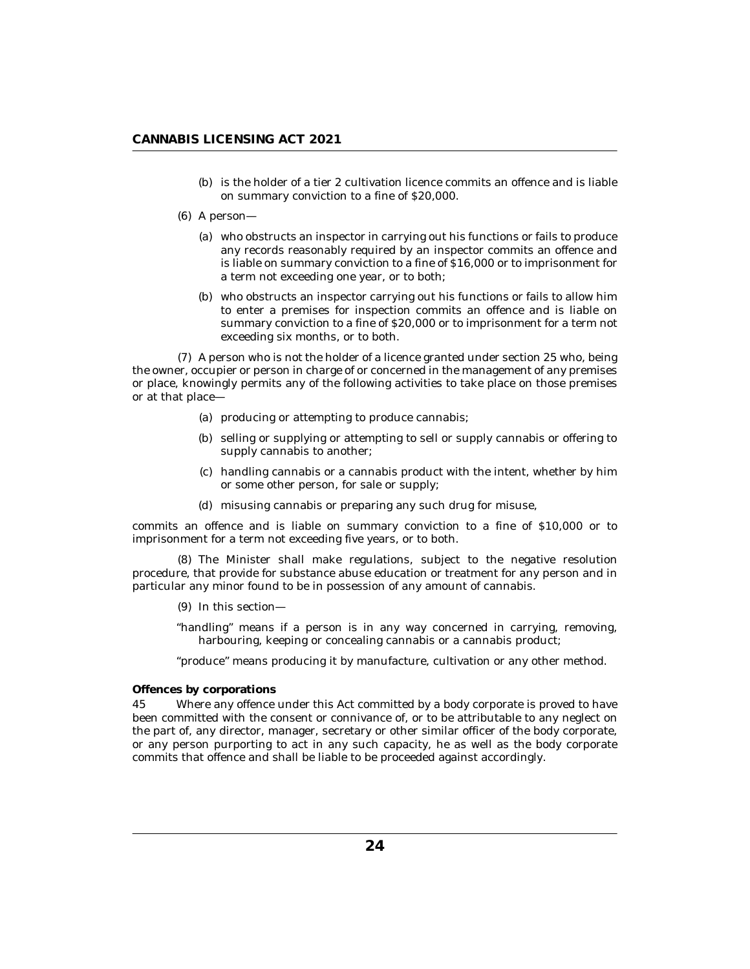- <span id="page-23-0"></span>(b) is the holder of a tier 2 cultivation licence commits an offence and is liable on summary conviction to a fine of \$20,000.
- A person— (6)
	- who obstructs an inspector in carrying out his functions or fails to produce (a) any records reasonably required by an inspector commits an offence and is liable on summary conviction to a fine of \$16,000 or to imprisonment for a term not exceeding one year, or to both;
	- who obstructs an inspector carrying out his functions or fails to allow him (b) to enter a premises for inspection commits an offence and is liable on summary conviction to a fine of \$20,000 or to imprisonment for a term not exceeding six months, or to both.

(7) A person who is not the holder of a licence granted under section 25 who, being the owner, occupier or person in charge of or concerned in the management of any premises or place, knowingly permits any of the following activities to take place on those premises or at that place—

- (a) producing or attempting to produce cannabis;
- (b) selling or supplying or attempting to sell or supply cannabis or offering to supply cannabis to another;
- handling cannabis or a cannabis product with the intent, whether by him (c) or some other person, for sale or supply;
- misusing cannabis or preparing any such drug for misuse, (d)

commits an offence and is liable on summary conviction to a fine of \$10,000 or to imprisonment for a term not exceeding five years, or to both.

The Minister shall make regulations, subject to the negative resolution (8) procedure, that provide for substance abuse education or treatment for any person and in particular any minor found to be in possession of any amount of cannabis.

(9) In this section—

"handling" means if a person is in any way concerned in carrying, removing, harbouring, keeping or concealing cannabis or a cannabis product;

"produce" means producing it by manufacture, cultivation or any other method.

**Offences by corporations**

Where any offence under this Act committed by a body corporate is proved to have been committed with the consent or connivance of, or to be attributable to any neglect on the part of, any director, manager, secretary or other similar officer of the body corporate, or any person purporting to act in any such capacity, he as well as the body corporate commits that offence and shall be liable to be proceeded against accordingly. 45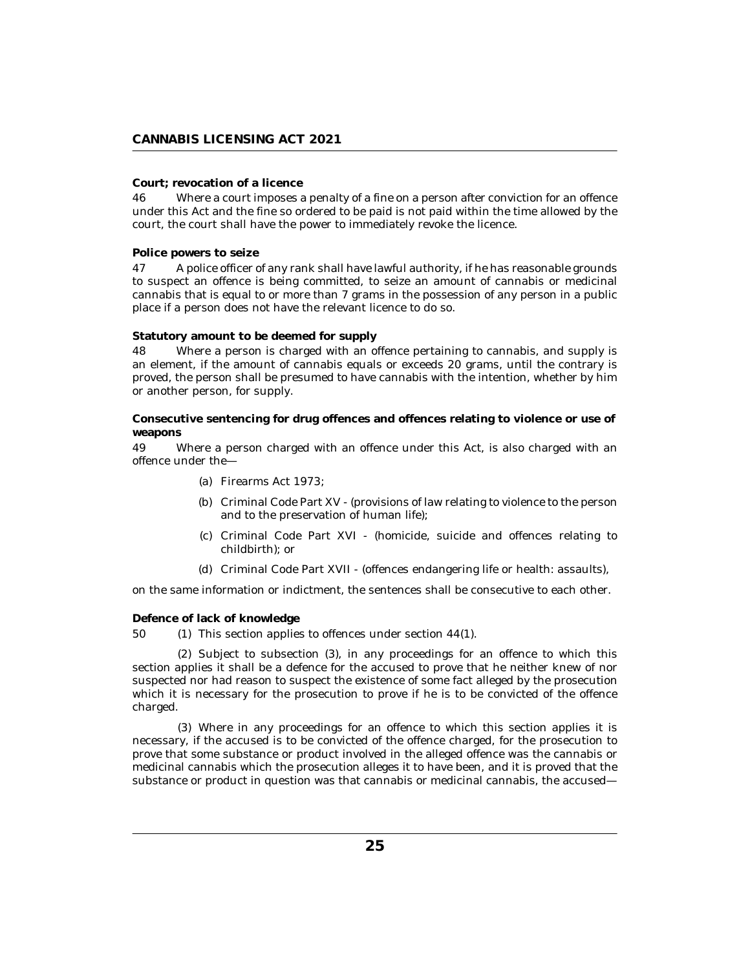## <span id="page-24-0"></span>**Court; revocation of a licence**

Where a court imposes a penalty of a fine on a person after conviction for an offence under this Act and the fine so ordered to be paid is not paid within the time allowed by the court, the court shall have the power to immediately revoke the licence. 46

**Police powers to seize**

A police officer of any rank shall have lawful authority, if he has reasonable grounds to suspect an offence is being committed, to seize an amount of cannabis or medicinal cannabis that is equal to or more than 7 grams in the possession of any person in a public place if a person does not have the relevant licence to do so. 47

**Statutory amount to be deemed for supply**

Where a person is charged with an offence pertaining to cannabis, and supply is an element, if the amount of cannabis equals or exceeds 20 grams, until the contrary is proved, the person shall be presumed to have cannabis with the intention, whether by him or another person, for supply. 48

**Consecutive sentencing for drug offences and offences relating to violence or use of weapons**

Where a person charged with an offence under this Act, is also charged with an offence under the— 49

- Firearms Act 1973; (a)
- (b) Criminal Code Part XV (provisions of law relating to violence to the person and to the preservation of human life);
- (c) Criminal Code Part XVI (homicide, suicide and offences relating to childbirth); or
- Criminal Code Part XVII (offences endangering life or health: assaults), (d)

on the same information or indictment, the sentences shall be consecutive to each other.

**Defence of lack of knowledge**

(1) This section applies to offences under section  $44(1)$ . 50

 $(2)$  Subject to subsection  $(3)$ , in any proceedings for an offence to which this section applies it shall be a defence for the accused to prove that he neither knew of nor suspected nor had reason to suspect the existence of some fact alleged by the prosecution which it is necessary for the prosecution to prove if he is to be convicted of the offence charged.

Where in any proceedings for an offence to which this section applies it is (3) necessary, if the accused is to be convicted of the offence charged, for the prosecution to prove that some substance or product involved in the alleged offence was the cannabis or medicinal cannabis which the prosecution alleges it to have been, and it is proved that the substance or product in question was that cannabis or medicinal cannabis, the accused—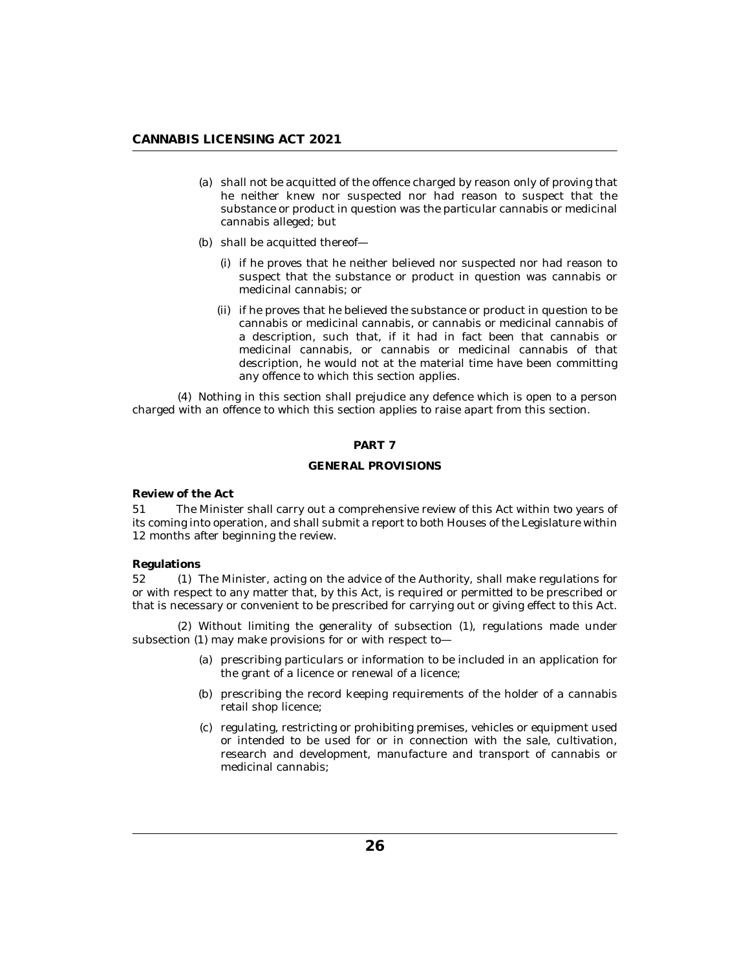- <span id="page-25-0"></span>shall not be acquitted of the offence charged by reason only of proving that (a) he neither knew nor suspected nor had reason to suspect that the substance or product in question was the particular cannabis or medicinal cannabis alleged; but
- (b) shall be acquitted thereof-
	- (i) if he proves that he neither believed nor suspected nor had reason to suspect that the substance or product in question was cannabis or medicinal cannabis; or
	- (ii) if he proves that he believed the substance or product in question to be cannabis or medicinal cannabis, or cannabis or medicinal cannabis of a description, such that, if it had in fact been that cannabis or medicinal cannabis, or cannabis or medicinal cannabis of that description, he would not at the material time have been committing any offence to which this section applies.

(4) Nothing in this section shall prejudice any defence which is open to a person charged with an offence to which this section applies to raise apart from this section.

## **PART 7**

## **GENERAL PROVISIONS**

**Review of the Act**

The Minister shall carry out a comprehensive review of this Act within two years of its coming into operation, and shall submit a report to both Houses of the Legislature within 12 months after beginning the review. 51

#### **Regulations**

(1) The Minister, acting on the advice of the Authority, shall make regulations for or with respect to any matter that, by this Act, is required or permitted to be prescribed or that is necessary or convenient to be prescribed for carrying out or giving effect to this Act.  $52\,$ 

Without limiting the generality of subsection (1), regulations made under (2) subsection (1) may make provisions for or with respect to—

- (a) prescribing particulars or information to be included in an application for the grant of a licence or renewal of a licence;
- (b) prescribing the record keeping requirements of the holder of a cannabis retail shop licence;
- (c) regulating, restricting or prohibiting premises, vehicles or equipment used or intended to be used for or in connection with the sale, cultivation, research and development, manufacture and transport of cannabis or medicinal cannabis;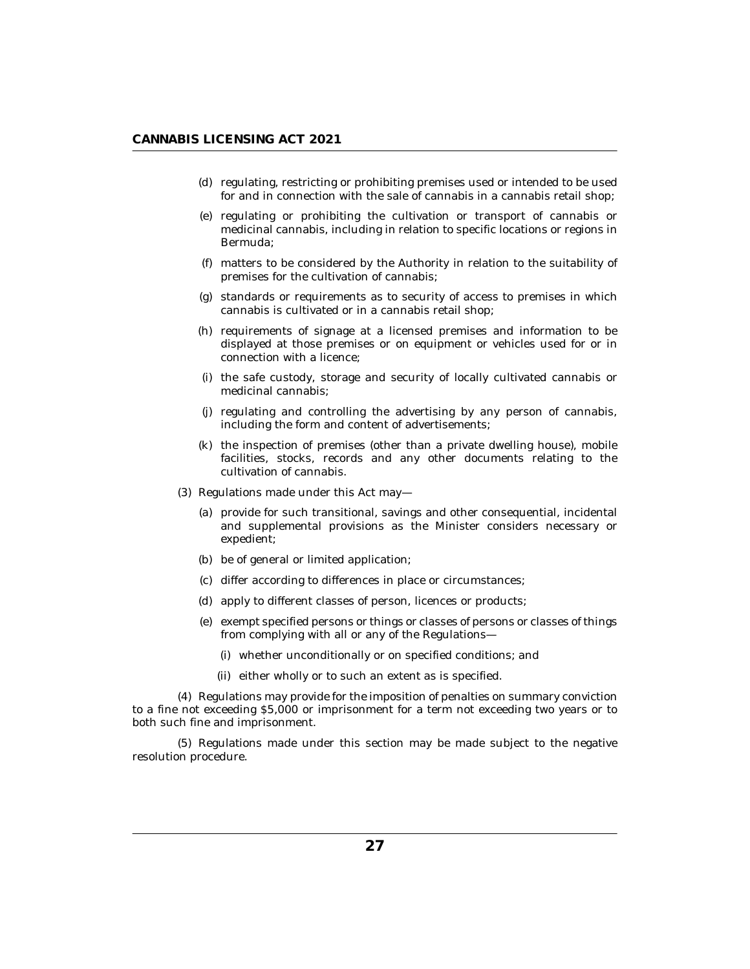- (d) regulating, restricting or prohibiting premises used or intended to be used for and in connection with the sale of cannabis in a cannabis retail shop;
- regulating or prohibiting the cultivation or transport of cannabis or (e) medicinal cannabis, including in relation to specific locations or regions in Bermuda;
- matters to be considered by the Authority in relation to the suitability of (f) premises for the cultivation of cannabis;
- $(g)$  standards or requirements as to security of access to premises in which cannabis is cultivated or in a cannabis retail shop;
- (h) requirements of signage at a licensed premises and information to be displayed at those premises or on equipment or vehicles used for or in connection with a licence;
- (i) the safe custody, storage and security of locally cultivated cannabis or medicinal cannabis;
- (j) regulating and controlling the advertising by any person of cannabis, including the form and content of advertisements;
- (k) the inspection of premises (other than a private dwelling house), mobile facilities, stocks, records and any other documents relating to the cultivation of cannabis.
- $(3)$  Regulations made under this Act may-
	- (a) provide for such transitional, savings and other consequential, incidental and supplemental provisions as the Minister considers necessary or expedient;
	- (b) be of general or limited application;
	- (c) differ according to differences in place or circumstances;
	- (d) apply to different classes of person, licences or products;
	- (e) exempt specified persons or things or classes of persons or classes of things from complying with all or any of the Regulations
		- whether unconditionally or on specified conditions; and (i)
		- (ii) either wholly or to such an extent as is specified.

(4) Regulations may provide for the imposition of penalties on summary conviction to a fine not exceeding \$5,000 or imprisonment for a term not exceeding two years or to both such fine and imprisonment.

(5) Regulations made under this section may be made subject to the negative resolution procedure.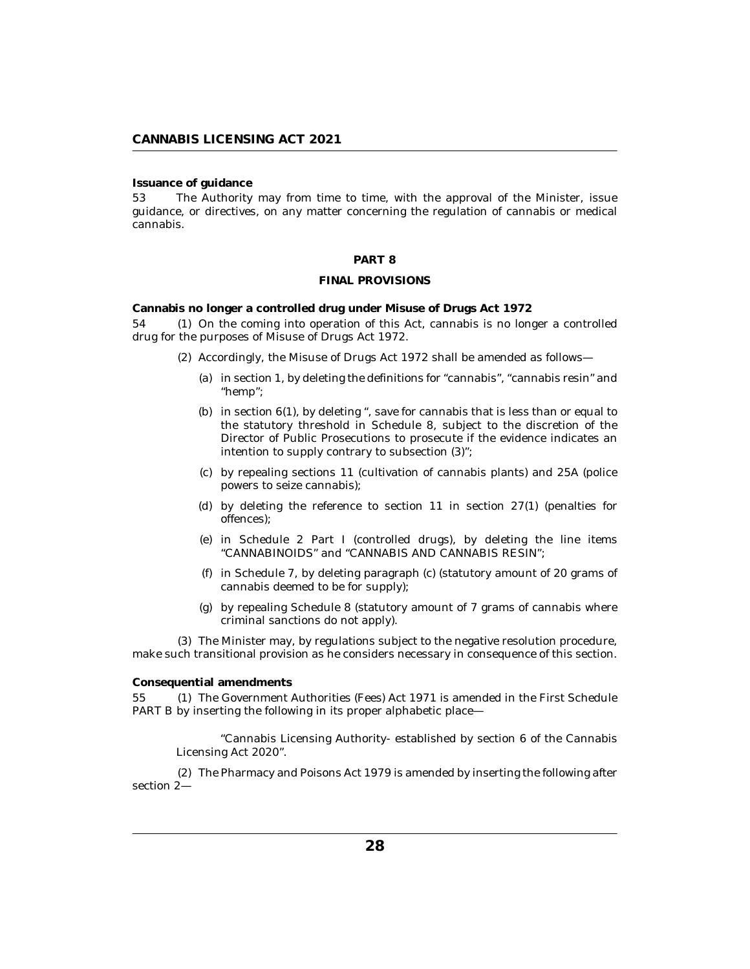<span id="page-27-0"></span>**Issuance of guidance**

The Authority may from time to time, with the approval of the Minister, issue guidance, or directives, on any matter concerning the regulation of cannabis or medical cannabis. 53

#### **PART 8**

#### **FINAL PROVISIONS**

**Cannabis no longer a controlled drug under Misuse of Drugs Act 1972**

54 (1) On the coming into operation of this Act, cannabis is no longer a controlled drug for the purposes of Misuse of Drugs Act 1972.

- (2) Accordingly, the Misuse of Drugs Act 1972 shall be amended as follows—
	- (a) in section 1, by deleting the definitions for "cannabis", "cannabis resin" and "hemp";
	- (b) in section  $6(1)$ , by deleting ", save for cannabis that is less than or equal to the statutory threshold in Schedule 8, subject to the discretion of the Director of Public Prosecutions to prosecute if the evidence indicates an intention to supply contrary to subsection (3)";
	- $(c)$  by repealing sections 11 (cultivation of cannabis plants) and 25A (police powers to seize cannabis);
	- (d) by deleting the reference to section  $11$  in section  $27(1)$  (penalties for offences);
	- in Schedule 2 Part I (controlled drugs), by deleting the line items (e) "CANNABINOIDS" and "CANNABIS AND CANNABIS RESIN";
	- $(f)$  in Schedule 7, by deleting paragraph  $(c)$  (statutory amount of 20 grams of cannabis deemed to be for supply);
	- by repealing Schedule 8 (statutory amount of 7 grams of cannabis where (g) criminal sanctions do not apply).

The Minister may, by regulations subject to the negative resolution procedure, (3) make such transitional provision as he considers necessary in consequence of this section.

**Consequential amendments**

The Government Authorities (Fees) Act 1971 is amended in the First Schedule PART B by inserting the following in its proper alphabetic place— 55

"Cannabis Licensing Authority- established by section 6 of the Cannabis Licensing Act 2020".

The Pharmacy and Poisons Act 1979 is amended by inserting the following after (2) section 2—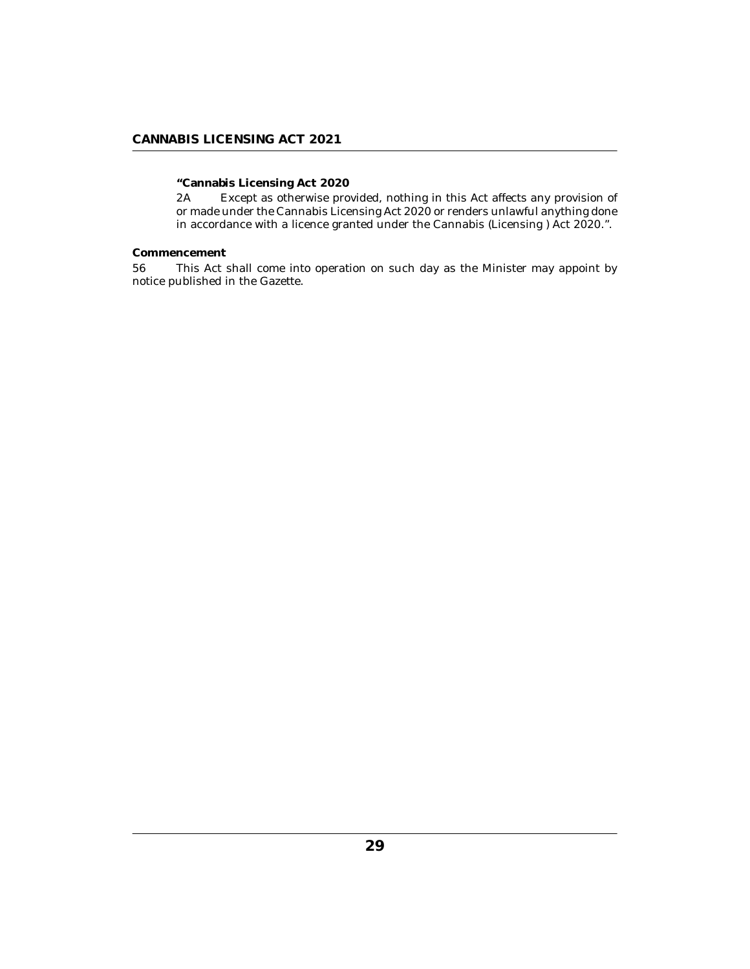## <span id="page-28-0"></span>**CANNABIS LICENSING ACT 2021**

**"Cannabis Licensing Act 2020**

Except as otherwise provided, nothing in this Act affects any provision of or made under the Cannabis Licensing Act 2020 or renders unlawful anything done in accordance with a licence granted under the Cannabis (Licensing ) Act 2020.". 2A

**Commencement**

This Act shall come into operation on such day as the Minister may appoint by notice published in the Gazette. 56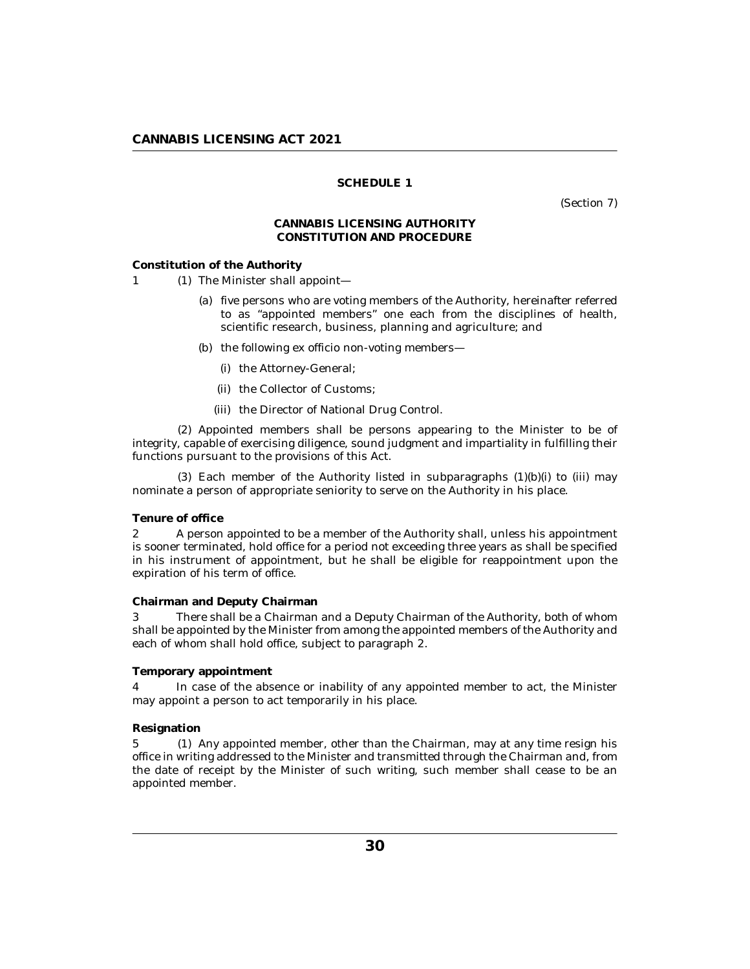## **SCHEDULE 1**

(Section 7)

## **CANNABIS LICENSING AUTHORITY CONSTITUTION AND PROCEDURE**

### <span id="page-29-0"></span>**Constitution of the Authority**

- 1 (1) The Minister shall appoint
	- five persons who are voting members of the Authority, hereinafter referred (a) to as "appointed members" one each from the disciplines of health, scientific research, business, planning and agriculture; and
	- (b) the following ex officio non-voting members—
		- (i) the Attorney-General;
		- (ii) the Collector of Customs;
		- (iii) the Director of National Drug Control.

(2) Appointed members shall be persons appearing to the Minister to be of integrity, capable of exercising diligence, sound judgment and impartiality in fulfilling their functions pursuant to the provisions of this Act.

 $(3)$  Each member of the Authority listed in subparagraphs  $(1)(b)(i)$  to  $(iii)$  may nominate a person of appropriate seniority to serve on the Authority in his place.

## **Tenure of office**

A person appointed to be a member of the Authority shall, unless his appointment is sooner terminated, hold office for a period not exceeding three years as shall be specified in his instrument of appointment, but he shall be eligible for reappointment upon the expiration of his term of office. 2

### **Chairman and Deputy Chairman**

There shall be a Chairman and a Deputy Chairman of the Authority, both of whom shall be appointed by the Minister from among the appointed members of the Authority and each of whom shall hold office, subject to paragraph 2. 3

## **Temporary appointment**

In case of the absence or inability of any appointed member to act, the Minister may appoint a person to act temporarily in his place. 4

### **Resignation**

5 (1) Any appointed member, other than the Chairman, may at any time resign his office in writing addressed to the Minister and transmitted through the Chairman and, from the date of receipt by the Minister of such writing, such member shall cease to be an appointed member.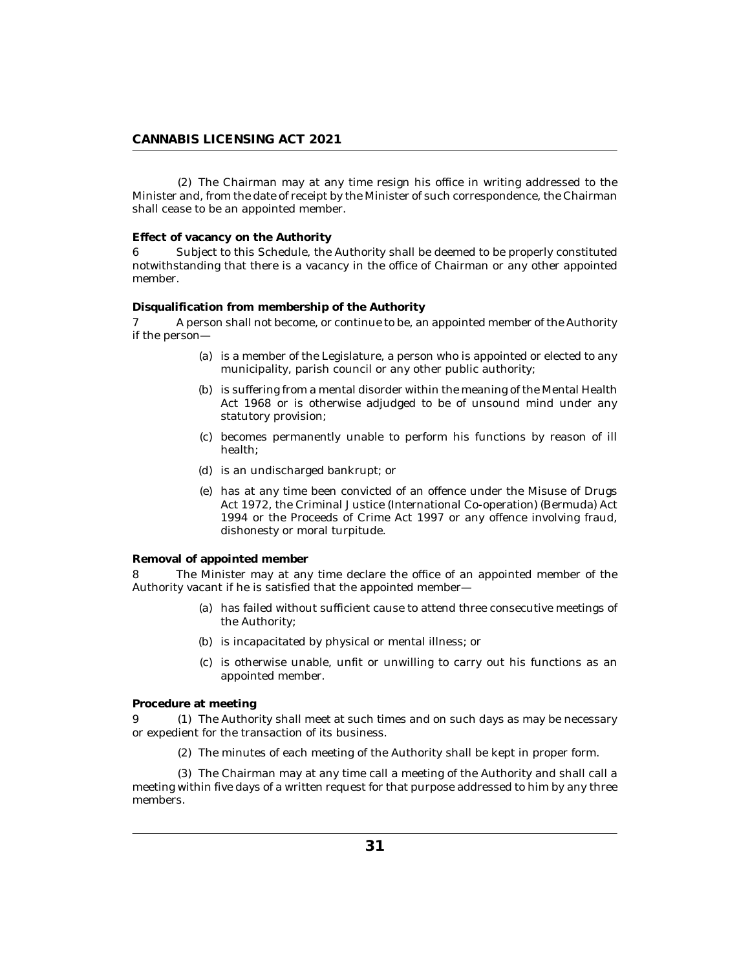The Chairman may at any time resign his office in writing addressed to the (2) Minister and, from the date of receipt by the Minister of such correspondence, the Chairman shall cease to be an appointed member.

**Effect of vacancy on the Authority**

Subject to this Schedule, the Authority shall be deemed to be properly constituted notwithstanding that there is a vacancy in the office of Chairman or any other appointed member. 6

**Disqualification from membership of the Authority**

A person shall not become, or continue to be, an appointed member of the Authority if the person— 7

- (a) is a member of the Legislature, a person who is appointed or elected to any municipality, parish council or any other public authority;
- (b) is suffering from a mental disorder within the meaning of the Mental Health Act 1968 or is otherwise adjudged to be of unsound mind under any statutory provision;
- becomes permanently unable to perform his functions by reason of ill (c) health;
- (d) is an undischarged bankrupt; or
- has at any time been convicted of an offence under the Misuse of Drugs (e) Act 1972, the Criminal Justice (International Co-operation) (Bermuda) Act 1994 or the Proceeds of Crime Act 1997 or any offence involving fraud, dishonesty or moral turpitude.

**Removal of appointed member**

The Minister may at any time declare the office of an appointed member of the Authority vacant if he is satisfied that the appointed member— 8

- has failed without sufficient cause to attend three consecutive meetings of (a) the Authority;
- (b) is incapacitated by physical or mental illness; or
- (c) is otherwise unable, unfit or unwilling to carry out his functions as an appointed member.

**Procedure at meeting**

The Authority shall meet at such times and on such days as may be necessary 9 (1) or expedient for the transaction of its business.

The minutes of each meeting of the Authority shall be kept in proper form. (2)

The Chairman may at any time call a meeting of the Authority and shall call a (3) meeting within five days of a written request for that purpose addressed to him by any three members.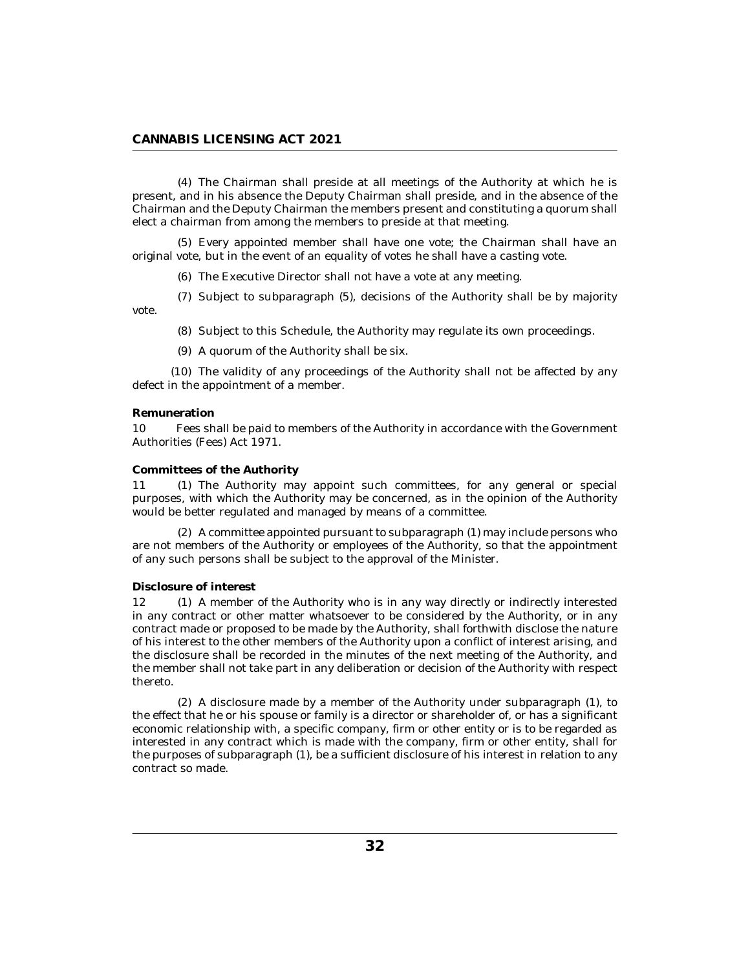## **CANNABIS LICENSING ACT 2021**

The Chairman shall preside at all meetings of the Authority at which he is (4) present, and in his absence the Deputy Chairman shall preside, and in the absence of the Chairman and the Deputy Chairman the members present and constituting a quorum shall elect a chairman from among the members to preside at that meeting.

Every appointed member shall have one vote; the Chairman shall have an (5) original vote, but in the event of an equality of votes he shall have a casting vote.

(6) The Executive Director shall not have a vote at any meeting.

(7) Subject to subparagraph (5), decisions of the Authority shall be by majority vote.

(8) Subject to this Schedule, the Authority may regulate its own proceedings.

(9) A quorum of the Authority shall be six.

 $(10)$  The validity of any proceedings of the Authority shall not be affected by any defect in the appointment of a member.

#### **Remuneration**

Fees shall be paid to members of the Authority in accordance with the Government Authorities (Fees) Act 1971.  $1<sub>0</sub>$ 

### **Committees of the Authority**

11 (1) The Authority may appoint such committees, for any general or special purposes, with which the Authority may be concerned, as in the opinion of the Authority would be better regulated and managed by means of a committee.

(2) A committee appointed pursuant to subparagraph (1) may include persons who are not members of the Authority or employees of the Authority, so that the appointment of any such persons shall be subject to the approval of the Minister.

#### **Disclosure of interest**

12 (1) A member of the Authority who is in any way directly or indirectly interested in any contract or other matter whatsoever to be considered by the Authority, or in any contract made or proposed to be made by the Authority, shall forthwith disclose the nature of his interest to the other members of the Authority upon a conflict of interest arising, and the disclosure shall be recorded in the minutes of the next meeting of the Authority, and the member shall not take part in any deliberation or decision of the Authority with respect thereto.

A disclosure made by a member of the Authority under subparagraph (1), to (2) the effect that he or his spouse or family is a director or shareholder of, or has a significant economic relationship with, a specific company, firm or other entity or is to be regarded as interested in any contract which is made with the company, firm or other entity, shall for the purposes of subparagraph (1), be a sufficient disclosure of his interest in relation to any contract so made.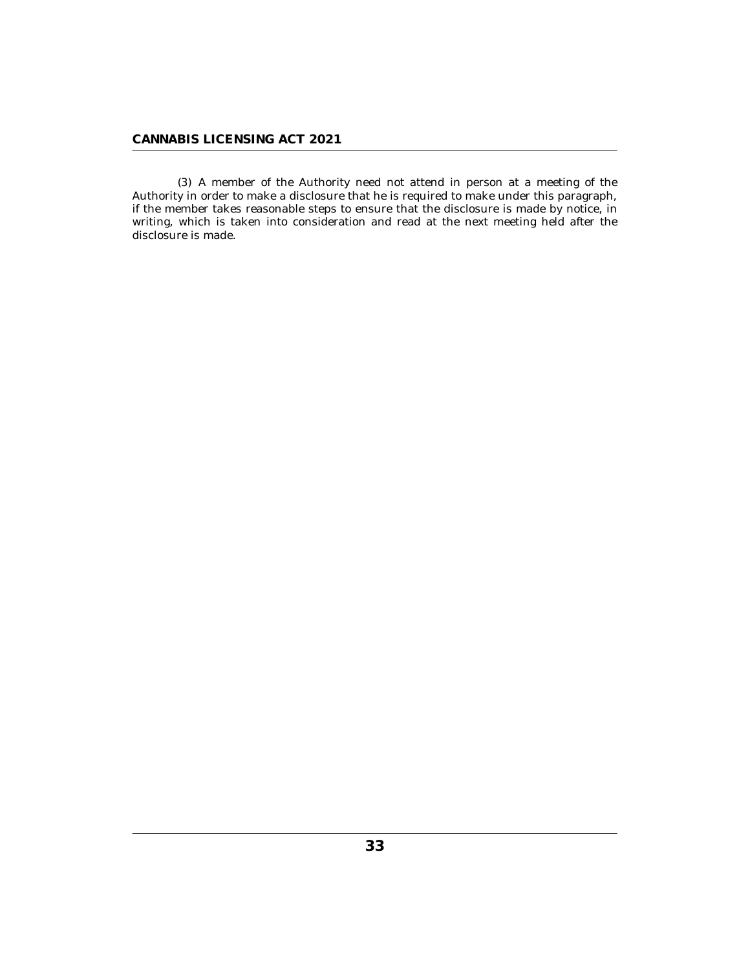(3) A member of the Authority need not attend in person at a meeting of the Authority in order to make a disclosure that he is required to make under this paragraph, if the member takes reasonable steps to ensure that the disclosure is made by notice, in writing, which is taken into consideration and read at the next meeting held after the disclosure is made.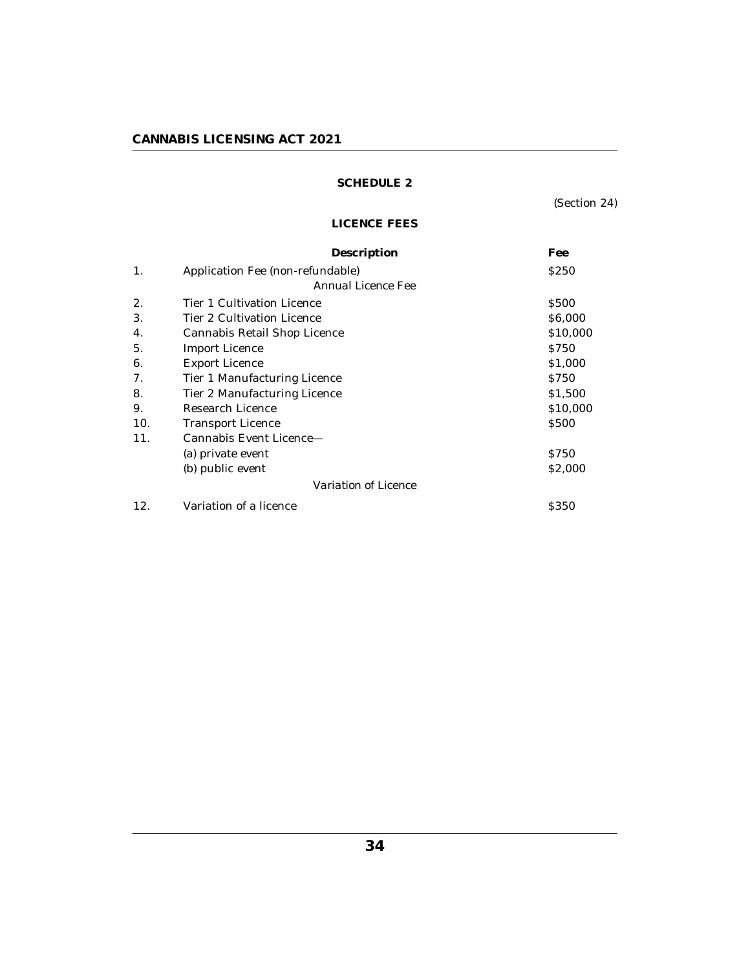## <span id="page-33-0"></span>**CANNABIS LICENSING ACT 2021**

## **SCHEDULE 2**

(Section 24)

## **LICENCE FEES**

|                      | Description                       | Fee         |
|----------------------|-----------------------------------|-------------|
| 1.                   | Application Fee (non-refundable)  | <b>S250</b> |
| Annual Licence Fee   |                                   |             |
| 2.                   | Tier 1 Cultivation Licence        | <b>S500</b> |
| 3.                   | <b>Tier 2 Cultivation Licence</b> | \$6,000     |
| 4.                   | Cannabis Retail Shop Licence      | \$10,000    |
| 5.                   | Import Licence                    | \$750       |
| 6.                   | <b>Export Licence</b>             | \$1,000     |
| 7.                   | Tier 1 Manufacturing Licence      | \$750       |
| 8.                   | Tier 2 Manufacturing Licence      | \$1,500     |
| 9.                   | Research Licence                  | \$10,000    |
| 10.                  | Transport Licence                 | \$500       |
| 11.                  | Cannabis Event Licence—           |             |
|                      | (a) private event                 | \$750       |
|                      | (b) public event                  | \$2,000     |
| Variation of Licence |                                   |             |
| 12.                  | Variation of a licence            | <b>S350</b> |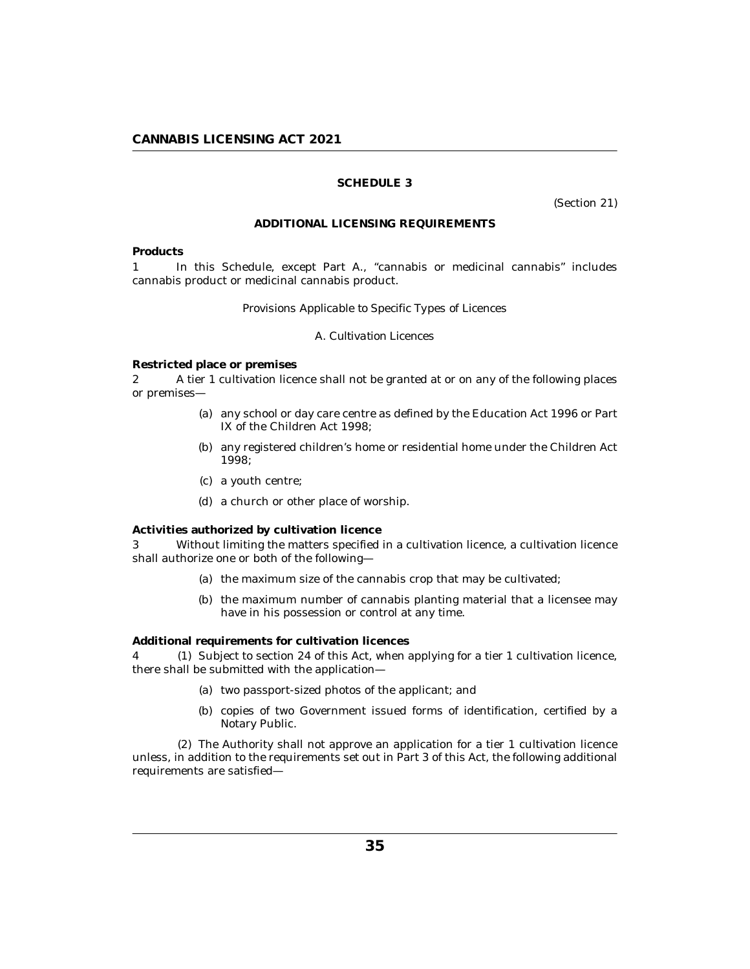## **SCHEDULE 3**

(Section 21)

### **ADDITIONAL LICENSING REQUIREMENTS**

#### <span id="page-34-0"></span>**Products**

In this Schedule, except Part A., "cannabis or medicinal cannabis" includes cannabis product or medicinal cannabis product. 1

### *Provisions Applicable to Specific Types of Licences*

## *A. Cultivation Licences*

**Restricted place or premises**

A tier 1 cultivation licence shall not be granted at or on any of the following places or premises— 2

- (a) any school or day care centre as defined by the Education Act 1996 or Part IX of the Children Act 1998;
- (b) any registered children's home or residential home under the Children Act 1998;
- a youth centre; (c)
- a church or other place of worship. (d)

**Activities authorized by cultivation licence**

Without limiting the matters specified in a cultivation licence, a cultivation licence shall authorize one or both of the following— 3

- (a) the maximum size of the cannabis crop that may be cultivated;
- (b) the maximum number of cannabis planting material that a licensee may have in his possession or control at any time.

**Additional requirements for cultivation licences**

4 (1) Subject to section 24 of this Act, when applying for a tier 1 cultivation licence, there shall be submitted with the application—

- (a) two passport-sized photos of the applicant; and
- (b) copies of two Government issued forms of identification, certified by a Notary Public.

The Authority shall not approve an application for a tier 1 cultivation licence (2) unless, in addition to the requirements set out in Part 3 of this Act, the following additional requirements are satisfied—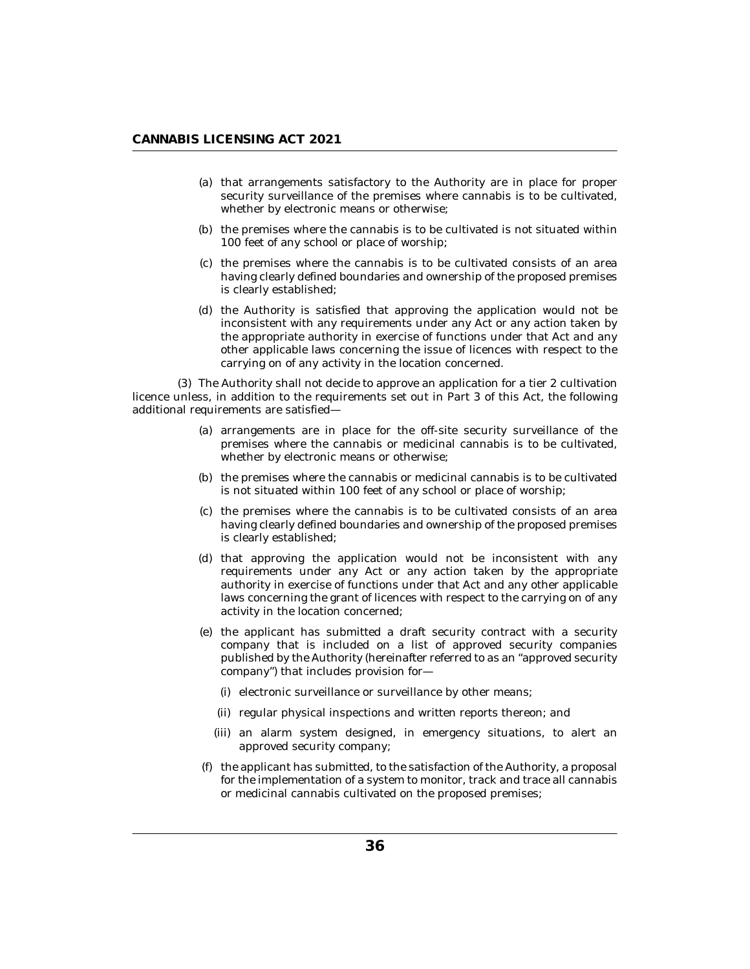- (a) that arrangements satisfactory to the Authority are in place for proper security surveillance of the premises where cannabis is to be cultivated, whether by electronic means or otherwise;
- (b) the premises where the cannabis is to be cultivated is not situated within 100 feet of any school or place of worship;
- (c) the premises where the cannabis is to be cultivated consists of an area having clearly defined boundaries and ownership of the proposed premises is clearly established;
- (d) the Authority is satisfied that approving the application would not be inconsistent with any requirements under any Act or any action taken by the appropriate authority in exercise of functions under that Act and any other applicable laws concerning the issue of licences with respect to the carrying on of any activity in the location concerned.

The Authority shall not decide to approve an application for a tier 2 cultivation (3) licence unless, in addition to the requirements set out in Part 3 of this Act, the following additional requirements are satisfied—

- (a) arrangements are in place for the off-site security surveillance of the premises where the cannabis or medicinal cannabis is to be cultivated, whether by electronic means or otherwise;
- (b) the premises where the cannabis or medicinal cannabis is to be cultivated is not situated within 100 feet of any school or place of worship;
- (c) the premises where the cannabis is to be cultivated consists of an area having clearly defined boundaries and ownership of the proposed premises is clearly established;
- (d) that approving the application would not be inconsistent with any requirements under any Act or any action taken by the appropriate authority in exercise of functions under that Act and any other applicable laws concerning the grant of licences with respect to the carrying on of any activity in the location concerned;
- (e) the applicant has submitted a draft security contract with a security company that is included on a list of approved security companies published by the Authority (hereinafter referred to as an "approved security company") that includes provision for—
	- (i) electronic surveillance or surveillance by other means;
	- (ii) regular physical inspections and written reports thereon; and
	- (iii) an alarm system designed, in emergency situations, to alert an approved security company;
- $(f)$  the applicant has submitted, to the satisfaction of the Authority, a proposal for the implementation of a system to monitor, track and trace all cannabis or medicinal cannabis cultivated on the proposed premises;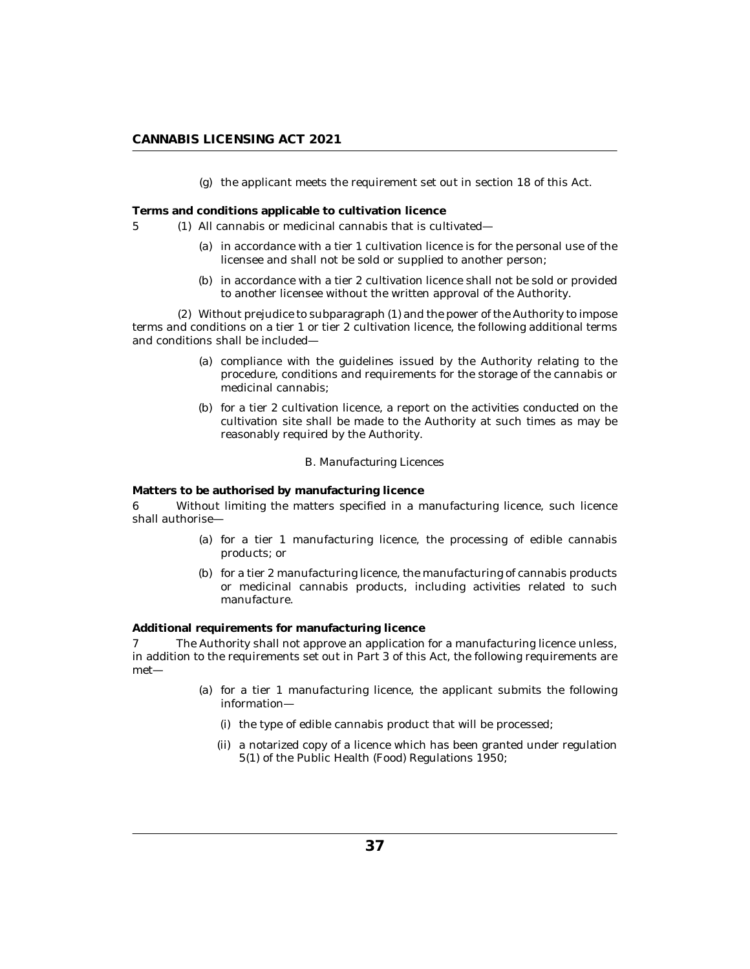## **CANNABIS LICENSING ACT 2021**

(g) the applicant meets the requirement set out in section 18 of this Act.

**Terms and conditions applicable to cultivation licence**

- 5 (1) All cannabis or medicinal cannabis that is cultivated—
	- (a) in accordance with a tier  $1$  cultivation licence is for the personal use of the licensee and shall not be sold or supplied to another person;
	- (b) in accordance with a tier 2 cultivation licence shall not be sold or provided to another licensee without the written approval of the Authority.

Without prejudice to subparagraph (1) and the power of the Authority to impose (2) terms and conditions on a tier 1 or tier 2 cultivation licence, the following additional terms and conditions shall be included—

- (a) compliance with the guidelines issued by the Authority relating to the procedure, conditions and requirements for the storage of the cannabis or medicinal cannabis;
- (b) for a tier 2 cultivation licence, a report on the activities conducted on the cultivation site shall be made to the Authority at such times as may be reasonably required by the Authority.

### *B. Manufacturing Licences*

**Matters to be authorised by manufacturing licence**

Without limiting the matters specified in a manufacturing licence, such licence shall authorise— 6

- for a tier 1 manufacturing licence, the processing of edible cannabis (a) products; or
- (b) for a tier 2 manufacturing licence, the manufacturing of cannabis products or medicinal cannabis products, including activities related to such manufacture.

**Additional requirements for manufacturing licence**

The Authority shall not approve an application for a manufacturing licence unless, in addition to the requirements set out in Part 3 of this Act, the following requirements are met— 7

- (a) for a tier 1 manufacturing licence, the applicant submits the following information—
	- (i) the type of edible cannabis product that will be processed;
	- (ii) a notarized copy of a licence which has been granted under regulation 5(1) of the Public Health (Food) Regulations 1950;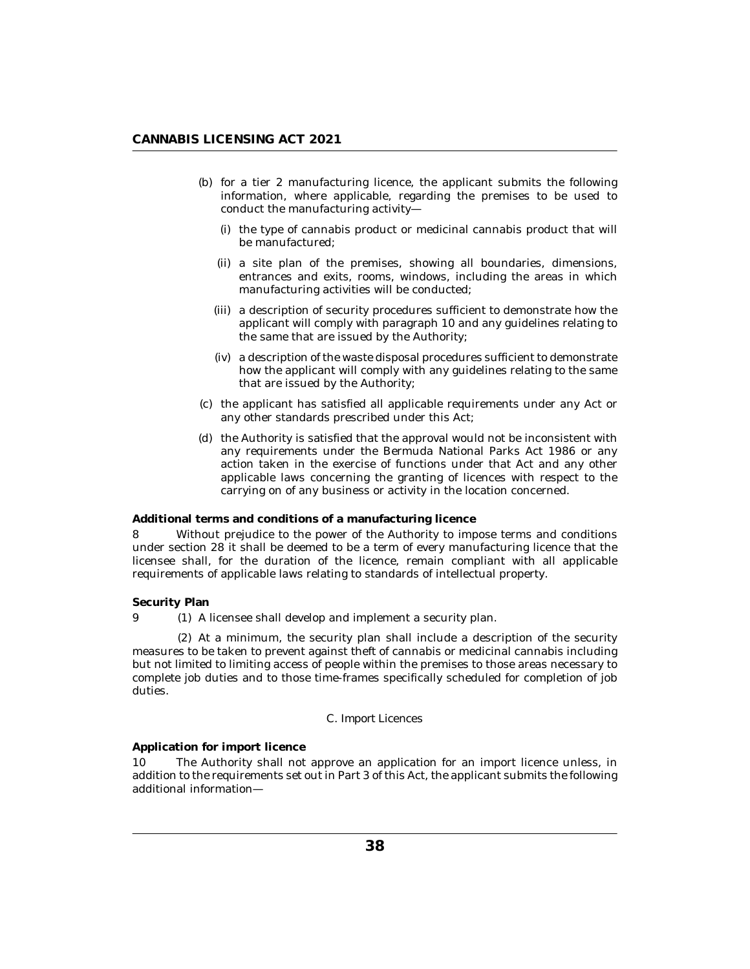- (b) for a tier 2 manufacturing licence, the applicant submits the following information, where applicable, regarding the premises to be used to conduct the manufacturing activity—
	- (i) the type of cannabis product or medicinal cannabis product that will be manufactured;
	- (ii) a site plan of the premises, showing all boundaries, dimensions, entrances and exits, rooms, windows, including the areas in which manufacturing activities will be conducted;
	- (iii) a description of security procedures sufficient to demonstrate how the applicant will comply with paragraph 10 and any guidelines relating to the same that are issued by the Authority;
	- a description of the waste disposal procedures sufficient to demonstrate (iv) how the applicant will comply with any guidelines relating to the same that are issued by the Authority;
- (c) the applicant has satisfied all applicable requirements under any Act or any other standards prescribed under this Act;
- (d) the Authority is satisfied that the approval would not be inconsistent with any requirements under the Bermuda National Parks Act 1986 or any action taken in the exercise of functions under that Act and any other applicable laws concerning the granting of licences with respect to the carrying on of any business or activity in the location concerned.

#### **Additional terms and conditions of a manufacturing licence**

Without prejudice to the power of the Authority to impose terms and conditions under section 28 it shall be deemed to be a term of every manufacturing licence that the licensee shall, for the duration of the licence, remain compliant with all applicable requirements of applicable laws relating to standards of intellectual property. 8

### **Security Plan**

9 (1) A licensee shall develop and implement a security plan.

At a minimum, the security plan shall include a description of the security (2) measures to be taken to prevent against theft of cannabis or medicinal cannabis including but not limited to limiting access of people within the premises to those areas necessary to complete job duties and to those time-frames specifically scheduled for completion of job duties.

#### *C. Import Licences*

**Application for import licence**

The Authority shall not approve an application for an import licence unless, in addition to the requirements set out in Part 3 of this Act, the applicant submits the following additional information— 10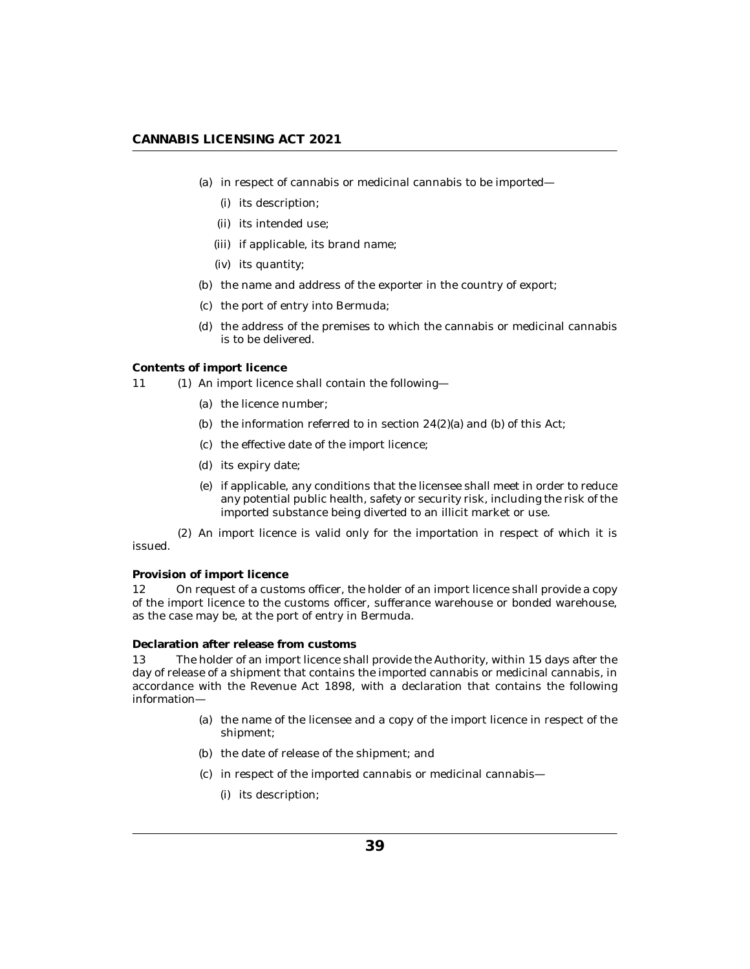## **CANNABIS LICENSING ACT 2021**

- (a) in respect of cannabis or medicinal cannabis to be imported—
	- (i) its description;
	- (ii) its intended use;
	- (iii) if applicable, its brand name;
	- (iv) its quantity;
- (b) the name and address of the exporter in the country of export;
- (c) the port of entry into Bermuda;
- (d) the address of the premises to which the cannabis or medicinal cannabis is to be delivered.

#### **Contents of import licence**

- 11 (1) An import licence shall contain the following-
	- (a) the licence number;
	- (b) the information referred to in section  $24(2)(a)$  and (b) of this Act;
	- (c) the effective date of the import licence;
	- (d) its expiry date;
	- if applicable, any conditions that the licensee shall meet in order to reduce (e) any potential public health, safety or security risk, including the risk of the imported substance being diverted to an illicit market or use.

(2) An import licence is valid only for the importation in respect of which it is issued.

### **Provision of import licence**

On request of a customs officer, the holder of an import licence shall provide a copy of the import licence to the customs officer, sufferance warehouse or bonded warehouse, as the case may be, at the port of entry in Bermuda. 12

## **Declaration after release from customs**

The holder of an import licence shall provide the Authority, within 15 days after the day of release of a shipment that contains the imported cannabis or medicinal cannabis, in accordance with the Revenue Act 1898, with a declaration that contains the following information— 13

- (a) the name of the licensee and a copy of the import licence in respect of the shipment;
- (b) the date of release of the shipment; and
- (c) in respect of the imported cannabis or medicinal cannabis—
	- (i) its description;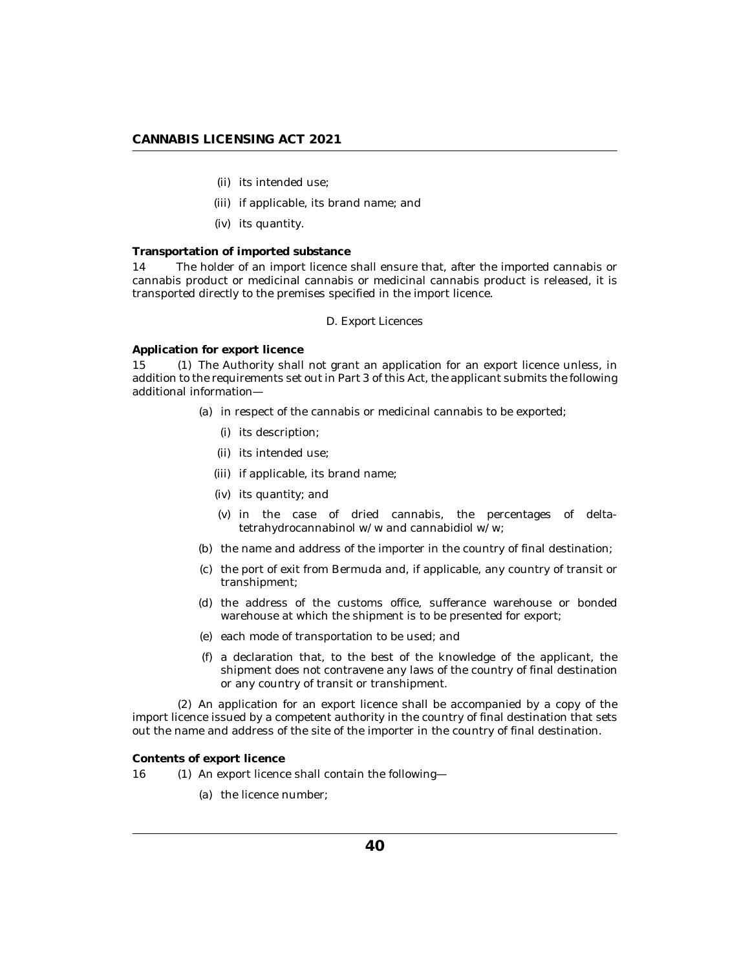- (ii) its intended use;
- (iii) if applicable, its brand name; and
- (iv) its quantity.

## **Transportation of imported substance**

The holder of an import licence shall ensure that, after the imported cannabis or cannabis product or medicinal cannabis or medicinal cannabis product is released, it is transported directly to the premises specified in the import licence. 14

### *D. Export Licences*

**Application for export licence**

15 (1) The Authority shall not grant an application for an export licence unless, in addition to the requirements set out in Part 3 of this Act, the applicant submits the following additional information—

- (a) in respect of the cannabis or medicinal cannabis to be exported;
	- (i) its description;
	- (ii) its intended use;
	- (iii) if applicable, its brand name;
	- (iv) its quantity; and
	- (v) in the case of dried cannabis, the percentages of deltatetrahydrocannabinol w/w and cannabidiol w/w;
- (b) the name and address of the importer in the country of final destination;
- (c) the port of exit from Bermuda and, if applicable, any country of transit or transhipment;
- (d) the address of the customs office, sufferance warehouse or bonded warehouse at which the shipment is to be presented for export;
- (e) each mode of transportation to be used; and
- a declaration that, to the best of the knowledge of the applicant, the (f) shipment does not contravene any laws of the country of final destination or any country of transit or transhipment.

(2) An application for an export licence shall be accompanied by a copy of the import licence issued by a competent authority in the country of final destination that sets out the name and address of the site of the importer in the country of final destination.

**Contents of export licence**

- 16 (1) An export licence shall contain the following-
	- (a) the licence number;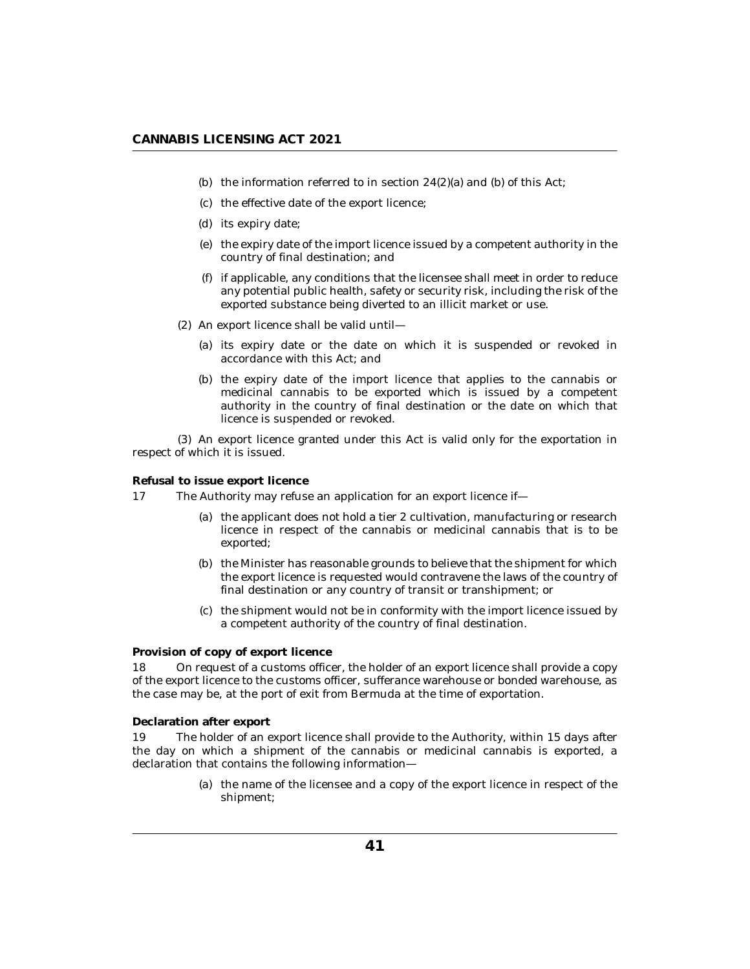- (b) the information referred to in section  $24(2)(a)$  and (b) of this Act;
- (c) the effective date of the export licence;
- (d) its expiry date;
- (e) the expiry date of the import licence issued by a competent authority in the country of final destination; and
- $(f)$  if applicable, any conditions that the licensee shall meet in order to reduce any potential public health, safety or security risk, including the risk of the exported substance being diverted to an illicit market or use.
- $(2)$  An export licence shall be valid until-
	- (a) its expiry date or the date on which it is suspended or revoked in accordance with this Act; and
	- (b) the expiry date of the import licence that applies to the cannabis or medicinal cannabis to be exported which is issued by a competent authority in the country of final destination or the date on which that licence is suspended or revoked.

(3) An export licence granted under this Act is valid only for the exportation in respect of which it is issued.

**Refusal to issue export licence**

- The Authority may refuse an application for an export licence if— 17
	- (a) the applicant does not hold a tier 2 cultivation, manufacturing or research licence in respect of the cannabis or medicinal cannabis that is to be exported;
	- (b) the Minister has reasonable grounds to believe that the shipment for which the export licence is requested would contravene the laws of the country of final destination or any country of transit or transhipment; or
	- (c) the shipment would not be in conformity with the import licence issued by a competent authority of the country of final destination.

### **Provision of copy of export licence**

On request of a customs officer, the holder of an export licence shall provide a copy of the export licence to the customs officer, sufferance warehouse or bonded warehouse, as the case may be, at the port of exit from Bermuda at the time of exportation. 18

**Declaration after export**

The holder of an export licence shall provide to the Authority, within 15 days after the day on which a shipment of the cannabis or medicinal cannabis is exported, a declaration that contains the following information— 19

> (a) the name of the licensee and a copy of the export licence in respect of the shipment;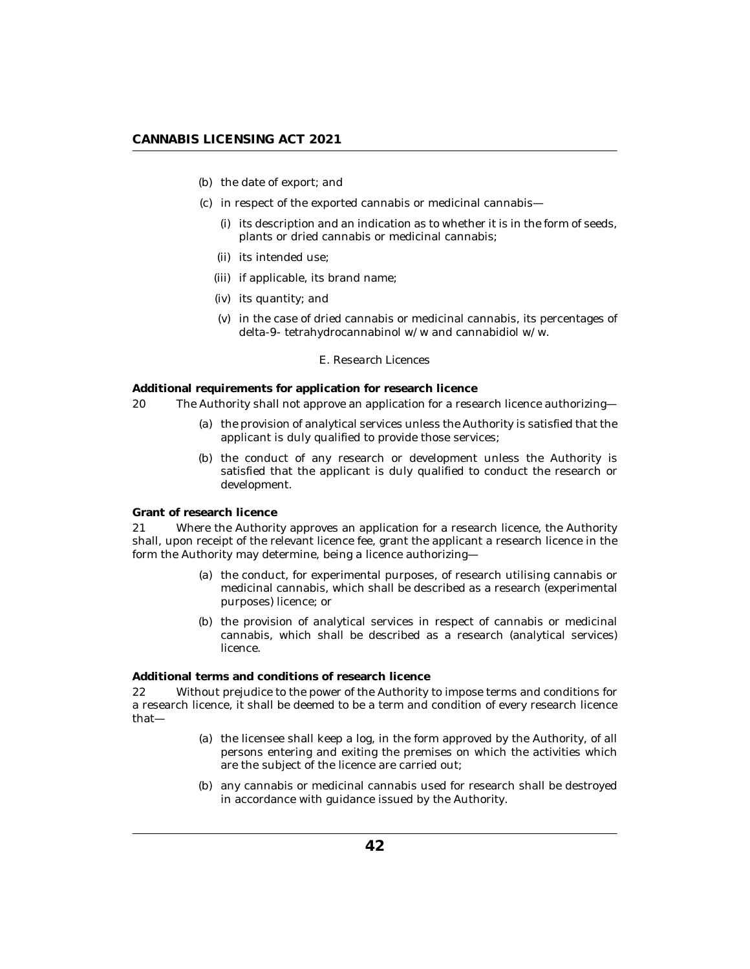- (b) the date of export; and
- (c) in respect of the exported cannabis or medicinal cannabis—
	- $(i)$  its description and an indication as to whether it is in the form of seeds, plants or dried cannabis or medicinal cannabis;
	- (ii) its intended use;
	- (iii) if applicable, its brand name;
	- (iv) its quantity; and
	- $(v)$  in the case of dried cannabis or medicinal cannabis, its percentages of delta-9- tetrahydrocannabinol w/w and cannabidiol w/w.

#### *E. Research Licences*

**Additional requirements for application for research licence**

- The Authority shall not approve an application for a research licence authorizing— 20
	- (a) the provision of analytical services unless the Authority is satisfied that the applicant is duly qualified to provide those services;
	- (b) the conduct of any research or development unless the Authority is satisfied that the applicant is duly qualified to conduct the research or development.

**Grant of research licence**

Where the Authority approves an application for a research licence, the Authority shall, upon receipt of the relevant licence fee, grant the applicant a research licence in the form the Authority may determine, being a licence authorizing— 21

- (a) the conduct, for experimental purposes, of research utilising cannabis or medicinal cannabis, which shall be described as a research (experimental purposes) licence; or
- (b) the provision of analytical services in respect of cannabis or medicinal cannabis, which shall be described as a research (analytical services) licence.

**Additional terms and conditions of research licence**

Without prejudice to the power of the Authority to impose terms and conditions for a research licence, it shall be deemed to be a term and condition of every research licence that— 22

- (a) the licensee shall keep a log, in the form approved by the Authority, of all persons entering and exiting the premises on which the activities which are the subject of the licence are carried out;
- any cannabis or medicinal cannabis used for research shall be destroyed (b) in accordance with guidance issued by the Authority.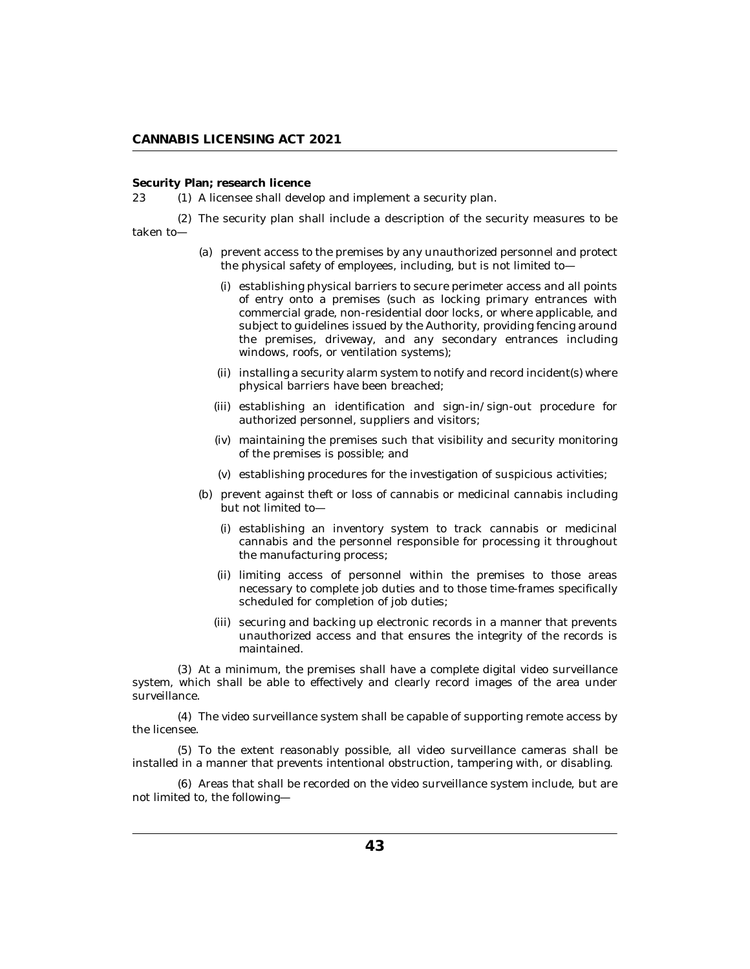## **Security Plan; research licence**

23 (1) A licensee shall develop and implement a security plan.

The security plan shall include a description of the security measures to be (2) taken to—

- (a) prevent access to the premises by any unauthorized personnel and protect the physical safety of employees, including, but is not limited to
	- establishing physical barriers to secure perimeter access and all points (i) of entry onto a premises (such as locking primary entrances with commercial grade, non-residential door locks, or where applicable, and subject to guidelines issued by the Authority, providing fencing around the premises, driveway, and any secondary entrances including windows, roofs, or ventilation systems);
	- (ii) installing a security alarm system to notify and record incident(s) where physical barriers have been breached;
	- (iii) establishing an identification and sign-in/sign-out procedure for authorized personnel, suppliers and visitors;
	- (iv) maintaining the premises such that visibility and security monitoring of the premises is possible; and
	- (v) establishing procedures for the investigation of suspicious activities;
- (b) prevent against theft or loss of cannabis or medicinal cannabis including but not limited to—
	- (i) establishing an inventory system to track cannabis or medicinal cannabis and the personnel responsible for processing it throughout the manufacturing process;
	- limiting access of personnel within the premises to those areas (ii) necessary to complete job duties and to those time-frames specifically scheduled for completion of job duties;
	- (iii) securing and backing up electronic records in a manner that prevents unauthorized access and that ensures the integrity of the records is maintained.

At a minimum, the premises shall have a complete digital video surveillance (3) system, which shall be able to effectively and clearly record images of the area under surveillance.

The video surveillance system shall be capable of supporting remote access by (4) the licensee.

To the extent reasonably possible, all video surveillance cameras shall be (5) installed in a manner that prevents intentional obstruction, tampering with, or disabling.

Areas that shall be recorded on the video surveillance system include, but are (6) not limited to, the following—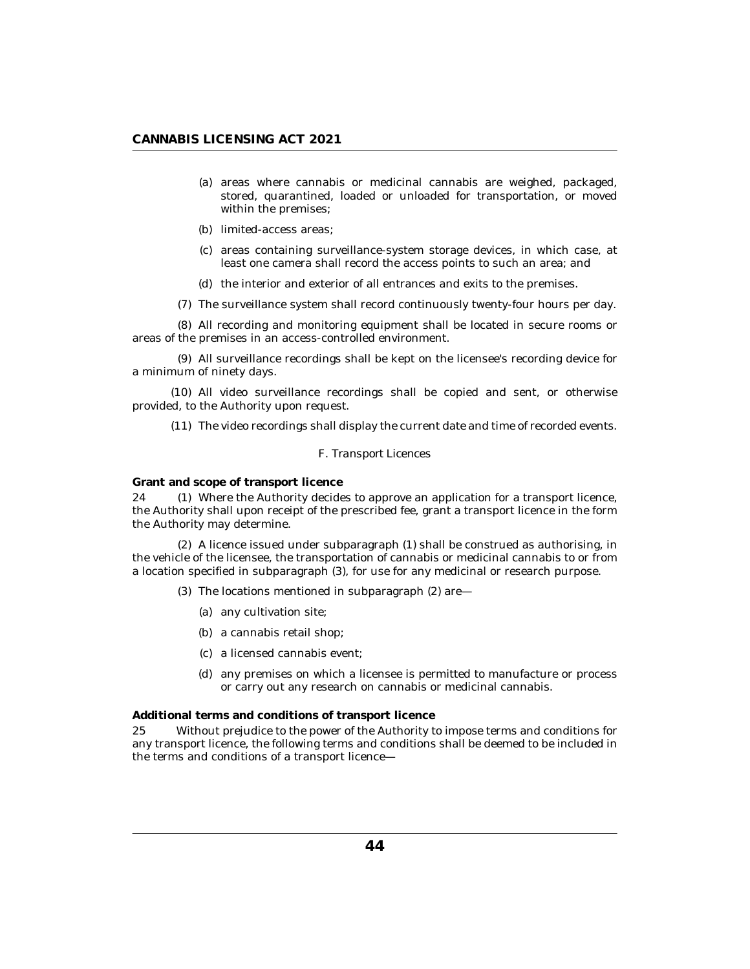- (a) areas where cannabis or medicinal cannabis are weighed, packaged, stored, quarantined, loaded or unloaded for transportation, or moved within the premises;
- (b) limited-access areas;
- (c) areas containing surveillance-system storage devices, in which case, at least one camera shall record the access points to such an area; and
- (d) the interior and exterior of all entrances and exits to the premises.
- (7) The surveillance system shall record continuously twenty-four hours per day.

All recording and monitoring equipment shall be located in secure rooms or (8) areas of the premises in an access-controlled environment.

All surveillance recordings shall be kept on the licensee's recording device for (9) a minimum of ninety days.

(10) All video surveillance recordings shall be copied and sent, or otherwise provided, to the Authority upon request.

 $(11)$  The video recordings shall display the current date and time of recorded events.

### *F. Transport Licences*

**Grant and scope of transport licence**

24 (1) Where the Authority decides to approve an application for a transport licence, the Authority shall upon receipt of the prescribed fee, grant a transport licence in the form the Authority may determine.

A licence issued under subparagraph (1) shall be construed as authorising, in (2) the vehicle of the licensee, the transportation of cannabis or medicinal cannabis to or from a location specified in subparagraph (3), for use for any medicinal or research purpose.

- (3) The locations mentioned in subparagraph (2) are—
	- (a) any cultivation site;
	- a cannabis retail shop; (b)
	- a licensed cannabis event; (c)
	- (d) any premises on which a licensee is permitted to manufacture or process or carry out any research on cannabis or medicinal cannabis.

**Additional terms and conditions of transport licence**

Without prejudice to the power of the Authority to impose terms and conditions for any transport licence, the following terms and conditions shall be deemed to be included in the terms and conditions of a transport licence— 25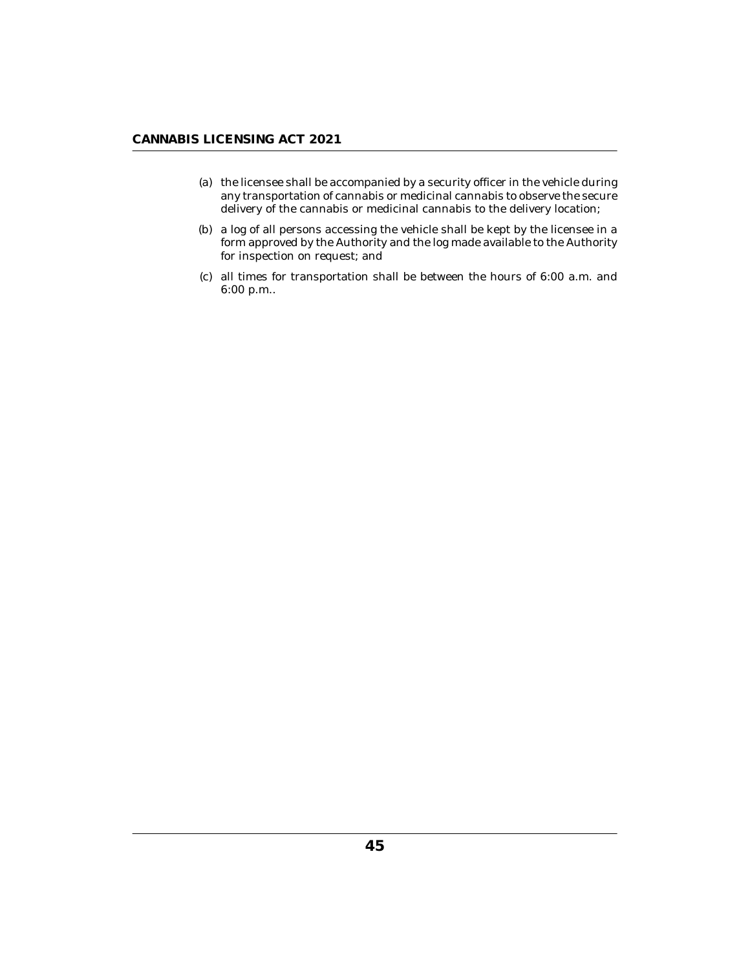- (a) the licensee shall be accompanied by a security officer in the vehicle during any transportation of cannabis or medicinal cannabis to observe the secure delivery of the cannabis or medicinal cannabis to the delivery location;
- (b) a log of all persons accessing the vehicle shall be kept by the licensee in a form approved by the Authority and the log made available to the Authority for inspection on request; and
- $(c)$  all times for transportation shall be between the hours of  $6:00$  a.m. and 6:00 p.m..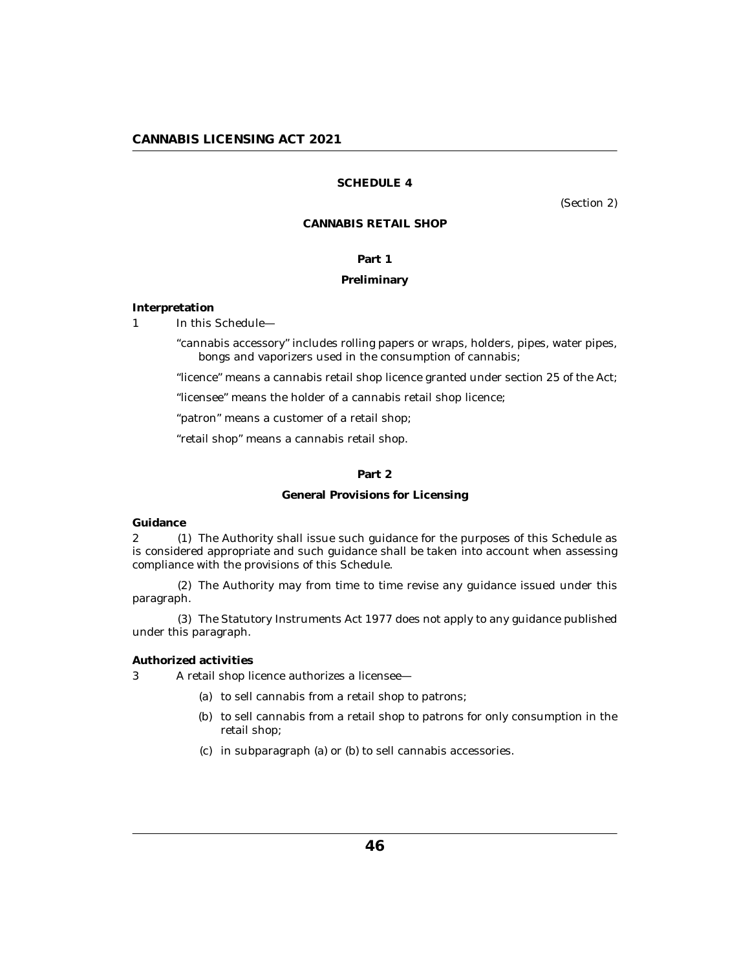## **SCHEDULE 4**

(Section 2)

## **CANNABIS RETAIL SHOP**

## **Part 1**

## **Preliminary**

<span id="page-45-0"></span>**Interpretation**

In this Schedule— 1

> "cannabis accessory" includes rolling papers or wraps, holders, pipes, water pipes, bongs and vaporizers used in the consumption of cannabis;

> "licence" means a cannabis retail shop licence granted under section 25 of the Act;

"licensee" means the holder of a cannabis retail shop licence;

"patron" means a customer of a retail shop;

"retail shop" means a cannabis retail shop.

## **Part 2**

### **General Provisions for Licensing**

**Guidance**

2 (1) The Authority shall issue such guidance for the purposes of this Schedule as is considered appropriate and such guidance shall be taken into account when assessing compliance with the provisions of this Schedule.

The Authority may from time to time revise any guidance issued under this (2) paragraph.

The Statutory Instruments Act 1977 does not apply to any guidance published (3) under this paragraph.

**Authorized activities**

A retail shop licence authorizes a licensee— 3

- (a) to sell cannabis from a retail shop to patrons;
- (b) to sell cannabis from a retail shop to patrons for only consumption in the retail shop;
- in subparagraph (a) or (b) to sell cannabis accessories. (c)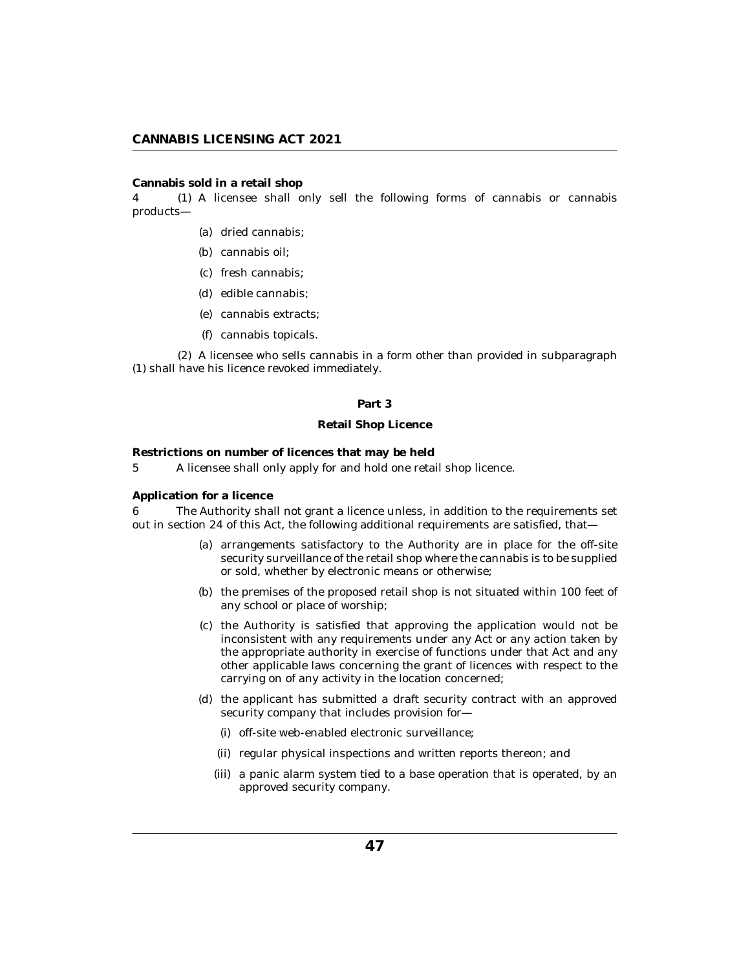### **Cannabis sold in a retail shop**

A licensee shall only sell the following forms of cannabis or cannabis 4 (1) products—

- (a) dried cannabis;
- (b) cannabis oil;
- (c) fresh cannabis;
- edible cannabis; (d)
- cannabis extracts; (e)
- cannabis topicals. (f)

A licensee who sells cannabis in a form other than provided in subparagraph (2) (1) shall have his licence revoked immediately.

## **Part 3**

## **Retail Shop Licence**

**Restrictions on number of licences that may be held**

A licensee shall only apply for and hold one retail shop licence. 5

## **Application for a licence**

The Authority shall not grant a licence unless, in addition to the requirements set out in section 24 of this Act, the following additional requirements are satisfied, that— 6

- (a) arrangements satisfactory to the Authority are in place for the off-site security surveillance of the retail shop where the cannabis is to be supplied or sold, whether by electronic means or otherwise;
- (b) the premises of the proposed retail shop is not situated within 100 feet of any school or place of worship;
- (c) the Authority is satisfied that approving the application would not be inconsistent with any requirements under any Act or any action taken by the appropriate authority in exercise of functions under that Act and any other applicable laws concerning the grant of licences with respect to the carrying on of any activity in the location concerned;
- (d) the applicant has submitted a draft security contract with an approved security company that includes provision for—
	- (i) off-site web-enabled electronic surveillance;
	- (ii) regular physical inspections and written reports thereon; and
	- (iii) a panic alarm system tied to a base operation that is operated, by an approved security company.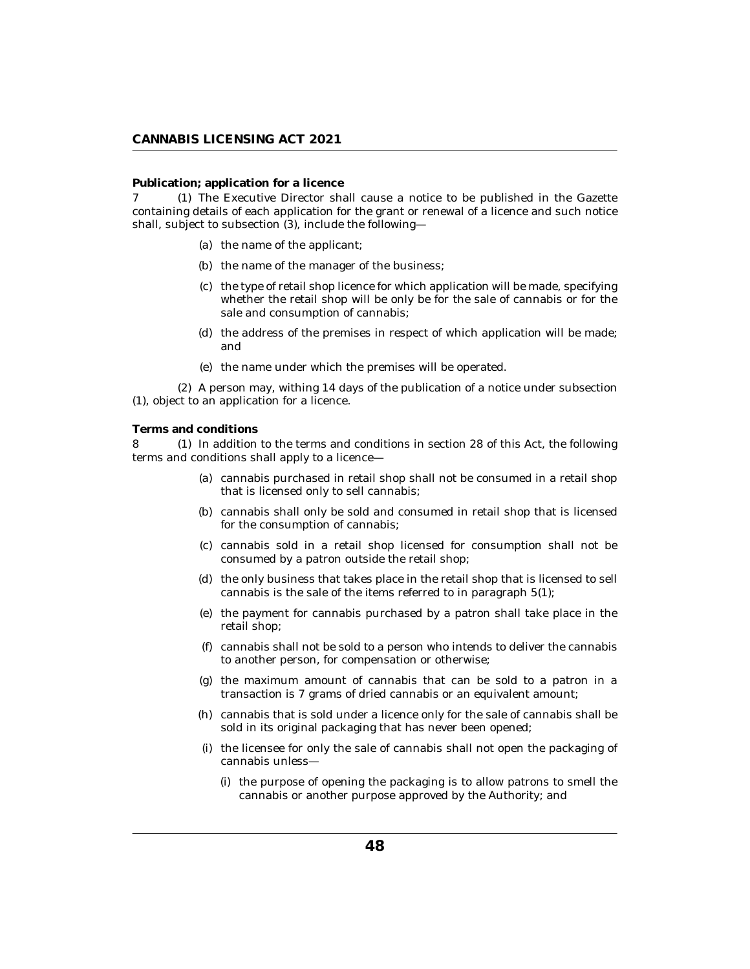## **Publication; application for a licence**

7 (1) The Executive Director shall cause a notice to be published in the Gazette containing details of each application for the grant or renewal of a licence and such notice shall, subject to subsection (3), include the following—

- (a) the name of the applicant;
- (b) the name of the manager of the business;
- (c) the type of retail shop licence for which application will be made, specifying whether the retail shop will be only be for the sale of cannabis or for the sale and consumption of cannabis;
- (d) the address of the premises in respect of which application will be made; and
- (e) the name under which the premises will be operated.

A person may, withing 14 days of the publication of a notice under subsection (2) (1), object to an application for a licence.

## **Terms and conditions**

8 (1) In addition to the terms and conditions in section 28 of this Act, the following terms and conditions shall apply to a licence—

- cannabis purchased in retail shop shall not be consumed in a retail shop (a) that is licensed only to sell cannabis;
- (b) cannabis shall only be sold and consumed in retail shop that is licensed for the consumption of cannabis;
- (c) cannabis sold in a retail shop licensed for consumption shall not be consumed by a patron outside the retail shop;
- (d) the only business that takes place in the retail shop that is licensed to sell cannabis is the sale of the items referred to in paragraph 5(1);
- (e) the payment for cannabis purchased by a patron shall take place in the retail shop;
- cannabis shall not be sold to a person who intends to deliver the cannabis (f) to another person, for compensation or otherwise;
- (g) the maximum amount of cannabis that can be sold to a patron in a transaction is 7 grams of dried cannabis or an equivalent amount;
- cannabis that is sold under a licence only for the sale of cannabis shall be (h) sold in its original packaging that has never been opened;
- (i) the licensee for only the sale of cannabis shall not open the packaging of cannabis unless—
	- (i) the purpose of opening the packaging is to allow patrons to smell the cannabis or another purpose approved by the Authority; and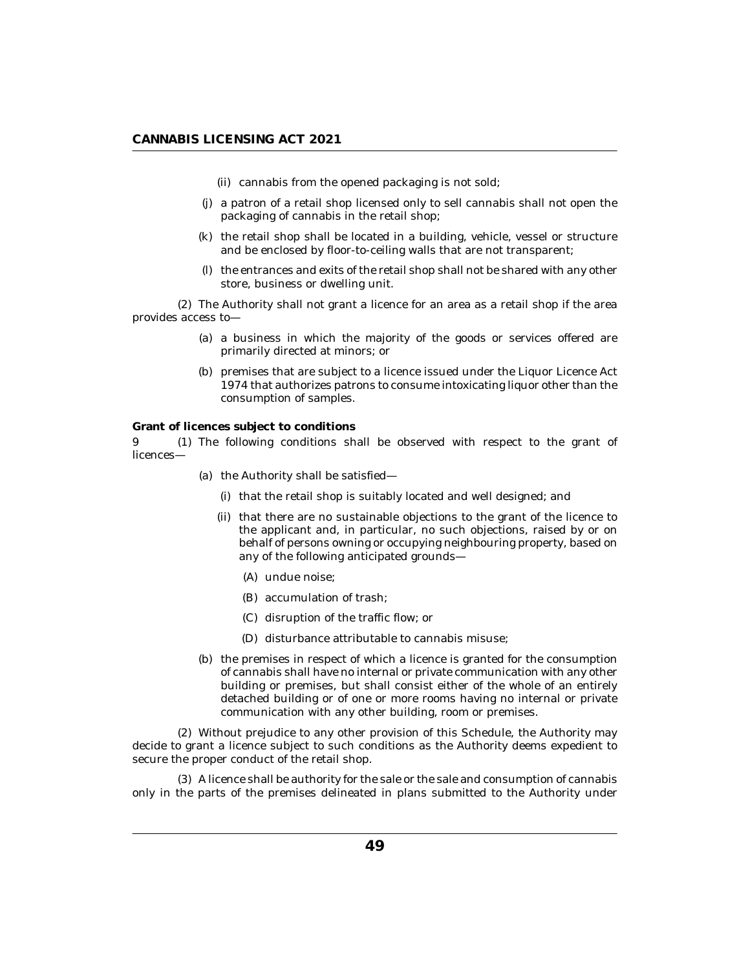- (ii) cannabis from the opened packaging is not sold;
- a patron of a retail shop licensed only to sell cannabis shall not open the (j) packaging of cannabis in the retail shop;
- (k) the retail shop shall be located in a building, vehicle, vessel or structure and be enclosed by floor-to-ceiling walls that are not transparent;
- (I) the entrances and exits of the retail shop shall not be shared with any other store, business or dwelling unit.

The Authority shall not grant a licence for an area as a retail shop if the area (2) provides access to—

- (a) a business in which the majority of the goods or services offered are primarily directed at minors; or
- (b) premises that are subject to a licence issued under the Liquor Licence Act 1974 that authorizes patrons to consume intoxicating liquor other than the consumption of samples.

**Grant of licences subject to conditions**

9 (1) The following conditions shall be observed with respect to the grant of licences—

- (a) the Authority shall be satisfied—
	- (i) that the retail shop is suitably located and well designed; and
	- (ii) that there are no sustainable objections to the grant of the licence to the applicant and, in particular, no such objections, raised by or on behalf of persons owning or occupying neighbouring property, based on any of the following anticipated grounds—
		- (A) undue noise;
		- (B) accumulation of trash;
		- (C) disruption of the traffic flow; or
		- (D) disturbance attributable to cannabis misuse;
- (b) the premises in respect of which a licence is granted for the consumption of cannabis shall have no internal or private communication with any other building or premises, but shall consist either of the whole of an entirely detached building or of one or more rooms having no internal or private communication with any other building, room or premises.

Without prejudice to any other provision of this Schedule, the Authority may (2) decide to grant a licence subject to such conditions as the Authority deems expedient to secure the proper conduct of the retail shop.

A licence shall be authority for the sale or the sale and consumption of cannabis (3) only in the parts of the premises delineated in plans submitted to the Authority under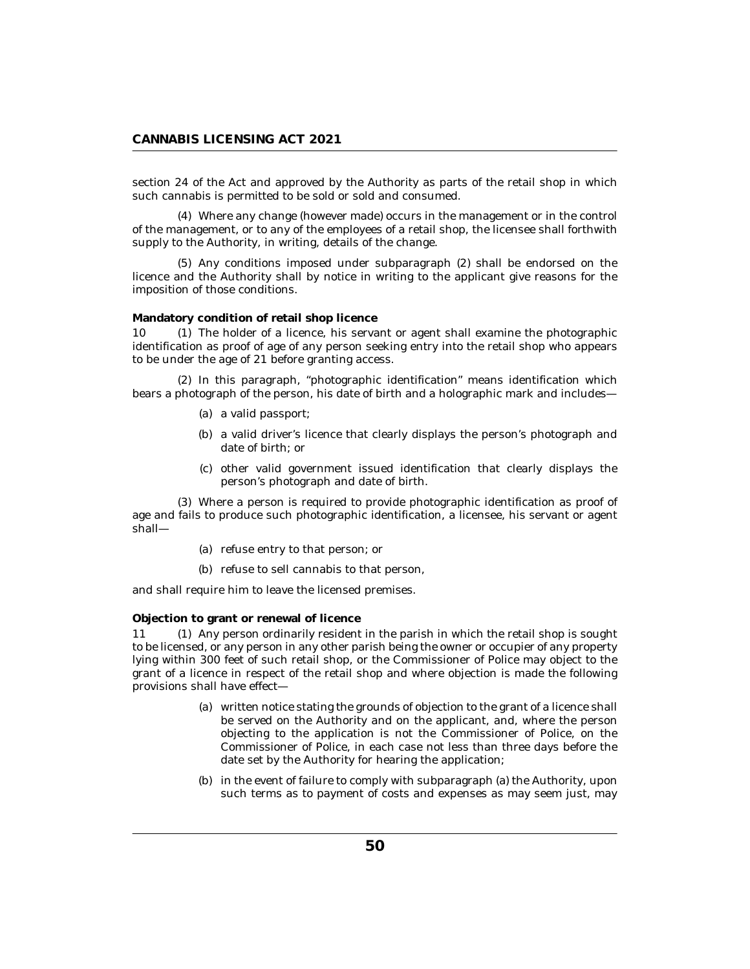section 24 of the Act and approved by the Authority as parts of the retail shop in which such cannabis is permitted to be sold or sold and consumed.

Where any change (however made) occurs in the management or in the control (4) of the management, or to any of the employees of a retail shop, the licensee shall forthwith supply to the Authority, in writing, details of the change.

(5) Any conditions imposed under subparagraph (2) shall be endorsed on the licence and the Authority shall by notice in writing to the applicant give reasons for the imposition of those conditions.

**Mandatory condition of retail shop licence**

10 (1) The holder of a licence, his servant or agent shall examine the photographic identification as proof of age of any person seeking entry into the retail shop who appears to be under the age of 21 before granting access.

(2) In this paragraph, "photographic identification" means identification which bears a photograph of the person, his date of birth and a holographic mark and includes—

- (a) a valid passport;
- (b) a valid driver's licence that clearly displays the person's photograph and date of birth; or
- (c) other valid government issued identification that clearly displays the person's photograph and date of birth.

Where a person is required to provide photographic identification as proof of (3) age and fails to produce such photographic identification, a licensee, his servant or agent shall—

- (a) refuse entry to that person; or
- (b) refuse to sell cannabis to that person,

and shall require him to leave the licensed premises.

**Objection to grant or renewal of licence**

Any person ordinarily resident in the parish in which the retail shop is sought to be licensed, or any person in any other parish being the owner or occupier of any property lying within 300 feet of such retail shop, or the Commissioner of Police may object to the grant of a licence in respect of the retail shop and where objection is made the following provisions shall have effect— 11 (1)

- written notice stating the grounds of objection to the grant of a licence shall (a) be served on the Authority and on the applicant, and, where the person objecting to the application is not the Commissioner of Police, on the Commissioner of Police, in each case not less than three days before the date set by the Authority for hearing the application;
- (b) in the event of failure to comply with subparagraph (a) the Authority, upon such terms as to payment of costs and expenses as may seem just, may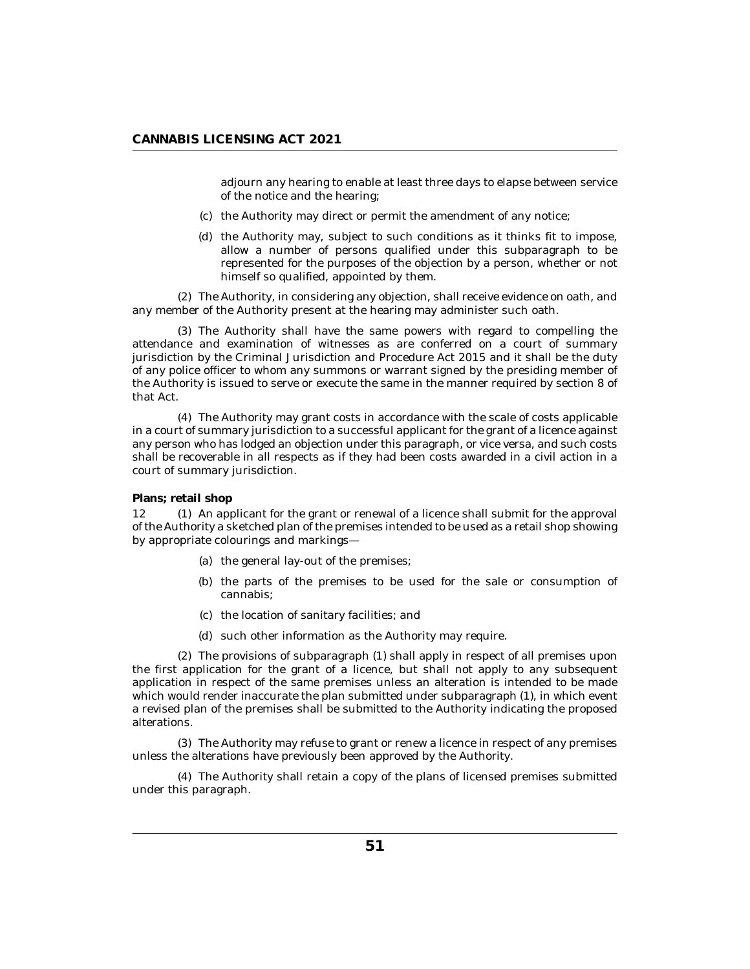adjourn any hearing to enable at least three days to elapse between service of the notice and the hearing;

- (c) the Authority may direct or permit the amendment of any notice;
- (d) the Authority may, subject to such conditions as it thinks fit to impose, allow a number of persons qualified under this subparagraph to be represented for the purposes of the objection by a person, whether or not himself so qualified, appointed by them.

The Authority, in considering any objection, shall receive evidence on oath, and (2) any member of the Authority present at the hearing may administer such oath.

The Authority shall have the same powers with regard to compelling the (3) attendance and examination of witnesses as are conferred on a court of summary jurisdiction by the Criminal Jurisdiction and Procedure Act 2015 and it shall be the duty of any police officer to whom any summons or warrant signed by the presiding member of the Authority is issued to serve or execute the same in the manner required by section 8 of that Act.

The Authority may grant costs in accordance with the scale of costs applicable (4) in a court of summary jurisdiction to a successful applicant for the grant of a licence against any person who has lodged an objection under this paragraph, or vice versa, and such costs shall be recoverable in all respects as if they had been costs awarded in a civil action in a court of summary jurisdiction.

## **Plans; retail shop**

12 (1) An applicant for the grant or renewal of a licence shall submit for the approval of the Authority a sketched plan of the premises intended to be used as a retail shop showing by appropriate colourings and markings—

- (a) the general lay-out of the premises;
- (b) the parts of the premises to be used for the sale or consumption of cannabis;
- (c) the location of sanitary facilities; and
- (d) such other information as the Authority may require.

The provisions of subparagraph (1) shall apply in respect of all premises upon (2) the first application for the grant of a licence, but shall not apply to any subsequent application in respect of the same premises unless an alteration is intended to be made which would render inaccurate the plan submitted under subparagraph (1), in which event a revised plan of the premises shall be submitted to the Authority indicating the proposed alterations.

The Authority may refuse to grant or renew a licence in respect of any premises (3) unless the alterations have previously been approved by the Authority.

The Authority shall retain a copy of the plans of licensed premises submitted (4) under this paragraph.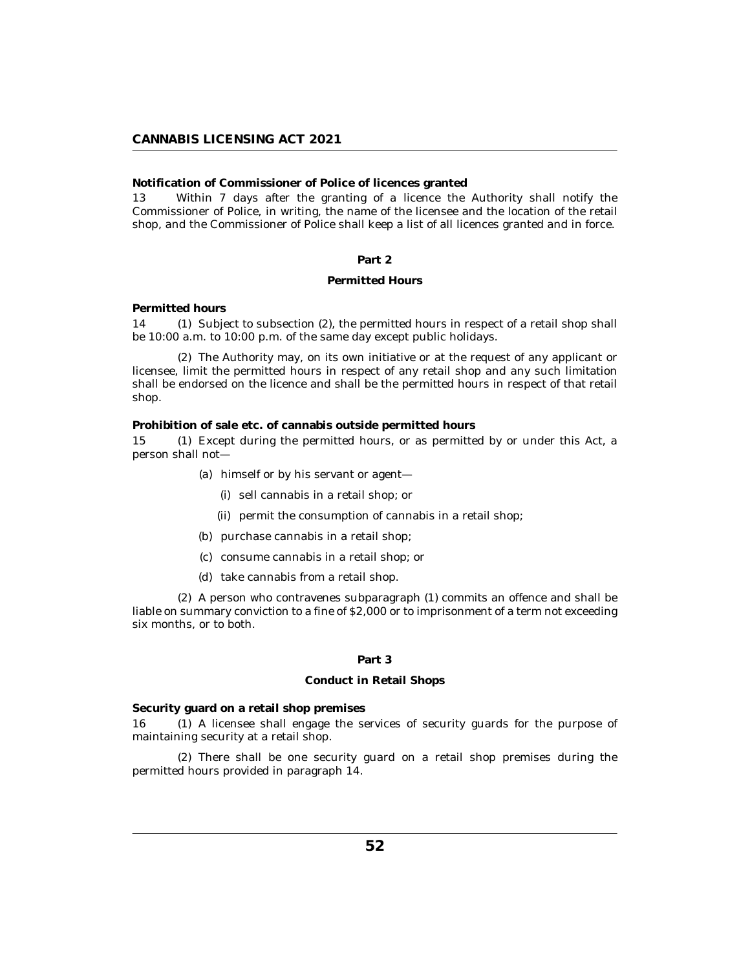**Notification of Commissioner of Police of licences granted**

Within 7 days after the granting of a licence the Authority shall notify the Commissioner of Police, in writing, the name of the licensee and the location of the retail shop, and the Commissioner of Police shall keep a list of all licences granted and in force. 13

## **Part 2**

## **Permitted Hours**

**Permitted hours**

14 (1) Subject to subsection (2), the permitted hours in respect of a retail shop shall be 10:00 a.m. to 10:00 p.m. of the same day except public holidays.

The Authority may, on its own initiative or at the request of any applicant or (2) licensee, limit the permitted hours in respect of any retail shop and any such limitation shall be endorsed on the licence and shall be the permitted hours in respect of that retail shop.

**Prohibition of sale etc. of cannabis outside permitted hours**

15 (1) Except during the permitted hours, or as permitted by or under this Act, a person shall not—

- (a) himself or by his servant or agent—
	- (i) sell cannabis in a retail shop; or
	- (ii) permit the consumption of cannabis in a retail shop;
- (b) purchase cannabis in a retail shop;
- (c) consume cannabis in a retail shop; or
- (d) take cannabis from a retail shop.

A person who contravenes subparagraph (1) commits an offence and shall be (2) liable on summary conviction to a fine of \$2,000 or to imprisonment of a term not exceeding six months, or to both.

## **Part 3**

#### **Conduct in Retail Shops**

**Security guard on a retail shop premises**

16 (1) A licensee shall engage the services of security guards for the purpose of maintaining security at a retail shop.

There shall be one security guard on a retail shop premises during the (2) permitted hours provided in paragraph 14.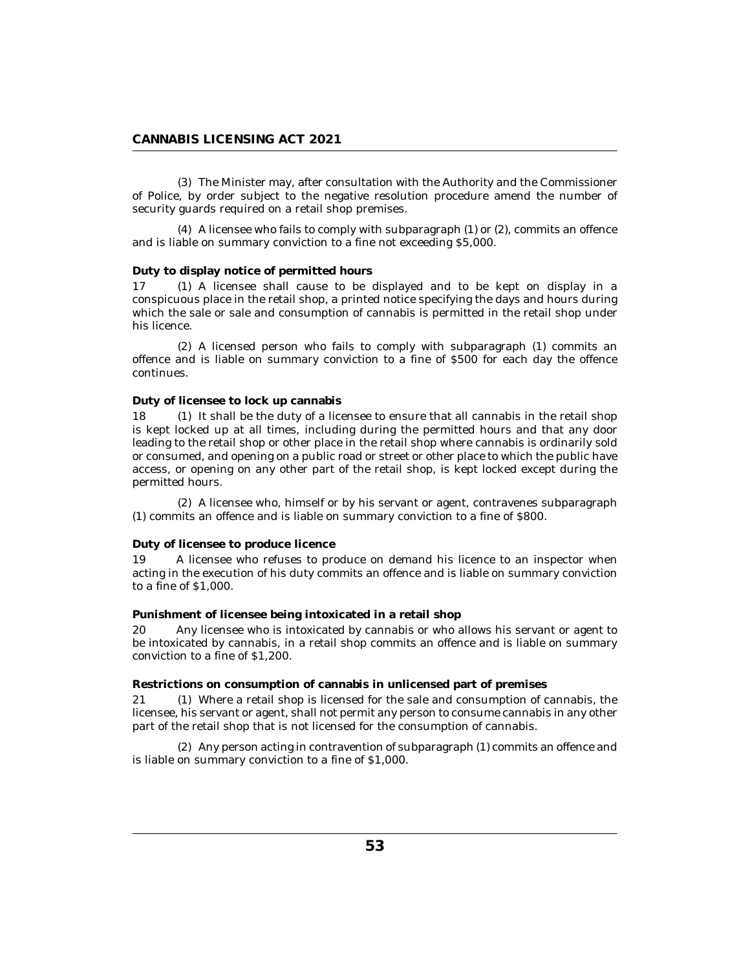The Minister may, after consultation with the Authority and the Commissioner (3) of Police, by order subject to the negative resolution procedure amend the number of security guards required on a retail shop premises.

 $(4)$  A licensee who fails to comply with subparagraph  $(1)$  or  $(2)$ , commits an offence and is liable on summary conviction to a fine not exceeding \$5,000.

### **Duty to display notice of permitted hours**

17 (1) A licensee shall cause to be displayed and to be kept on display in a conspicuous place in the retail shop, a printed notice specifying the days and hours during which the sale or sale and consumption of cannabis is permitted in the retail shop under his licence.

A licensed person who fails to comply with subparagraph (1) commits an (2) offence and is liable on summary conviction to a fine of \$500 for each day the offence continues.

## **Duty of licensee to lock up cannabis**

 $(1)$  It shall be the duty of a licensee to ensure that all cannabis in the retail shop is kept locked up at all times, including during the permitted hours and that any door leading to the retail shop or other place in the retail shop where cannabis is ordinarily sold or consumed, and opening on a public road or street or other place to which the public have access, or opening on any other part of the retail shop, is kept locked except during the permitted hours. 18

A licensee who, himself or by his servant or agent, contravenes subparagraph (2) (1) commits an offence and is liable on summary conviction to a fine of \$800.

### **Duty of licensee to produce licence**

A licensee who refuses to produce on demand his licence to an inspector when acting in the execution of his duty commits an offence and is liable on summary conviction to a fine of \$1,000. 19

**Punishment of licensee being intoxicated in a retail shop**

Any licensee who is intoxicated by cannabis or who allows his servant or agent to be intoxicated by cannabis, in a retail shop commits an offence and is liable on summary conviction to a fine of \$1,200. 20

**Restrictions on consumption of cannabis in unlicensed part of premises**

Where a retail shop is licensed for the sale and consumption of cannabis, the 21 (1) licensee, his servant or agent, shall not permit any person to consume cannabis in any other part of the retail shop that is not licensed for the consumption of cannabis.

(2) Any person acting in contravention of subparagraph (1) commits an offence and is liable on summary conviction to a fine of \$1,000.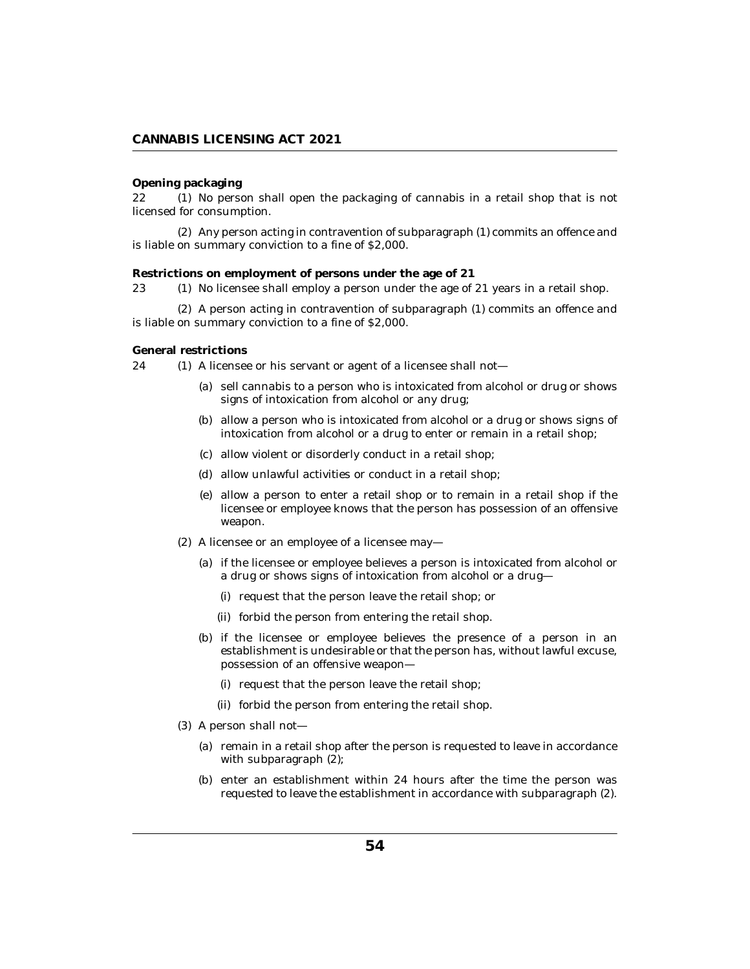#### **Opening packaging**

22 (1) No person shall open the packaging of cannabis in a retail shop that is not licensed for consumption.

(2) Any person acting in contravention of subparagraph (1) commits an offence and is liable on summary conviction to a fine of \$2,000.

#### **Restrictions on employment of persons under the age of 21**

23 (1) No licensee shall employ a person under the age of 21 years in a retail shop.

 $(2)$  A person acting in contravention of subparagraph  $(1)$  commits an offence and is liable on summary conviction to a fine of \$2,000.

### **General restrictions**

24 (1) A licensee or his servant or agent of a licensee shall not—

- (a) sell cannabis to a person who is intoxicated from alcohol or drug or shows signs of intoxication from alcohol or any drug;
- (b) allow a person who is intoxicated from alcohol or a drug or shows signs of intoxication from alcohol or a drug to enter or remain in a retail shop;
- allow violent or disorderly conduct in a retail shop; (c)
- allow unlawful activities or conduct in a retail shop; (d)
- allow a person to enter a retail shop or to remain in a retail shop if the (e) licensee or employee knows that the person has possession of an offensive weapon.
- (2) A licensee or an employee of a licensee may—
	- (a) if the licensee or employee believes a person is intoxicated from alcohol or a drug or shows signs of intoxication from alcohol or a drug—
		- (i) request that the person leave the retail shop; or
		- (ii) forbid the person from entering the retail shop.
	- (b) if the licensee or employee believes the presence of a person in an establishment is undesirable or that the person has, without lawful excuse, possession of an offensive weapon—
		- (i) request that the person leave the retail shop;
		- (ii) forbid the person from entering the retail shop.
- (3) A person shall not-
	- (a) remain in a retail shop after the person is requested to leave in accordance with subparagraph (2);
	- (b) enter an establishment within 24 hours after the time the person was requested to leave the establishment in accordance with subparagraph (2).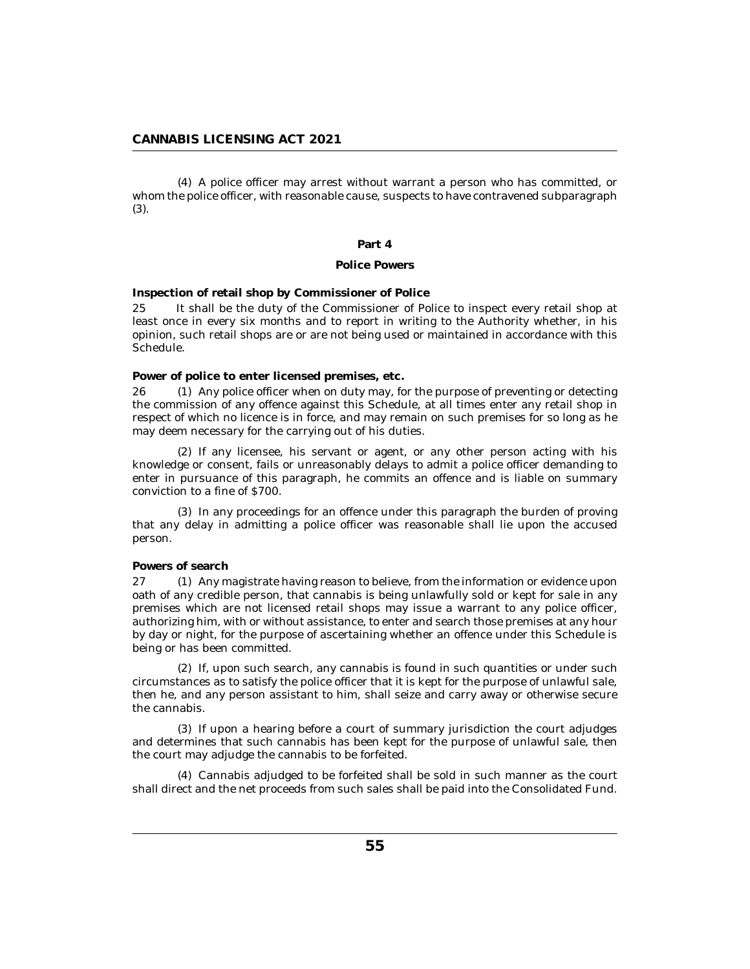A police officer may arrest without warrant a person who has committed, or (4) whom the police officer, with reasonable cause, suspects to have contravened subparagraph (3).

#### **Part 4**

### **Police Powers**

**Inspection of retail shop by Commissioner of Police**

It shall be the duty of the Commissioner of Police to inspect every retail shop at least once in every six months and to report in writing to the Authority whether, in his opinion, such retail shops are or are not being used or maintained in accordance with this Schedule. 25

**Power of police to enter licensed premises, etc.**

 $(1)$  Any police officer when on duty may, for the purpose of preventing or detecting the commission of any offence against this Schedule, at all times enter any retail shop in respect of which no licence is in force, and may remain on such premises for so long as he may deem necessary for the carrying out of his duties.  $26<sub>2</sub>$ 

 $(2)$  If any licensee, his servant or agent, or any other person acting with his knowledge or consent, fails or unreasonably delays to admit a police officer demanding to enter in pursuance of this paragraph, he commits an offence and is liable on summary conviction to a fine of \$700.

(3) In any proceedings for an offence under this paragraph the burden of proving that any delay in admitting a police officer was reasonable shall lie upon the accused person.

### **Powers of search**

27 (1) Any magistrate having reason to believe, from the information or evidence upon oath of any credible person, that cannabis is being unlawfully sold or kept for sale in any premises which are not licensed retail shops may issue a warrant to any police officer, authorizing him, with or without assistance, to enter and search those premises at any hour by day or night, for the purpose of ascertaining whether an offence under this Schedule is being or has been committed.

(2) If, upon such search, any cannabis is found in such quantities or under such circumstances as to satisfy the police officer that it is kept for the purpose of unlawful sale, then he, and any person assistant to him, shall seize and carry away or otherwise secure the cannabis.

(3) If upon a hearing before a court of summary jurisdiction the court adjudges and determines that such cannabis has been kept for the purpose of unlawful sale, then the court may adjudge the cannabis to be forfeited.

Cannabis adjudged to be forfeited shall be sold in such manner as the court (4) shall direct and the net proceeds from such sales shall be paid into the Consolidated Fund.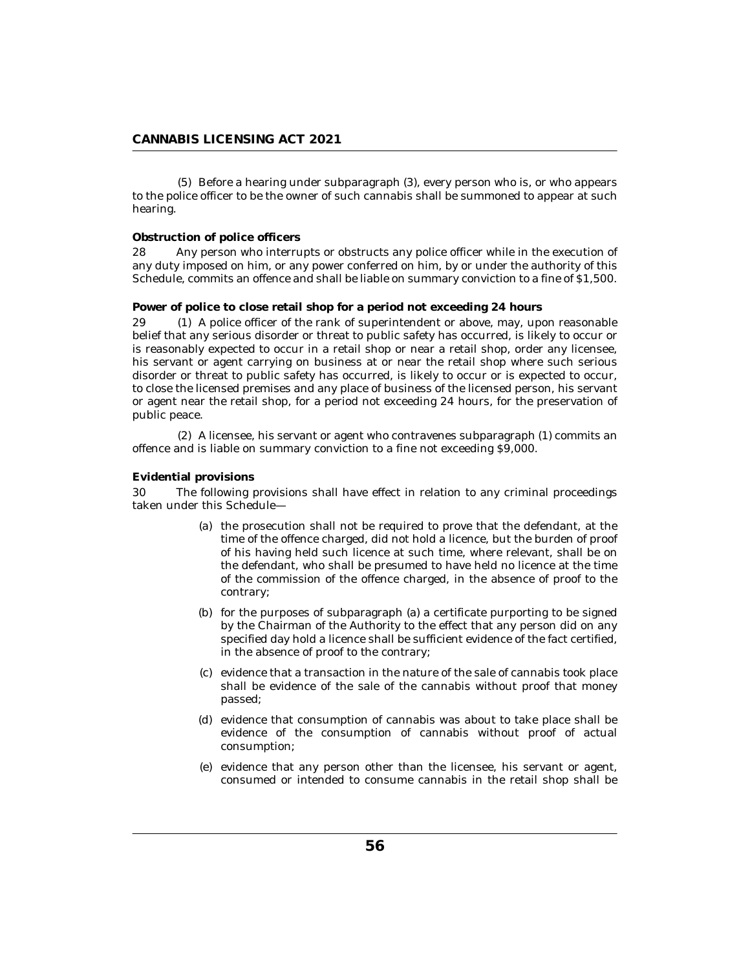(5) Before a hearing under subparagraph (3), every person who is, or who appears to the police officer to be the owner of such cannabis shall be summoned to appear at such hearing.

### **Obstruction of police officers**

Any person who interrupts or obstructs any police officer while in the execution of any duty imposed on him, or any power conferred on him, by or under the authority of this Schedule, commits an offence and shall be liable on summary conviction to a fine of \$1,500. 28

## **Power of police to close retail shop for a period not exceeding 24 hours**

A police officer of the rank of superintendent or above, may, upon reasonable belief that any serious disorder or threat to public safety has occurred, is likely to occur or is reasonably expected to occur in a retail shop or near a retail shop, order any licensee, his servant or agent carrying on business at or near the retail shop where such serious disorder or threat to public safety has occurred, is likely to occur or is expected to occur, to close the licensed premises and any place of business of the licensed person, his servant or agent near the retail shop, for a period not exceeding 24 hours, for the preservation of public peace. 29

A licensee, his servant or agent who contravenes subparagraph (1) commits an (2) offence and is liable on summary conviction to a fine not exceeding \$9,000.

### **Evidential provisions**

The following provisions shall have effect in relation to any criminal proceedings taken under this Schedule— 30

- (a) the prosecution shall not be required to prove that the defendant, at the time of the offence charged, did not hold a licence, but the burden of proof of his having held such licence at such time, where relevant, shall be on the defendant, who shall be presumed to have held no licence at the time of the commission of the offence charged, in the absence of proof to the contrary;
- for the purposes of subparagraph (a) a certificate purporting to be signed (b) by the Chairman of the Authority to the effect that any person did on any specified day hold a licence shall be sufficient evidence of the fact certified, in the absence of proof to the contrary;
- (c) evidence that a transaction in the nature of the sale of cannabis took place shall be evidence of the sale of the cannabis without proof that money passed;
- (d) evidence that consumption of cannabis was about to take place shall be evidence of the consumption of cannabis without proof of actual consumption;
- (e) evidence that any person other than the licensee, his servant or agent, consumed or intended to consume cannabis in the retail shop shall be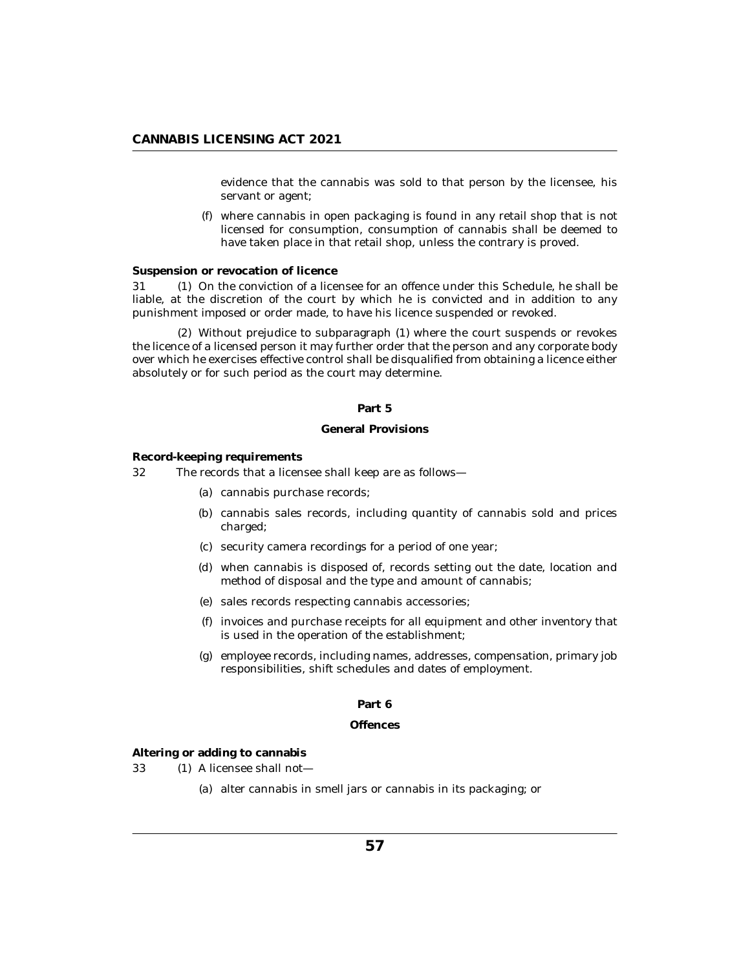evidence that the cannabis was sold to that person by the licensee, his servant or agent;

where cannabis in open packaging is found in any retail shop that is not (f) licensed for consumption, consumption of cannabis shall be deemed to have taken place in that retail shop, unless the contrary is proved.

## **Suspension or revocation of licence**

31 (1) On the conviction of a licensee for an offence under this Schedule, he shall be liable, at the discretion of the court by which he is convicted and in addition to any punishment imposed or order made, to have his licence suspended or revoked.

Without prejudice to subparagraph (1) where the court suspends or revokes (2) the licence of a licensed person it may further order that the person and any corporate body over which he exercises effective control shall be disqualified from obtaining a licence either absolutely or for such period as the court may determine.

### **Part 5**

### **General Provisions**

**Record-keeping requirements**

The records that a licensee shall keep are as follows— 32

- cannabis purchase records; (a)
- (b) cannabis sales records, including quantity of cannabis sold and prices charged;
- security camera recordings for a period of one year; (c)
- when cannabis is disposed of, records setting out the date, location and (d) method of disposal and the type and amount of cannabis;
- sales records respecting cannabis accessories; (e)
- $(f)$  invoices and purchase receipts for all equipment and other inventory that is used in the operation of the establishment;
- (g) employee records, including names, addresses, compensation, primary job responsibilities, shift schedules and dates of employment.

### **Part 6**

### **Offences**

**Altering or adding to cannabis**

 $(1)$  A licensee shall not-33

(a) alter cannabis in smell jars or cannabis in its packaging; or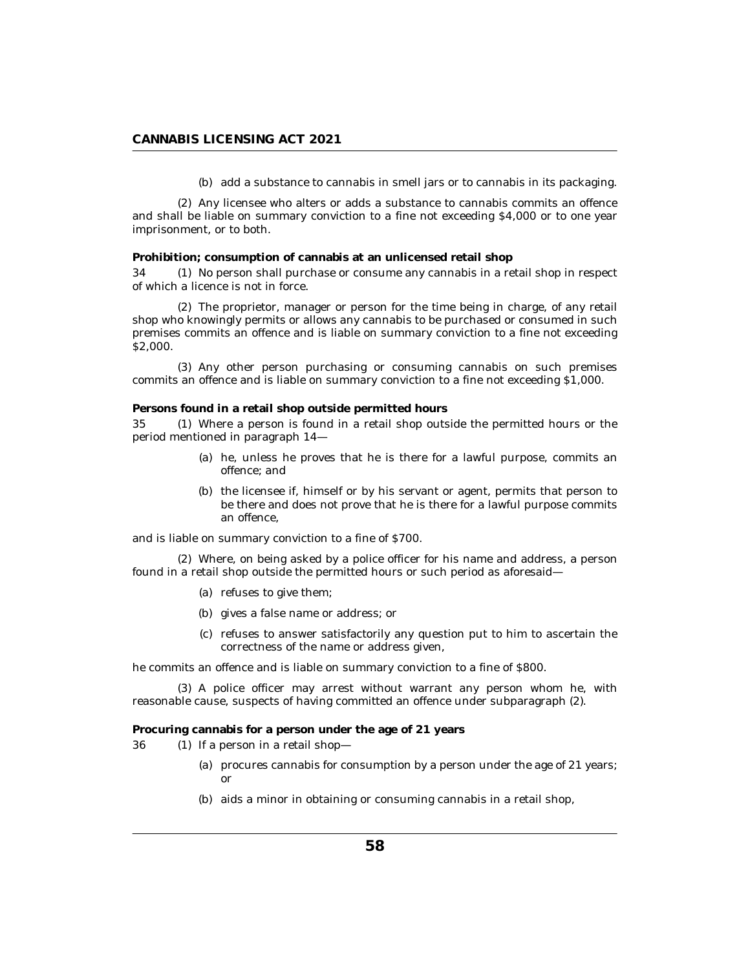(b) add a substance to cannabis in smell jars or to cannabis in its packaging.

Any licensee who alters or adds a substance to cannabis commits an offence (2) and shall be liable on summary conviction to a fine not exceeding \$4,000 or to one year imprisonment, or to both.

**Prohibition; consumption of cannabis at an unlicensed retail shop**

34 (1) No person shall purchase or consume any cannabis in a retail shop in respect of which a licence is not in force.

The proprietor, manager or person for the time being in charge, of any retail (2) shop who knowingly permits or allows any cannabis to be purchased or consumed in such premises commits an offence and is liable on summary conviction to a fine not exceeding \$2,000.

(3) Any other person purchasing or consuming cannabis on such premises commits an offence and is liable on summary conviction to a fine not exceeding \$1,000.

**Persons found in a retail shop outside permitted hours**

Where a person is found in a retail shop outside the permitted hours or the period mentioned in paragraph 14— 35

- (a) he, unless he proves that he is there for a lawful purpose, commits an offence; and
- (b) the licensee if, himself or by his servant or agent, permits that person to be there and does not prove that he is there for a lawful purpose commits an offence,

and is liable on summary conviction to a fine of \$700.

Where, on being asked by a police officer for his name and address, a person (2) found in a retail shop outside the permitted hours or such period as aforesaid—

- (a) refuses to give them;
- gives a false name or address; or (b)
- (c) refuses to answer satisfactorily any question put to him to ascertain the correctness of the name or address given,

he commits an offence and is liable on summary conviction to a fine of \$800.

(3) A police officer may arrest without warrant any person whom he, with reasonable cause, suspects of having committed an offence under subparagraph (2).

**Procuring cannabis for a person under the age of 21 years**

- 36 (1) If a person in a retail shop—
	- (a) procures cannabis for consumption by a person under the age of 21 years; or
	- (b) aids a minor in obtaining or consuming cannabis in a retail shop,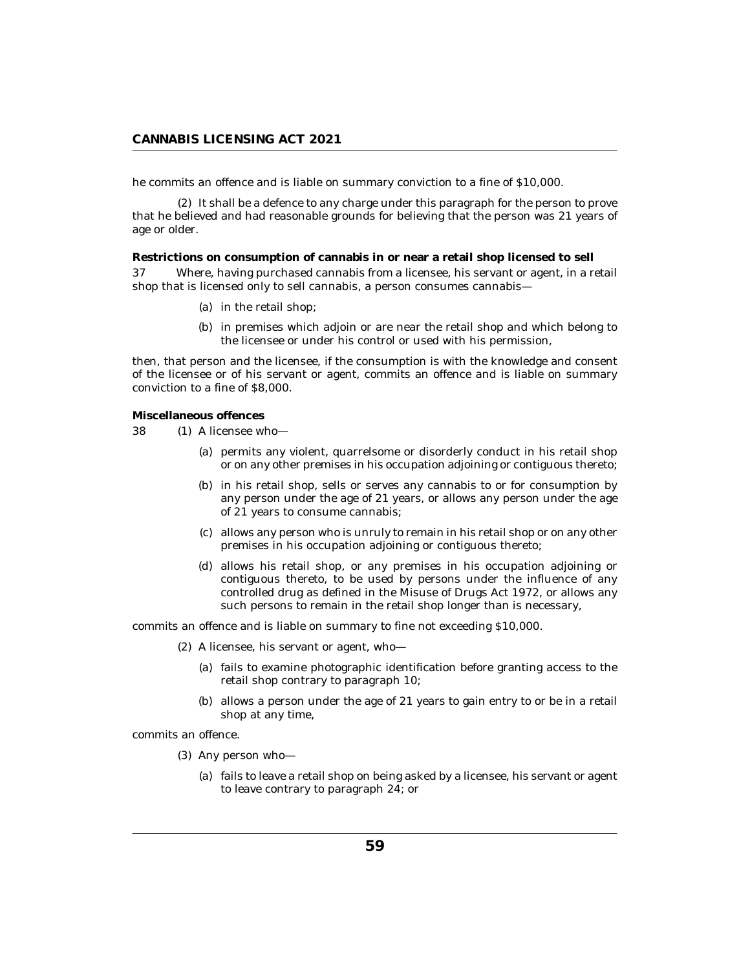he commits an offence and is liable on summary conviction to a fine of \$10,000.

(2) It shall be a defence to any charge under this paragraph for the person to prove that he believed and had reasonable grounds for believing that the person was 21 years of age or older.

**Restrictions on consumption of cannabis in or near a retail shop licensed to sell** Where, having purchased cannabis from a licensee, his servant or agent, in a retail shop that is licensed only to sell cannabis, a person consumes cannabis-37

- (a) in the retail shop;
- (b) in premises which adjoin or are near the retail shop and which belong to the licensee or under his control or used with his permission,

then, that person and the licensee, if the consumption is with the knowledge and consent of the licensee or of his servant or agent, commits an offence and is liable on summary conviction to a fine of \$8,000.

**Miscellaneous offences**

- 38 (1) A licensee who-
	- (a) permits any violent, quarrelsome or disorderly conduct in his retail shop or on any other premises in his occupation adjoining or contiguous thereto;
	- (b) in his retail shop, sells or serves any cannabis to or for consumption by any person under the age of 21 years, or allows any person under the age of 21 years to consume cannabis;
	- allows any person who is unruly to remain in his retail shop or on any other (c) premises in his occupation adjoining or contiguous thereto;
	- (d) allows his retail shop, or any premises in his occupation adjoining or contiguous thereto, to be used by persons under the influence of any controlled drug as defined in the Misuse of Drugs Act 1972, or allows any such persons to remain in the retail shop longer than is necessary,

commits an offence and is liable on summary to fine not exceeding \$10,000.

- A licensee, his servant or agent, who— (2)
	- fails to examine photographic identification before granting access to the (a) retail shop contrary to paragraph 10;
	- $(b)$  allows a person under the age of 21 years to gain entry to or be in a retail shop at any time,

commits an offence.

- (3) Any person who
	- fails to leave a retail shop on being asked by a licensee, his servant or agent (a) to leave contrary to paragraph 24; or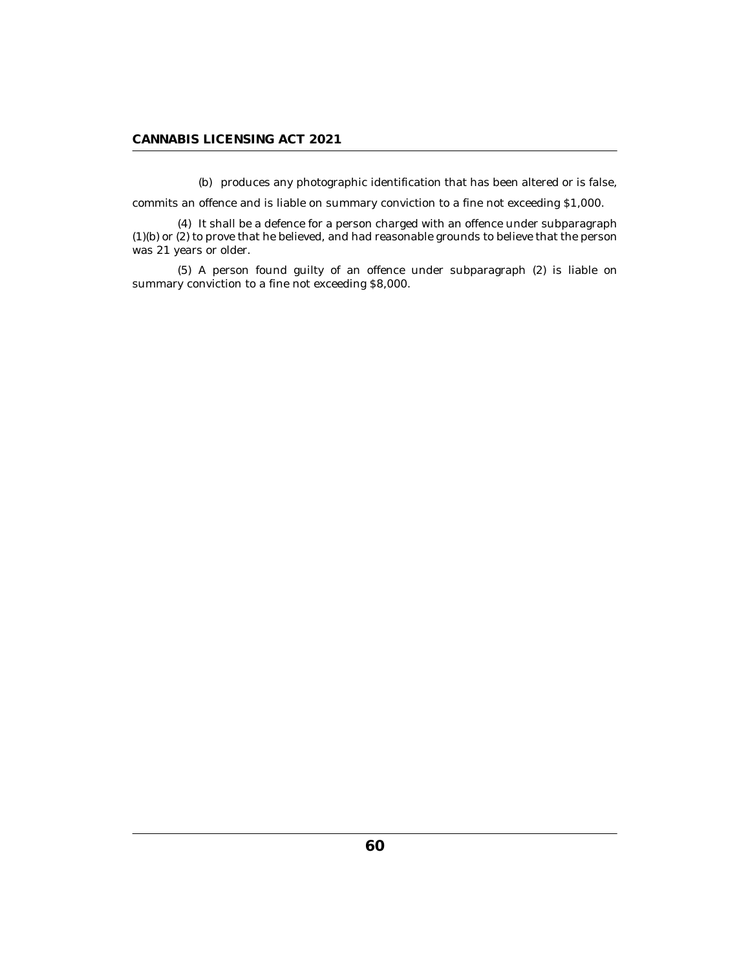(b) produces any photographic identification that has been altered or is false,

commits an offence and is liable on summary conviction to a fine not exceeding \$1,000.

(4) It shall be a defence for a person charged with an offence under subparagraph (1)(b) or (2) to prove that he believed, and had reasonable grounds to believe that the person was 21 years or older.

A person found guilty of an offence under subparagraph (2) is liable on (5) summary conviction to a fine not exceeding \$8,000.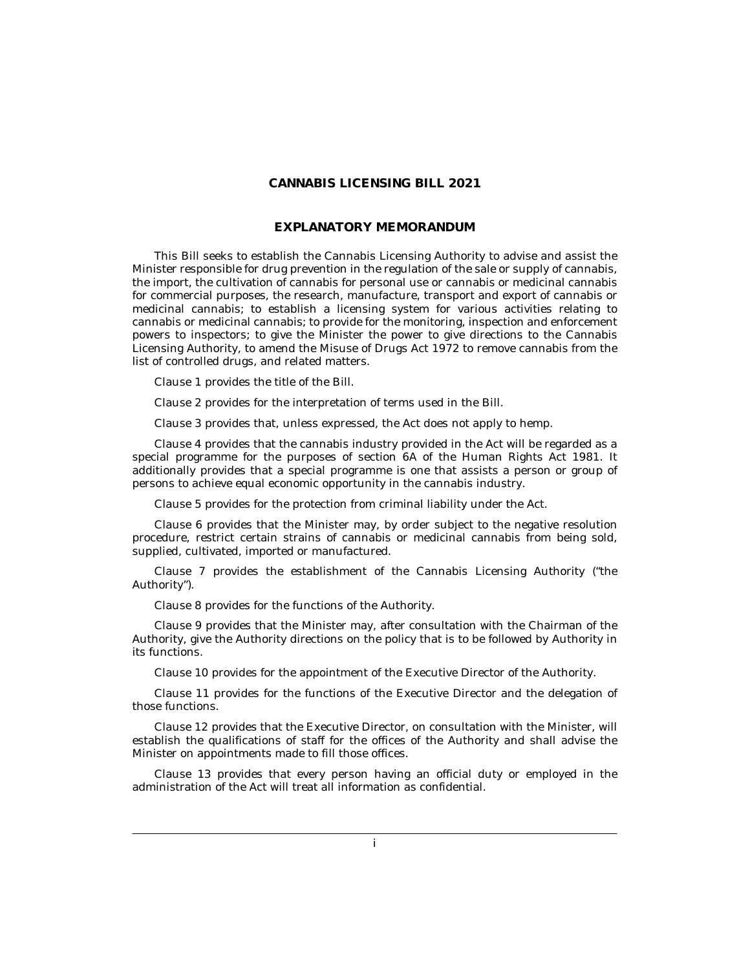## **CANNABIS LICENSING BILL 2021**

## **EXPLANATORY MEMORANDUM**

This Bill seeks to establish the Cannabis Licensing Authority to advise and assist the Minister responsible for drug prevention in the regulation of the sale or supply of cannabis, the import, the cultivation of cannabis for personal use or cannabis or medicinal cannabis for commercial purposes, the research, manufacture, transport and export of cannabis or medicinal cannabis; to establish a licensing system for various activities relating to cannabis or medicinal cannabis; to provide for the monitoring, inspection and enforcement powers to inspectors; to give the Minister the power to give directions to the Cannabis Licensing Authority, to amend the Misuse of Drugs Act 1972 to remove cannabis from the list of controlled drugs, and related matters.

Clause 1 provides the title of the Bill.

Clause 2 provides for the interpretation of terms used in the Bill.

Clause 3 provides that, unless expressed, the Act does not apply to hemp.

Clause 4 provides that the cannabis industry provided in the Act will be regarded as a special programme for the purposes of section 6A of the Human Rights Act 1981. It additionally provides that a special programme is one that assists a person or group of persons to achieve equal economic opportunity in the cannabis industry.

Clause 5 provides for the protection from criminal liability under the Act.

Clause 6 provides that the Minister may, by order subject to the negative resolution procedure, restrict certain strains of cannabis or medicinal cannabis from being sold, supplied, cultivated, imported or manufactured.

Clause 7 provides the establishment of the Cannabis Licensing Authority ("the Authority").

Clause 8 provides for the functions of the Authority.

Clause 9 provides that the Minister may, after consultation with the Chairman of the Authority, give the Authority directions on the policy that is to be followed by Authority in its functions.

Clause 10 provides for the appointment of the Executive Director of the Authority.

Clause 11 provides for the functions of the Executive Director and the delegation of those functions.

Clause 12 provides that the Executive Director, on consultation with the Minister, will establish the qualifications of staff for the offices of the Authority and shall advise the Minister on appointments made to fill those offices.

Clause 13 provides that every person having an official duty or employed in the administration of the Act will treat all information as confidential.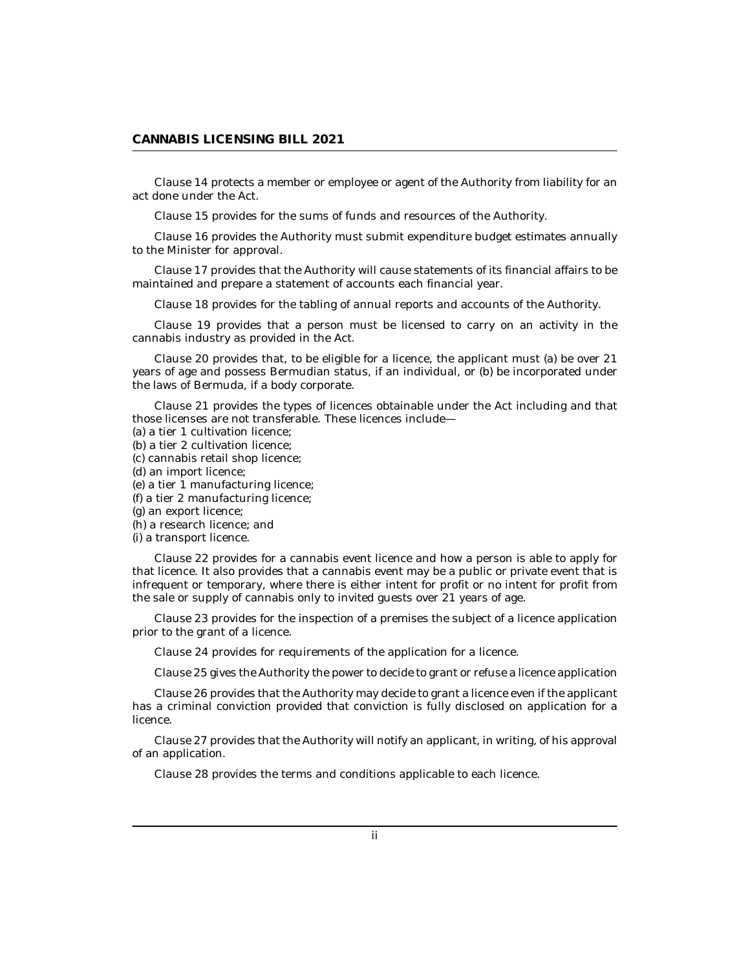Clause 14 protects a member or employee or agent of the Authority from liability for an act done under the Act.

Clause 15 provides for the sums of funds and resources of the Authority.

Clause 16 provides the Authority must submit expenditure budget estimates annually to the Minister for approval.

Clause 17 provides that the Authority will cause statements of its financial affairs to be maintained and prepare a statement of accounts each financial year.

Clause 18 provides for the tabling of annual reports and accounts of the Authority.

Clause 19 provides that a person must be licensed to carry on an activity in the cannabis industry as provided in the Act.

Clause 20 provides that, to be eligible for a licence, the applicant must (a) be over 21 years of age and possess Bermudian status, if an individual, or (b) be incorporated under the laws of Bermuda, if a body corporate.

Clause 21 provides the types of licences obtainable under the Act including and that those licenses are not transferable. These licences include—

- (a) a tier 1 cultivation licence;
- (b) a tier 2 cultivation licence;
- (c) cannabis retail shop licence;
- (d) an import licence;
- (e) a tier 1 manufacturing licence;
- (f) a tier 2 manufacturing licence;
- (g) an export licence;
- (h) a research licence; and
- (i) a transport licence.

Clause 22 provides for a cannabis event licence and how a person is able to apply for that licence. It also provides that a cannabis event may be a public or private event that is infrequent or temporary, where there is either intent for profit or no intent for profit from the sale or supply of cannabis only to invited guests over 21 years of age.

Clause 23 provides for the inspection of a premises the subject of a licence application prior to the grant of a licence.

Clause 24 provides for requirements of the application for a licence.

Clause 25 gives the Authority the power to decide to grant or refuse a licence application

Clause 26 provides that the Authority may decide to grant a licence even if the applicant has a criminal conviction provided that conviction is fully disclosed on application for a licence.

Clause 27 provides that the Authority will notify an applicant, in writing, of his approval of an application.

Clause 28 provides the terms and conditions applicable to each licence.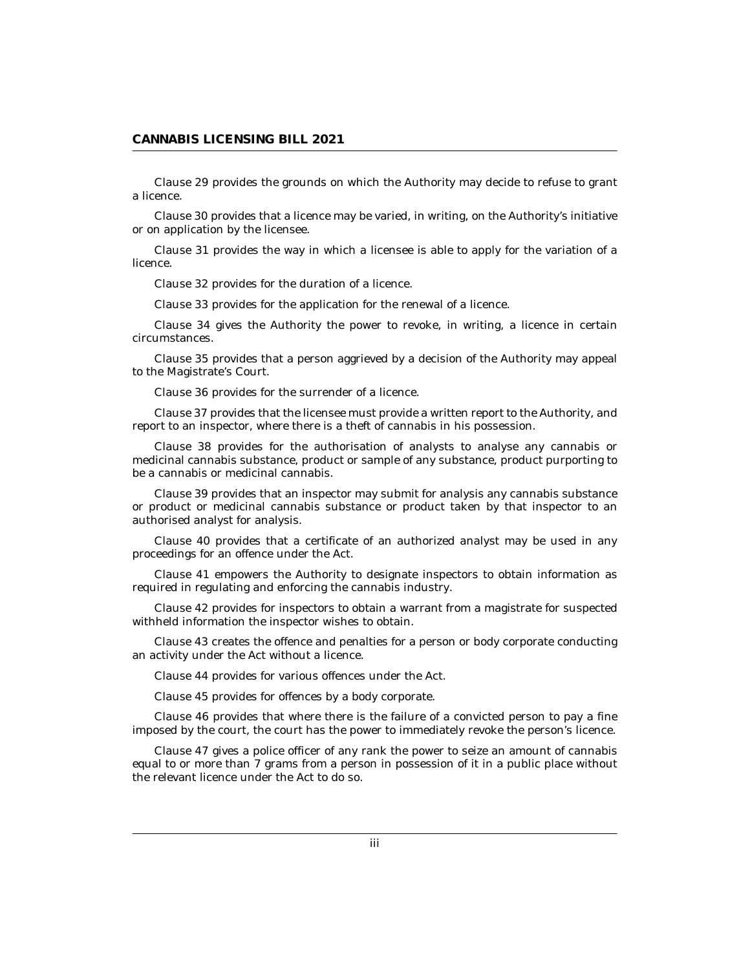Clause 29 provides the grounds on which the Authority may decide to refuse to grant a licence.

Clause 30 provides that a licence may be varied, in writing, on the Authority's initiative or on application by the licensee.

Clause 31 provides the way in which a licensee is able to apply for the variation of a licence.

Clause 32 provides for the duration of a licence.

Clause 33 provides for the application for the renewal of a licence.

Clause 34 gives the Authority the power to revoke, in writing, a licence in certain circumstances.

Clause 35 provides that a person aggrieved by a decision of the Authority may appeal to the Magistrate's Court.

Clause 36 provides for the surrender of a licence.

Clause 37 provides that the licensee must provide a written report to the Authority, and report to an inspector, where there is a theft of cannabis in his possession.

Clause 38 provides for the authorisation of analysts to analyse any cannabis or medicinal cannabis substance, product or sample of any substance, product purporting to be a cannabis or medicinal cannabis.

Clause 39 provides that an inspector may submit for analysis any cannabis substance or product or medicinal cannabis substance or product taken by that inspector to an authorised analyst for analysis.

Clause 40 provides that a certificate of an authorized analyst may be used in any proceedings for an offence under the Act.

Clause 41 empowers the Authority to designate inspectors to obtain information as required in regulating and enforcing the cannabis industry.

Clause 42 provides for inspectors to obtain a warrant from a magistrate for suspected withheld information the inspector wishes to obtain.

Clause 43 creates the offence and penalties for a person or body corporate conducting an activity under the Act without a licence.

Clause 44 provides for various offences under the Act.

Clause 45 provides for offences by a body corporate.

Clause 46 provides that where there is the failure of a convicted person to pay a fine imposed by the court, the court has the power to immediately revoke the person's licence.

Clause 47 gives a police officer of any rank the power to seize an amount of cannabis equal to or more than 7 grams from a person in possession of it in a public place without the relevant licence under the Act to do so.